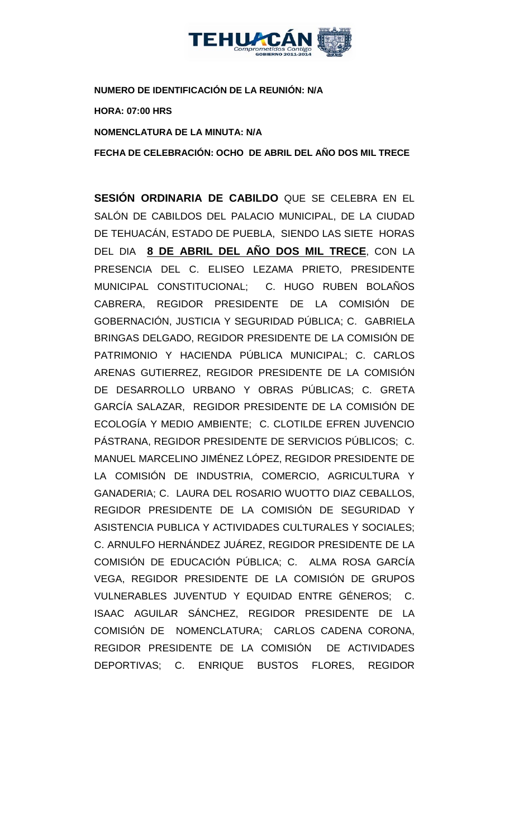

**NUMERO DE IDENTIFICACIÓN DE LA REUNIÓN: N/A**

**HORA: 07:00 HRS**

**NOMENCLATURA DE LA MINUTA: N/A**

**FECHA DE CELEBRACIÓN: OCHO DE ABRIL DEL AÑO DOS MIL TRECE** 

**SESIÓN ORDINARIA DE CABILDO** QUE SE CELEBRA EN EL SALÓN DE CABILDOS DEL PALACIO MUNICIPAL, DE LA CIUDAD DE TEHUACÁN, ESTADO DE PUEBLA, SIENDO LAS SIETE HORAS DEL DIA **8 DE ABRIL DEL AÑO DOS MIL TRECE**, CON LA PRESENCIA DEL C. ELISEO LEZAMA PRIETO, PRESIDENTE MUNICIPAL CONSTITUCIONAL; C. HUGO RUBEN BOLAÑOS CABRERA, REGIDOR PRESIDENTE DE LA COMISIÓN DE GOBERNACIÓN, JUSTICIA Y SEGURIDAD PÚBLICA; C. GABRIELA BRINGAS DELGADO, REGIDOR PRESIDENTE DE LA COMISIÓN DE PATRIMONIO Y HACIENDA PÚBLICA MUNICIPAL; C. CARLOS ARENAS GUTIERREZ, REGIDOR PRESIDENTE DE LA COMISIÓN DE DESARROLLO URBANO Y OBRAS PÚBLICAS; C. GRETA GARCÍA SALAZAR, REGIDOR PRESIDENTE DE LA COMISIÓN DE ECOLOGÍA Y MEDIO AMBIENTE; C. CLOTILDE EFREN JUVENCIO PÁSTRANA, REGIDOR PRESIDENTE DE SERVICIOS PÚBLICOS; C. MANUEL MARCELINO JIMÉNEZ LÓPEZ, REGIDOR PRESIDENTE DE LA COMISIÓN DE INDUSTRIA, COMERCIO, AGRICULTURA Y GANADERIA; C. LAURA DEL ROSARIO WUOTTO DIAZ CEBALLOS, REGIDOR PRESIDENTE DE LA COMISIÓN DE SEGURIDAD Y ASISTENCIA PUBLICA Y ACTIVIDADES CULTURALES Y SOCIALES; C. ARNULFO HERNÁNDEZ JUÁREZ, REGIDOR PRESIDENTE DE LA COMISIÓN DE EDUCACIÓN PÚBLICA; C. ALMA ROSA GARCÍA VEGA, REGIDOR PRESIDENTE DE LA COMISIÓN DE GRUPOS VULNERABLES JUVENTUD Y EQUIDAD ENTRE GÉNEROS; C. ISAAC AGUILAR SÁNCHEZ, REGIDOR PRESIDENTE DE LA COMISIÓN DE NOMENCLATURA; CARLOS CADENA CORONA, REGIDOR PRESIDENTE DE LA COMISIÓN DE ACTIVIDADES DEPORTIVAS; C. ENRIQUE BUSTOS FLORES, REGIDOR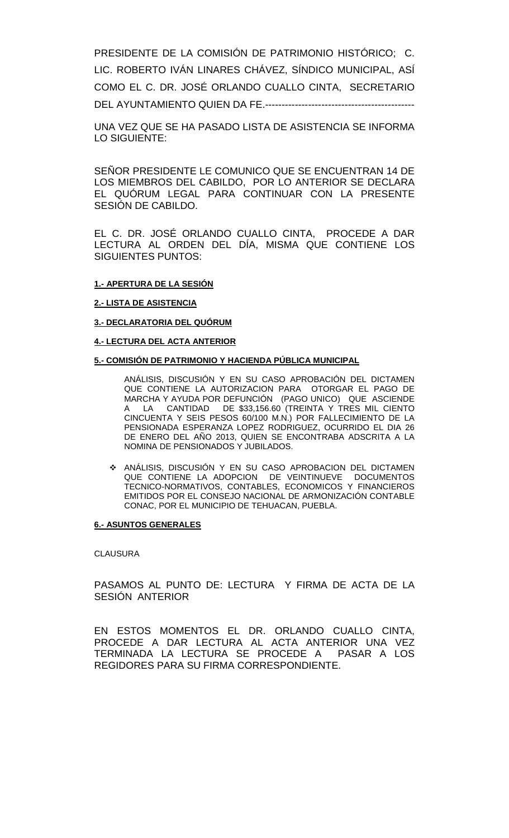PRESIDENTE DE LA COMISIÓN DE PATRIMONIO HISTÓRICO; C. LIC. ROBERTO IVÁN LINARES CHÁVEZ, SÍNDICO MUNICIPAL, ASÍ COMO EL C. DR. JOSÉ ORLANDO CUALLO CINTA, SECRETARIO DEL AYUNTAMIENTO QUIEN DA FE.---------------------------------------------

UNA VEZ QUE SE HA PASADO LISTA DE ASISTENCIA SE INFORMA LO SIGUIENTE:

SEÑOR PRESIDENTE LE COMUNICO QUE SE ENCUENTRAN 14 DE LOS MIEMBROS DEL CABILDO, POR LO ANTERIOR SE DECLARA EL QUÓRUM LEGAL PARA CONTINUAR CON LA PRESENTE SESIÓN DE CABILDO.

EL C. DR. JOSÉ ORLANDO CUALLO CINTA, PROCEDE A DAR LECTURA AL ORDEN DEL DÍA, MISMA QUE CONTIENE LOS SIGUIENTES PUNTOS:

### **1.- APERTURA DE LA SESIÓN**

#### **2.- LISTA DE ASISTENCIA**

**3.- DECLARATORIA DEL QUÓRUM**

#### **4.- LECTURA DEL ACTA ANTERIOR**

#### **5.- COMISIÓN DE PATRIMONIO Y HACIENDA PÚBLICA MUNICIPAL**

ANÁLISIS, DISCUSIÓN Y EN SU CASO APROBACIÓN DEL DICTAMEN QUE CONTIENE LA AUTORIZACION PARA OTORGAR EL PAGO DE MARCHA Y AYUDA POR DEFUNCIÓN (PAGO UNICO) QUE ASCIENDE CANTIDAD DE  $$33,156.60$  (TREINTA Y TRES MIL CIENTO CINCUENTA Y SEIS PESOS 60/100 M.N.) POR FALLECIMIENTO DE LA PENSIONADA ESPERANZA LOPEZ RODRIGUEZ, OCURRIDO EL DIA 26 DE ENERO DEL AÑO 2013, QUIEN SE ENCONTRABA ADSCRITA A LA NOMINA DE PENSIONADOS Y JUBILADOS.

 ANÁLISIS, DISCUSIÓN Y EN SU CASO APROBACION DEL DICTAMEN QUE CONTIENE LA ADOPCION DE VEINTINUEVE DOCUMENTOS TECNICO-NORMATIVOS, CONTABLES, ECONOMICOS Y FINANCIEROS EMITIDOS POR EL CONSEJO NACIONAL DE ARMONIZACIÓN CONTABLE CONAC, POR EL MUNICIPIO DE TEHUACAN, PUEBLA.

#### **6.- ASUNTOS GENERALES**

#### **CLAUSURA**

PASAMOS AL PUNTO DE: LECTURA Y FIRMA DE ACTA DE LA SESIÓN ANTERIOR

EN ESTOS MOMENTOS EL DR. ORLANDO CUALLO CINTA, PROCEDE A DAR LECTURA AL ACTA ANTERIOR UNA VEZ TERMINADA LA LECTURA SE PROCEDE A PASAR A LOS REGIDORES PARA SU FIRMA CORRESPONDIENTE.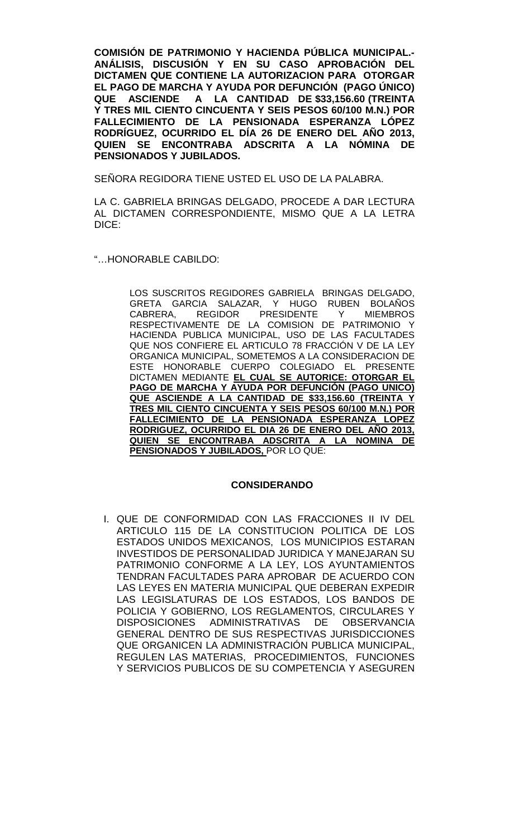**COMISIÓN DE PATRIMONIO Y HACIENDA PÚBLICA MUNICIPAL.- ANÁLISIS, DISCUSIÓN Y EN SU CASO APROBACIÓN DEL DICTAMEN QUE CONTIENE LA AUTORIZACION PARA OTORGAR EL PAGO DE MARCHA Y AYUDA POR DEFUNCIÓN (PAGO ÚNICO) QUE ASCIENDE A LA CANTIDAD DE \$33,156.60 (TREINTA Y TRES MIL CIENTO CINCUENTA Y SEIS PESOS 60/100 M.N.) POR FALLECIMIENTO DE LA PENSIONADA ESPERANZA LÓPEZ RODRÍGUEZ, OCURRIDO EL DÍA 26 DE ENERO DEL AÑO 2013, QUIEN SE ENCONTRABA ADSCRITA A LA NÓMINA DE PENSIONADOS Y JUBILADOS.**

SEÑORA REGIDORA TIENE USTED EL USO DE LA PALABRA.

LA C. GABRIELA BRINGAS DELGADO, PROCEDE A DAR LECTURA AL DICTAMEN CORRESPONDIENTE, MISMO QUE A LA LETRA DICE:

"…HONORABLE CABILDO:

LOS SUSCRITOS REGIDORES GABRIELA BRINGAS DELGADO, GRETA GARCIA SALAZAR, Y HUGO RUBEN BOLAÑOS REGIDOR PRESIDENTE Y RESPECTIVAMENTE DE LA COMISION DE PATRIMONIO Y HACIENDA PUBLICA MUNICIPAL, USO DE LAS FACULTADES QUE NOS CONFIERE EL ARTICULO 78 FRACCIÓN V DE LA LEY ORGANICA MUNICIPAL, SOMETEMOS A LA CONSIDERACION DE ESTE HONORABLE CUERPO COLEGIADO EL PRESENTE DICTAMEN MEDIANTE **EL CUAL SE AUTORICE: OTORGAR EL PAGO DE MARCHA Y AYUDA POR DEFUNCIÓN (PAGO UNICO) QUE ASCIENDE A LA CANTIDAD DE \$33,156.60 (TREINTA Y TRES MIL CIENTO CINCUENTA Y SEIS PESOS 60/100 M.N.) POR FALLECIMIENTO DE LA PENSIONADA ESPERANZA LOPEZ RODRIGUEZ, OCURRIDO EL DIA 26 DE ENERO DEL AÑO 2013, QUIEN SE ENCONTRABA ADSCRITA A LA NOMINA DE PENSIONADOS Y JUBILADOS,** POR LO QUE:

### **CONSIDERANDO**

I. QUE DE CONFORMIDAD CON LAS FRACCIONES II IV DEL ARTICULO 115 DE LA CONSTITUCION POLITICA DE LOS ESTADOS UNIDOS MEXICANOS, LOS MUNICIPIOS ESTARAN INVESTIDOS DE PERSONALIDAD JURIDICA Y MANEJARAN SU PATRIMONIO CONFORME A LA LEY, LOS AYUNTAMIENTOS TENDRAN FACULTADES PARA APROBAR DE ACUERDO CON LAS LEYES EN MATERIA MUNICIPAL QUE DEBERAN EXPEDIR LAS LEGISLATURAS DE LOS ESTADOS, LOS BANDOS DE POLICIA Y GOBIERNO, LOS REGLAMENTOS, CIRCULARES Y DISPOSICIONES ADMINISTRATIVAS DE OBSERVANCIA GENERAL DENTRO DE SUS RESPECTIVAS JURISDICCIONES QUE ORGANICEN LA ADMINISTRACIÓN PUBLICA MUNICIPAL, REGULEN LAS MATERIAS, PROCEDIMIENTOS, FUNCIONES Y SERVICIOS PUBLICOS DE SU COMPETENCIA Y ASEGUREN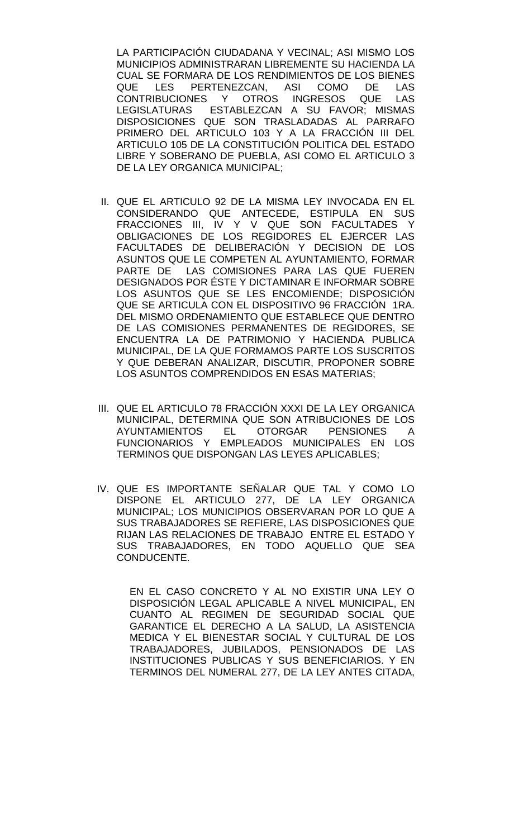LA PARTICIPACIÓN CIUDADANA Y VECINAL; ASI MISMO LOS MUNICIPIOS ADMINISTRARAN LIBREMENTE SU HACIENDA LA CUAL SE FORMARA DE LOS RENDIMIENTOS DE LOS BIENES QUE LES PERTENEZCAN, ASI COMO DE LAS<br>CONTRIBUCIONES Y OTROS INGRESOS QUE LAS CONTRIBUCIONES Y OTROS INGRESOS LEGISLATURAS ESTABLEZCAN A SU FAVOR; MISMAS DISPOSICIONES QUE SON TRASLADADAS AL PARRAFO PRIMERO DEL ARTICULO 103 Y A LA FRACCIÓN III DEL ARTICULO 105 DE LA CONSTITUCIÓN POLITICA DEL ESTADO LIBRE Y SOBERANO DE PUEBLA, ASI COMO EL ARTICULO 3 DE LA LEY ORGANICA MUNICIPAL;

- II. QUE EL ARTICULO 92 DE LA MISMA LEY INVOCADA EN EL CONSIDERANDO QUE ANTECEDE, ESTIPULA EN SUS FRACCIONES III, IV Y V QUE SON FACULTADES Y OBLIGACIONES DE LOS REGIDORES EL EJERCER LAS FACULTADES DE DELIBERACIÓN Y DECISION DE LOS ASUNTOS QUE LE COMPETEN AL AYUNTAMIENTO, FORMAR PARTE DE LAS COMISIONES PARA LAS QUE FUEREN DESIGNADOS POR ÉSTE Y DICTAMINAR E INFORMAR SOBRE LOS ASUNTOS QUE SE LES ENCOMIENDE; DISPOSICIÓN QUE SE ARTICULA CON EL DISPOSITIVO 96 FRACCIÓN 1RA. DEL MISMO ORDENAMIENTO QUE ESTABLECE QUE DENTRO DE LAS COMISIONES PERMANENTES DE REGIDORES, SE ENCUENTRA LA DE PATRIMONIO Y HACIENDA PUBLICA MUNICIPAL, DE LA QUE FORMAMOS PARTE LOS SUSCRITOS Y QUE DEBERAN ANALIZAR, DISCUTIR, PROPONER SOBRE LOS ASUNTOS COMPRENDIDOS EN ESAS MATERIAS;
- III. QUE EL ARTICULO 78 FRACCIÓN XXXI DE LA LEY ORGANICA MUNICIPAL, DETERMINA QUE SON ATRIBUCIONES DE LOS<br>AYUNTAMIENTOS EL OTORGAR PENSIONES A AYUNTAMIENTOS EL OTORGAR PENSIONES A FUNCIONARIOS Y EMPLEADOS MUNICIPALES EN LOS TERMINOS QUE DISPONGAN LAS LEYES APLICABLES;
- IV. QUE ES IMPORTANTE SEÑALAR QUE TAL Y COMO LO DISPONE EL ARTICULO 277, DE LA LEY ORGANICA MUNICIPAL; LOS MUNICIPIOS OBSERVARAN POR LO QUE A SUS TRABAJADORES SE REFIERE, LAS DISPOSICIONES QUE RIJAN LAS RELACIONES DE TRABAJO ENTRE EL ESTADO Y SUS TRABAJADORES, EN TODO AQUELLO QUE SEA CONDUCENTE.

EN EL CASO CONCRETO Y AL NO EXISTIR UNA LEY O DISPOSICIÓN LEGAL APLICABLE A NIVEL MUNICIPAL, EN CUANTO AL REGIMEN DE SEGURIDAD SOCIAL QUE GARANTICE EL DERECHO A LA SALUD, LA ASISTENCIA MEDICA Y EL BIENESTAR SOCIAL Y CULTURAL DE LOS TRABAJADORES, JUBILADOS, PENSIONADOS DE LAS INSTITUCIONES PUBLICAS Y SUS BENEFICIARIOS. Y EN TERMINOS DEL NUMERAL 277, DE LA LEY ANTES CITADA,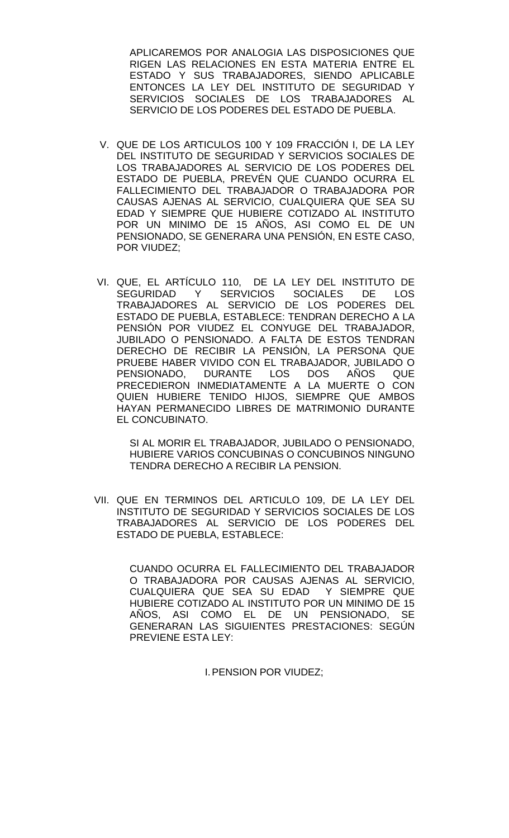APLICAREMOS POR ANALOGIA LAS DISPOSICIONES QUE RIGEN LAS RELACIONES EN ESTA MATERIA ENTRE EL ESTADO Y SUS TRABAJADORES, SIENDO APLICABLE ENTONCES LA LEY DEL INSTITUTO DE SEGURIDAD Y SERVICIOS SOCIALES DE LOS TRABAJADORES AL SERVICIO DE LOS PODERES DEL ESTADO DE PUEBLA.

- V. QUE DE LOS ARTICULOS 100 Y 109 FRACCIÓN I, DE LA LEY DEL INSTITUTO DE SEGURIDAD Y SERVICIOS SOCIALES DE LOS TRABAJADORES AL SERVICIO DE LOS PODERES DEL ESTADO DE PUEBLA, PREVÉN QUE CUANDO OCURRA EL FALLECIMIENTO DEL TRABAJADOR O TRABAJADORA POR CAUSAS AJENAS AL SERVICIO, CUALQUIERA QUE SEA SU EDAD Y SIEMPRE QUE HUBIERE COTIZADO AL INSTITUTO POR UN MINIMO DE 15 AÑOS, ASI COMO EL DE UN PENSIONADO, SE GENERARA UNA PENSIÓN, EN ESTE CASO, POR VIUDEZ;
- VI. QUE, EL ARTÍCULO 110, DE LA LEY DEL INSTITUTO DE SEGURIDAD Y SERVICIOS SOCIALES DE LOS TRABAJADORES AL SERVICIO DE LOS PODERES DEL ESTADO DE PUEBLA, ESTABLECE: TENDRAN DERECHO A LA PENSIÓN POR VIUDEZ EL CONYUGE DEL TRABAJADOR, JUBILADO O PENSIONADO. A FALTA DE ESTOS TENDRAN DERECHO DE RECIBIR LA PENSIÓN, LA PERSONA QUE PRUEBE HABER VIVIDO CON EL TRABAJADOR, JUBILADO O PENSIONADO, DURANTE LOS DOS AÑOS QUE PRECEDIERON INMEDIATAMENTE A LA MUERTE O CON QUIEN HUBIERE TENIDO HIJOS, SIEMPRE QUE AMBOS HAYAN PERMANECIDO LIBRES DE MATRIMONIO DURANTE EL CONCUBINATO.

SI AL MORIR EL TRABAJADOR, JUBILADO O PENSIONADO, HUBIERE VARIOS CONCUBINAS O CONCUBINOS NINGUNO TENDRA DERECHO A RECIBIR LA PENSION.

VII. QUE EN TERMINOS DEL ARTICULO 109, DE LA LEY DEL INSTITUTO DE SEGURIDAD Y SERVICIOS SOCIALES DE LOS TRABAJADORES AL SERVICIO DE LOS PODERES DEL ESTADO DE PUEBLA, ESTABLECE:

> CUANDO OCURRA EL FALLECIMIENTO DEL TRABAJADOR O TRABAJADORA POR CAUSAS AJENAS AL SERVICIO, CUALQUIERA QUE SEA SU EDAD Y SIEMPRE QUE HUBIERE COTIZADO AL INSTITUTO POR UN MINIMO DE 15 AÑOS, ASI COMO EL DE UN PENSIONADO, SE GENERARAN LAS SIGUIENTES PRESTACIONES: SEGÚN PREVIENE ESTA LEY:

> > I.PENSION POR VIUDEZ;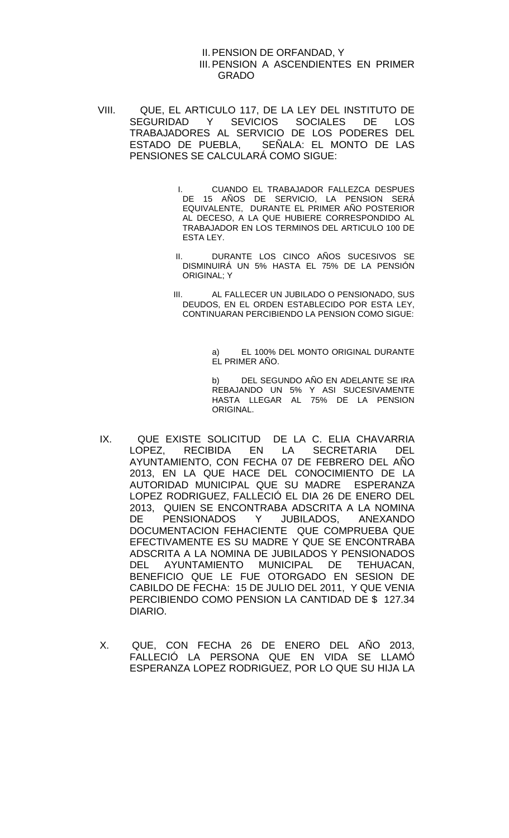#### II.PENSION DE ORFANDAD, Y III.PENSION A ASCENDIENTES EN PRIMER GRADO

- VIII. QUE, EL ARTICULO 117, DE LA LEY DEL INSTITUTO DE SEGURIDAD Y SEVICIOS SOCIALES DE LOS TRABAJADORES AL SERVICIO DE LOS PODERES DEL ESTADO DE PUEBLA, SEÑALA: EL MONTO DE LAS PENSIONES SE CALCULARÁ COMO SIGUE:
	- I. CUANDO EL TRABAJADOR FALLEZCA DESPUES DE 15 AÑOS DE SERVICIO, LA PENSION SERÁ EQUIVALENTE, DURANTE EL PRIMER AÑO POSTERIOR AL DECESO, A LA QUE HUBIERE CORRESPONDIDO AL TRABAJADOR EN LOS TERMINOS DEL ARTICULO 100 DE ESTA LEY.
	- II. DURANTE LOS CINCO AÑOS SUCESIVOS SE DISMINUIRÁ UN 5% HASTA EL 75% DE LA PENSIÓN ORIGINAL; Y
	- III. AL FALLECER UN JUBILADO O PENSIONADO, SUS DEUDOS, EN EL ORDEN ESTABLECIDO POR ESTA LEY, CONTINUARAN PERCIBIENDO LA PENSION COMO SIGUE:

a) EL 100% DEL MONTO ORIGINAL DURANTE EL PRIMER AÑO.

b) DEL SEGUNDO AÑO EN ADELANTE SE IRA REBAJANDO UN 5% Y ASI SUCESIVAMENTE HASTA LLEGAR AL 75% DE LA PENSION ORIGINAL.

- IX. QUE EXISTE SOLICITUD DE LA C. ELIA CHAVARRIA LOPEZ, RECIBIDA EN LA SECRETARIA DEL AYUNTAMIENTO, CON FECHA 07 DE FEBRERO DEL AÑO 2013, EN LA QUE HACE DEL CONOCIMIENTO DE LA AUTORIDAD MUNICIPAL QUE SU MADRE ESPERANZA LOPEZ RODRIGUEZ, FALLECIÓ EL DIA 26 DE ENERO DEL 2013, QUIEN SE ENCONTRABA ADSCRITA A LA NOMINA DE PENSIONADOS Y JUBILADOS, ANEXANDO DOCUMENTACION FEHACIENTE QUE COMPRUEBA QUE EFECTIVAMENTE ES SU MADRE Y QUE SE ENCONTRABA ADSCRITA A LA NOMINA DE JUBILADOS Y PENSIONADOS DEL AYUNTAMIENTO MUNICIPAL DE TEHUACAN, BENEFICIO QUE LE FUE OTORGADO EN SESION DE CABILDO DE FECHA: 15 DE JULIO DEL 2011, Y QUE VENIA PERCIBIENDO COMO PENSION LA CANTIDAD DE \$ 127.34 DIARIO.
- X. QUE, CON FECHA 26 DE ENERO DEL AÑO 2013, FALLECIÓ LA PERSONA QUE EN VIDA SE LLAMÓ ESPERANZA LOPEZ RODRIGUEZ, POR LO QUE SU HIJA LA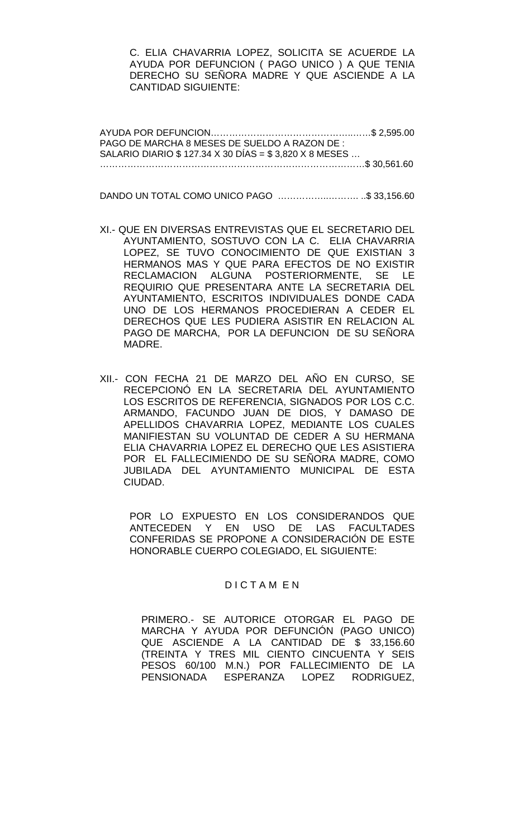C. ELIA CHAVARRIA LOPEZ, SOLICITA SE ACUERDE LA AYUDA POR DEFUNCION ( PAGO UNICO ) A QUE TENIA DERECHO SU SEÑORA MADRE Y QUE ASCIENDE A LA CANTIDAD SIGUIENTE:

AYUDA POR DEFUNCION………………………………………..……\$ 2,595.00 PAGO DE MARCHA 8 MESES DE SUELDO A RAZON DE : SALARIO DIARIO \$ 127.34 X 30 DÍAS = \$ 3,820 X 8 MESES … ……………………………………………………………………………\$ 30,561.60

DANDO UN TOTAL COMO UNICO PAGO ……………..………. ..\$ 33,156.60

- XI.- QUE EN DIVERSAS ENTREVISTAS QUE EL SECRETARIO DEL AYUNTAMIENTO, SOSTUVO CON LA C. ELIA CHAVARRIA LOPEZ, SE TUVO CONOCIMIENTO DE QUE EXISTIAN 3 HERMANOS MAS Y QUE PARA EFECTOS DE NO EXISTIR RECLAMACION ALGUNA POSTERIORMENTE, SE LE REQUIRIO QUE PRESENTARA ANTE LA SECRETARIA DEL AYUNTAMIENTO, ESCRITOS INDIVIDUALES DONDE CADA UNO DE LOS HERMANOS PROCEDIERAN A CEDER EL DERECHOS QUE LES PUDIERA ASISTIR EN RELACION AL PAGO DE MARCHA, POR LA DEFUNCION DE SU SEÑORA MADRE.
- XII.- CON FECHA 21 DE MARZO DEL AÑO EN CURSO, SE RECEPCIONÓ EN LA SECRETARIA DEL AYUNTAMIENTO LOS ESCRITOS DE REFERENCIA, SIGNADOS POR LOS C.C. ARMANDO, FACUNDO JUAN DE DIOS, Y DAMASO DE APELLIDOS CHAVARRIA LOPEZ, MEDIANTE LOS CUALES MANIFIESTAN SU VOLUNTAD DE CEDER A SU HERMANA ELIA CHAVARRIA LOPEZ EL DERECHO QUE LES ASISTIERA POR EL FALLECIMIENDO DE SU SEÑORA MADRE, COMO JUBILADA DEL AYUNTAMIENTO MUNICIPAL DE ESTA CIUDAD.

POR LO EXPUESTO EN LOS CONSIDERANDOS QUE ANTECEDEN Y EN USO DE LAS FACULTADES CONFERIDAS SE PROPONE A CONSIDERACIÓN DE ESTE HONORABLE CUERPO COLEGIADO, EL SIGUIENTE:

### D I C T A M E N

PRIMERO.- SE AUTORICE OTORGAR EL PAGO DE MARCHA Y AYUDA POR DEFUNCIÓN (PAGO UNICO) QUE ASCIENDE A LA CANTIDAD DE \$ 33,156.60 (TREINTA Y TRES MIL CIENTO CINCUENTA Y SEIS PESOS 60/100 M.N.) POR FALLECIMIENTO DE LA PENSIONADA ESPERANZA LOPEZ RODRIGUEZ,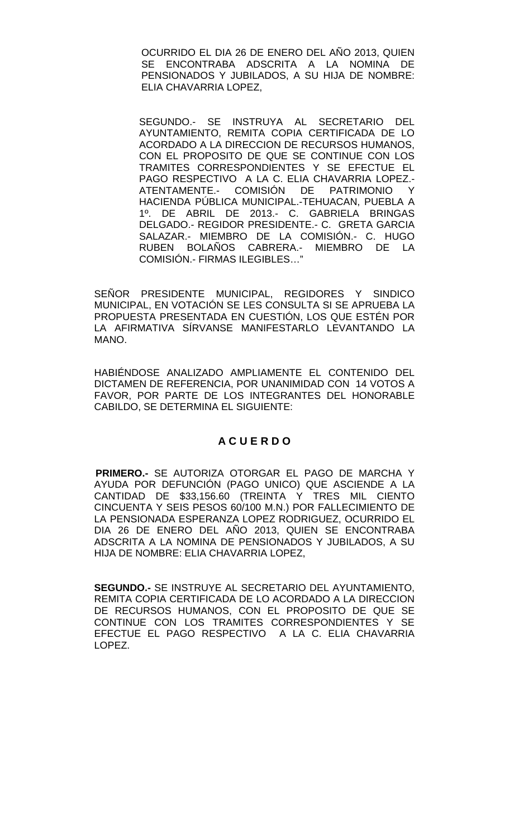OCURRIDO EL DIA 26 DE ENERO DEL AÑO 2013, QUIEN SE ENCONTRABA ADSCRITA A LA NOMINA DE PENSIONADOS Y JUBILADOS, A SU HIJA DE NOMBRE: ELIA CHAVARRIA LOPEZ,

SEGUNDO.- SE INSTRUYA AL SECRETARIO DEL AYUNTAMIENTO, REMITA COPIA CERTIFICADA DE LO ACORDADO A LA DIRECCION DE RECURSOS HUMANOS, CON EL PROPOSITO DE QUE SE CONTINUE CON LOS TRAMITES CORRESPONDIENTES Y SE EFECTUE EL PAGO RESPECTIVO A LA C. ELIA CHAVARRIA LOPEZ.- ATENTAMENTE.- COMISIÓN DE PATRIMONIO Y HACIENDA PÚBLICA MUNICIPAL.-TEHUACAN, PUEBLA A 1º. DE ABRIL DE 2013.- C. GABRIELA BRINGAS DELGADO.- REGIDOR PRESIDENTE.- C. GRETA GARCIA SALAZAR.- MIEMBRO DE LA COMISIÓN.- C. HUGO RUBEN BOLAÑOS CABRERA.- MIEMBRO DE LA COMISIÓN.- FIRMAS ILEGIBLES…"

SEÑOR PRESIDENTE MUNICIPAL, REGIDORES Y SINDICO MUNICIPAL, EN VOTACIÓN SE LES CONSULTA SI SE APRUEBA LA PROPUESTA PRESENTADA EN CUESTIÓN, LOS QUE ESTÉN POR LA AFIRMATIVA SÍRVANSE MANIFESTARLO LEVANTANDO LA MANO.

HABIÉNDOSE ANALIZADO AMPLIAMENTE EL CONTENIDO DEL DICTAMEN DE REFERENCIA, POR UNANIMIDAD CON 14 VOTOS A FAVOR, POR PARTE DE LOS INTEGRANTES DEL HONORABLE CABILDO, SE DETERMINA EL SIGUIENTE:

# **A C U E R D O**

 **PRIMERO.-** SE AUTORIZA OTORGAR EL PAGO DE MARCHA Y AYUDA POR DEFUNCIÓN (PAGO UNICO) QUE ASCIENDE A LA CANTIDAD DE \$33,156.60 (TREINTA Y TRES MIL CIENTO CINCUENTA Y SEIS PESOS 60/100 M.N.) POR FALLECIMIENTO DE LA PENSIONADA ESPERANZA LOPEZ RODRIGUEZ, OCURRIDO EL DIA 26 DE ENERO DEL AÑO 2013, QUIEN SE ENCONTRABA ADSCRITA A LA NOMINA DE PENSIONADOS Y JUBILADOS, A SU HIJA DE NOMBRE: ELIA CHAVARRIA LOPEZ,

**SEGUNDO.-** SE INSTRUYE AL SECRETARIO DEL AYUNTAMIENTO, REMITA COPIA CERTIFICADA DE LO ACORDADO A LA DIRECCION DE RECURSOS HUMANOS, CON EL PROPOSITO DE QUE SE CONTINUE CON LOS TRAMITES CORRESPONDIENTES Y SE EFECTUE EL PAGO RESPECTIVO A LA C. ELIA CHAVARRIA LOPEZ.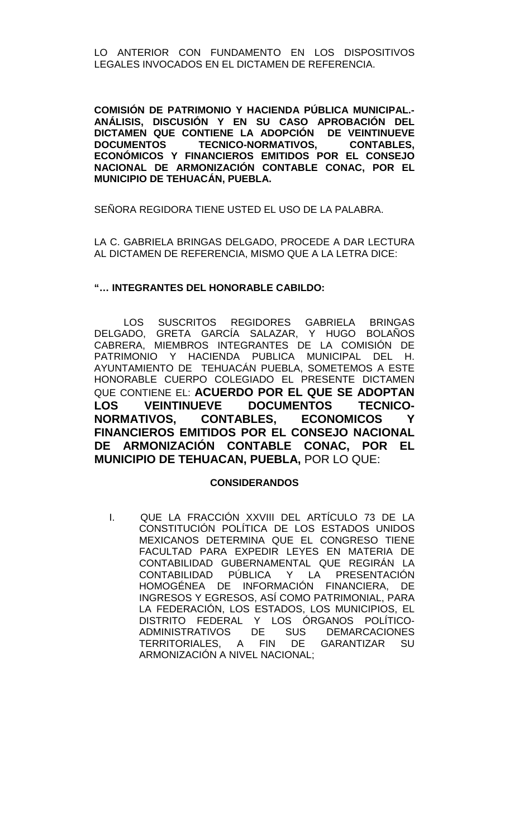LO ANTERIOR CON FUNDAMENTO EN LOS DISPOSITIVOS LEGALES INVOCADOS EN EL DICTAMEN DE REFERENCIA.

**COMISIÓN DE PATRIMONIO Y HACIENDA PÚBLICA MUNICIPAL.- ANÁLISIS, DISCUSIÓN Y EN SU CASO APROBACIÓN DEL DICTAMEN QUE CONTIENE LA ADOPCIÓN DE VEINTINUEVE DOCUMENTOS TECNICO-NORMATIVOS, CONTABLES, ECONÓMICOS Y FINANCIEROS EMITIDOS POR EL CONSEJO NACIONAL DE ARMONIZACIÓN CONTABLE CONAC, POR EL MUNICIPIO DE TEHUACÁN, PUEBLA.**

SEÑORA REGIDORA TIENE USTED EL USO DE LA PALABRA.

LA C. GABRIELA BRINGAS DELGADO, PROCEDE A DAR LECTURA AL DICTAMEN DE REFERENCIA, MISMO QUE A LA LETRA DICE:

## **"… INTEGRANTES DEL HONORABLE CABILDO:**

LOS SUSCRITOS REGIDORES GABRIELA BRINGAS DELGADO, GRETA GARCÍA SALAZAR, Y HUGO BOLAÑOS CABRERA, MIEMBROS INTEGRANTES DE LA COMISIÓN DE PATRIMONIO Y HACIENDA PUBLICA MUNICIPAL DEL H. AYUNTAMIENTO DE TEHUACÁN PUEBLA, SOMETEMOS A ESTE HONORABLE CUERPO COLEGIADO EL PRESENTE DICTAMEN QUE CONTIENE EL: **ACUERDO POR EL QUE SE ADOPTAN LOS VEINTINUEVE DOCUMENTOS TECNICO-NORMATIVOS, CONTABLES, ECONOMICOS Y FINANCIEROS EMITIDOS POR EL CONSEJO NACIONAL DE ARMONIZACIÓN CONTABLE CONAC, POR EL MUNICIPIO DE TEHUACAN, PUEBLA,** POR LO QUE:

### **CONSIDERANDOS**

I. QUE LA FRACCIÓN XXVIII DEL ARTÍCULO 73 DE LA CONSTITUCIÓN POLÍTICA DE LOS ESTADOS UNIDOS MEXICANOS DETERMINA QUE EL CONGRESO TIENE FACULTAD PARA EXPEDIR LEYES EN MATERIA DE CONTABILIDAD GUBERNAMENTAL QUE REGIRÁN LA CONTABILIDAD PÚBLICA Y LA PRESENTACIÓN HOMOGÉNEA DE INFORMACIÓN FINANCIERA, DE INGRESOS Y EGRESOS, ASÍ COMO PATRIMONIAL, PARA LA FEDERACIÓN, LOS ESTADOS, LOS MUNICIPIOS, EL DISTRITO FEDERAL Y LOS ÓRGANOS POLÍTICO-ADMINISTRATIVOS DE SUS DEMARCACIONES TERRITORIALES, A FIN DE GARANTIZAR SU ARMONIZACIÓN A NIVEL NACIONAL;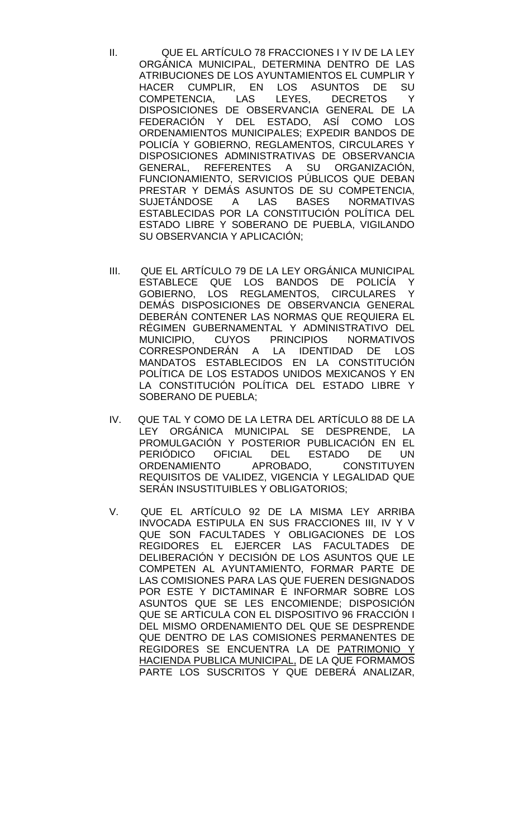- II. QUE EL ARTÍCULO 78 FRACCIONES I Y IV DE LA LEY ORGÁNICA MUNICIPAL, DETERMINA DENTRO DE LAS ATRIBUCIONES DE LOS AYUNTAMIENTOS EL CUMPLIR Y HACER CUMPLIR, EN LOS ASUNTOS DE SU COMPETENCIA, LAS LEYES, DECRETOS DISPOSICIONES DE OBSERVANCIA GENERAL DE LA FEDERACIÓN Y DEL ESTADO, ASÍ COMO LOS ORDENAMIENTOS MUNICIPALES; EXPEDIR BANDOS DE POLICÍA Y GOBIERNO, REGLAMENTOS, CIRCULARES Y DISPOSICIONES ADMINISTRATIVAS DE OBSERVANCIA GENERAL, REFERENTES A SU ORGANIZACIÓN, FUNCIONAMIENTO, SERVICIOS PÚBLICOS QUE DEBAN PRESTAR Y DEMÁS ASUNTOS DE SU COMPETENCIA,<br>SUJETÁNDOSE A LAS BASES NORMATIVAS SUJETÁNDOSE ESTABLECIDAS POR LA CONSTITUCIÓN POLÍTICA DEL ESTADO LIBRE Y SOBERANO DE PUEBLA, VIGILANDO SU OBSERVANCIA Y APLICACIÓN;
- III. QUE EL ARTÍCULO 79 DE LA LEY ORGÁNICA MUNICIPAL ESTABLECE QUE LOS BANDOS DE POLICÍA Y GOBIERNO, LOS REGLAMENTOS, CIRCULARES Y DEMÁS DISPOSICIONES DE OBSERVANCIA GENERAL DEBERÁN CONTENER LAS NORMAS QUE REQUIERA EL RÉGIMEN GUBERNAMENTAL Y ADMINISTRATIVO DEL MUNICIPIO, CUYOS PRINCIPIOS NORMATIVOS CORRESPONDERÁN A LA IDENTIDAD DE LOS MANDATOS ESTABLECIDOS EN LA CONSTITUCIÓN POLÍTICA DE LOS ESTADOS UNIDOS MEXICANOS Y EN LA CONSTITUCIÓN POLÍTICA DEL ESTADO LIBRE Y SOBERANO DE PUEBLA;
- IV. QUE TAL Y COMO DE LA LETRA DEL ARTÍCULO 88 DE LA LEY ORGÁNICA MUNICIPAL SE DESPRENDE, LA PROMULGACIÓN Y POSTERIOR PUBLICACIÓN EN EL<br>PERIÓDICO OFICIAL DEL ESTADO DE UN PERIÓDICO OFICIAL DEL ESTADO DE UN<br>ORDENAMIENTO APROBADO, CONSTITUYEN ORDENAMIENTO APROBADO, CONSTITUYEN REQUISITOS DE VALIDEZ, VIGENCIA Y LEGALIDAD QUE SERÁN INSUSTITUIBLES Y OBLIGATORIOS;
- V. QUE EL ARTÍCULO 92 DE LA MISMA LEY ARRIBA INVOCADA ESTIPULA EN SUS FRACCIONES III, IV Y V QUE SON FACULTADES Y OBLIGACIONES DE LOS REGIDORES EL EJERCER LAS FACULTADES DE DELIBERACIÓN Y DECISIÓN DE LOS ASUNTOS QUE LE COMPETEN AL AYUNTAMIENTO, FORMAR PARTE DE LAS COMISIONES PARA LAS QUE FUEREN DESIGNADOS POR ESTE Y DICTAMINAR E INFORMAR SOBRE LOS ASUNTOS QUE SE LES ENCOMIENDE; DISPOSICIÓN QUE SE ARTICULA CON EL DISPOSITIVO 96 FRACCIÓN I DEL MISMO ORDENAMIENTO DEL QUE SE DESPRENDE QUE DENTRO DE LAS COMISIONES PERMANENTES DE REGIDORES SE ENCUENTRA LA DE PATRIMONIO Y HACIENDA PUBLICA MUNICIPAL, DE LA QUE FORMAMOS PARTE LOS SUSCRITOS Y QUE DEBERÁ ANALIZAR,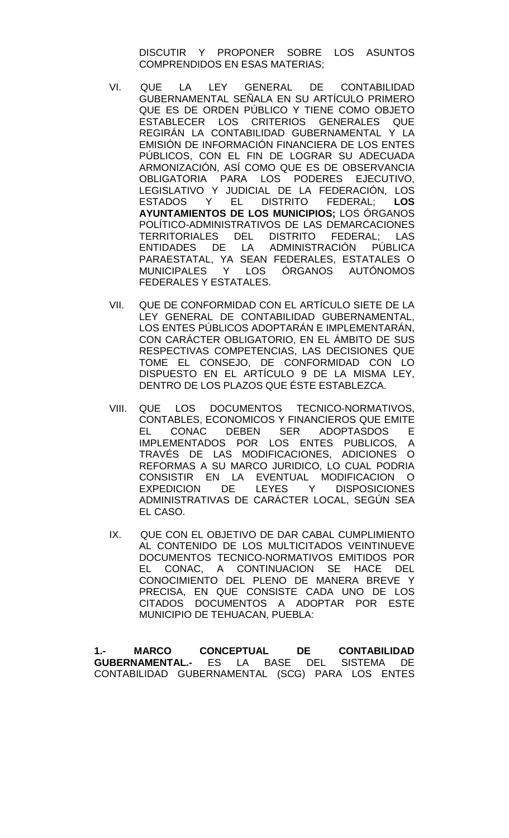DISCUTIR Y PROPONER SOBRE LOS ASUNTOS COMPRENDIDOS EN ESAS MATERIAS;

- VI. QUE LA LEY GENERAL DE CONTABILIDAD GUBERNAMENTAL SEÑALA EN SU ARTÍCULO PRIMERO QUE ES DE ORDEN PÚBLICO Y TIENE COMO OBJETO ESTABLECER LOS CRITERIOS GENERALES QUE REGIRÁN LA CONTABILIDAD GUBERNAMENTAL Y LA EMISIÓN DE INFORMACIÓN FINANCIERA DE LOS ENTES PÚBLICOS, CON EL FIN DE LOGRAR SU ADECUADA ARMONIZACIÓN, ASÍ COMO QUE ES DE OBSERVANCIA OBLIGATORIA PARA LOS PODERES EJECUTIVO, LEGISLATIVO Y JUDICIAL DE LA FEDERACIÓN, LOS<br>ESTADOS Y EL DISTRITO FEDERAL: LOS Y EL DISTRITO FEDERAL: **AYUNTAMIENTOS DE LOS MUNICIPIOS;** LOS ÓRGANOS POLÍTICO-ADMINISTRATIVOS DE LAS DEMARCACIONES TERRITORIALES DEL DISTRITO FEDERAL; LAS ENTIDADES DE LA ADMINISTRACIÓN PÚBLICA PARAESTATAL, YA SEAN FEDERALES, ESTATALES O MUNICIPALES Y LOS ÓRGANOS AUTÓNOMOS FEDERALES Y ESTATALES.
- VII. QUE DE CONFORMIDAD CON EL ARTÍCULO SIETE DE LA LEY GENERAL DE CONTABILIDAD GUBERNAMENTAL, LOS ENTES PÚBLICOS ADOPTARÁN E IMPLEMENTARÁN, CON CARÁCTER OBLIGATORIO, EN EL ÁMBITO DE SUS RESPECTIVAS COMPETENCIAS, LAS DECISIONES QUE TOME EL CONSEJO, DE CONFORMIDAD CON LO DISPUESTO EN EL ARTÍCULO 9 DE LA MISMA LEY, DENTRO DE LOS PLAZOS QUE ÉSTE ESTABLEZCA.
- VIII. QUE LOS DOCUMENTOS TECNICO-NORMATIVOS, CONTABLES, ECONOMICOS Y FINANCIEROS QUE EMITE<br>EL CONAC DEBEN SER ADOPTASDOS E CONAC DEBEN SER ADOPTASDOS E<br>MENTADOS POR LOS ENTES PUBLICOS A IMPLEMENTADOS POR LOS ENTES PUBLICOS, TRAVÉS DE LAS MODIFICACIONES, ADICIONES O REFORMAS A SU MARCO JURIDICO, LO CUAL PODRIA CONSISTIR EN LA EVENTUAL MODIFICACION O DE LEYES Y DISPOSICIONES ADMINISTRATIVAS DE CARÁCTER LOCAL, SEGÚN SEA EL CASO.
- IX. QUE CON EL OBJETIVO DE DAR CABAL CUMPLIMIENTO AL CONTENIDO DE LOS MULTICITADOS VEINTINUEVE DOCUMENTOS TECNICO-NORMATIVOS EMITIDOS POR EL CONAC, A CONTINUACION SE HACE DEL CONOCIMIENTO DEL PLENO DE MANERA BREVE Y PRECISA, EN QUE CONSISTE CADA UNO DE LOS CITADOS DOCUMENTOS A ADOPTAR POR ESTE MUNICIPIO DE TEHUACAN, PUEBLA:

**1.- MARCO CONCEPTUAL DE CONTABILIDAD GUBERNAMENTAL.-** ES LA BASE DEL SISTEMA DE CONTABILIDAD GUBERNAMENTAL (SCG) PARA LOS ENTES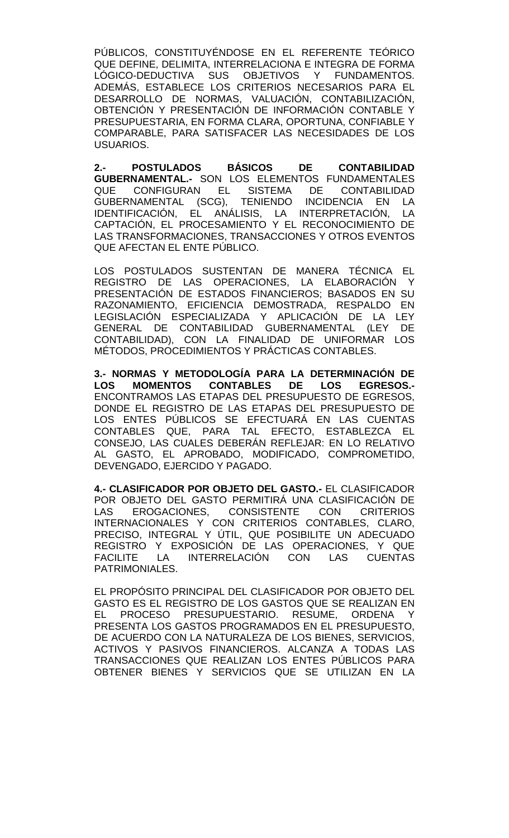PÚBLICOS, CONSTITUYÉNDOSE EN EL REFERENTE TEÓRICO QUE DEFINE, DELIMITA, INTERRELACIONA E INTEGRA DE FORMA LÓGICO-DEDUCTIVA SUS OBJETIVOS Y FUNDAMENTOS. ADEMÁS, ESTABLECE LOS CRITERIOS NECESARIOS PARA EL DESARROLLO DE NORMAS, VALUACIÓN, CONTABILIZACIÓN, OBTENCIÓN Y PRESENTACIÓN DE INFORMACIÓN CONTABLE Y PRESUPUESTARIA, EN FORMA CLARA, OPORTUNA, CONFIABLE Y COMPARABLE, PARA SATISFACER LAS NECESIDADES DE LOS USUARIOS.

**2.- POSTULADOS BÁSICOS DE CONTABILIDAD GUBERNAMENTAL.-** SON LOS ELEMENTOS FUNDAMENTALES QUE CONFIGURAN EL SISTEMA DE CONTABILIDAD GUBERNAMENTAL (SCG), TENIENDO INCIDENCIA EN LA<br>IDENTIFICACIÓN, FI ANÁLISIS, LA INTERPRETACIÓN, LA IDENTIFICACIÓN, EL ANÁLISIS, LA INTERPRETACIÓN, LA CAPTACIÓN, EL PROCESAMIENTO Y EL RECONOCIMIENTO DE LAS TRANSFORMACIONES, TRANSACCIONES Y OTROS EVENTOS QUE AFECTAN EL ENTE PÚBLICO.

LOS POSTULADOS SUSTENTAN DE MANERA TÉCNICA EL REGISTRO DE LAS OPERACIONES, LA ELABORACIÓN Y PRESENTACIÓN DE ESTADOS FINANCIEROS; BASADOS EN SU RAZONAMIENTO, EFICIENCIA DEMOSTRADA, RESPALDO EN LEGISLACIÓN ESPECIALIZADA Y APLICACIÓN DE LA LEY GENERAL DE CONTABILIDAD GUBERNAMENTAL (LEY DE CONTABILIDAD), CON LA FINALIDAD DE UNIFORMAR LOS MÉTODOS, PROCEDIMIENTOS Y PRÁCTICAS CONTABLES.

**3.- NORMAS Y METODOLOGÍA PARA LA DETERMINACIÓN DE LOS MOMENTOS CONTABLES DE LOS EGRESOS.-** ENCONTRAMOS LAS ETAPAS DEL PRESUPUESTO DE EGRESOS, DONDE EL REGISTRO DE LAS ETAPAS DEL PRESUPUESTO DE LOS ENTES PÚBLICOS SE EFECTUARÁ EN LAS CUENTAS CONTABLES QUE, PARA TAL EFECTO, ESTABLEZCA EL CONSEJO, LAS CUALES DEBERÁN REFLEJAR: EN LO RELATIVO AL GASTO, EL APROBADO, MODIFICADO, COMPROMETIDO, DEVENGADO, EJERCIDO Y PAGADO.

**4.- CLASIFICADOR POR OBJETO DEL GASTO.-** EL CLASIFICADOR POR OBJETO DEL GASTO PERMITIRÁ UNA CLASIFICACIÓN DE LAS EROGACIONES, CONSISTENTE CON CRITERIOS INTERNACIONALES Y CON CRITERIOS CONTABLES, CLARO, PRECISO, INTEGRAL Y ÚTIL, QUE POSIBILITE UN ADECUADO REGISTRO Y EXPOSICIÓN DE LAS OPERACIONES, Y QUE FACILITE LA INTERRELACIÓN CON LAS CUENTAS PATRIMONIALES.

EL PROPÓSITO PRINCIPAL DEL CLASIFICADOR POR OBJETO DEL GASTO ES EL REGISTRO DE LOS GASTOS QUE SE REALIZAN EN EL PROCESO PRESUPUESTARIO. RESUME, ORDENA Y PRESENTA LOS GASTOS PROGRAMADOS EN EL PRESUPUESTO, DE ACUERDO CON LA NATURALEZA DE LOS BIENES, SERVICIOS, ACTIVOS Y PASIVOS FINANCIEROS. ALCANZA A TODAS LAS TRANSACCIONES QUE REALIZAN LOS ENTES PÚBLICOS PARA OBTENER BIENES Y SERVICIOS QUE SE UTILIZAN EN LA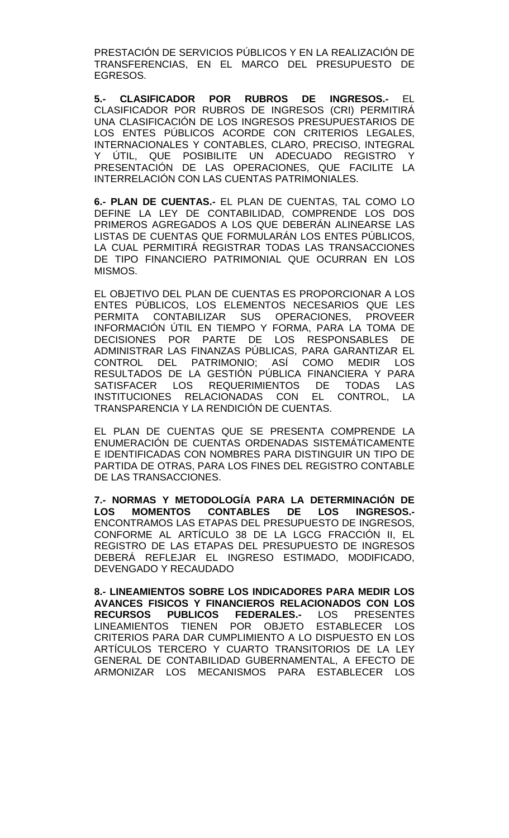PRESTACIÓN DE SERVICIOS PÚBLICOS Y EN LA REALIZACIÓN DE TRANSFERENCIAS, EN EL MARCO DEL PRESUPUESTO DE EGRESOS.

**5.- CLASIFICADOR POR RUBROS DE INGRESOS.-** EL CLASIFICADOR POR RUBROS DE INGRESOS (CRI) PERMITIRÁ UNA CLASIFICACIÓN DE LOS INGRESOS PRESUPUESTARIOS DE LOS ENTES PÚBLICOS ACORDE CON CRITERIOS LEGALES, INTERNACIONALES Y CONTABLES, CLARO, PRECISO, INTEGRAL Y ÚTIL, QUE POSIBILITE UN ADECUADO REGISTRO Y PRESENTACIÓN DE LAS OPERACIONES, QUE FACILITE LA INTERRELACIÓN CON LAS CUENTAS PATRIMONIALES.

**6.- PLAN DE CUENTAS.-** EL PLAN DE CUENTAS, TAL COMO LO DEFINE LA LEY DE CONTABILIDAD, COMPRENDE LOS DOS PRIMEROS AGREGADOS A LOS QUE DEBERÁN ALINEARSE LAS LISTAS DE CUENTAS QUE FORMULARÁN LOS ENTES PÚBLICOS, LA CUAL PERMITIRÁ REGISTRAR TODAS LAS TRANSACCIONES DE TIPO FINANCIERO PATRIMONIAL QUE OCURRAN EN LOS MISMOS.

EL OBJETIVO DEL PLAN DE CUENTAS ES PROPORCIONAR A LOS ENTES PÚBLICOS, LOS ELEMENTOS NECESARIOS QUE LES PERMITA CONTABILIZAR SUS OPERACIONES, PROVEER INFORMACIÓN ÚTIL EN TIEMPO Y FORMA, PARA LA TOMA DE DECISIONES POR PARTE DE LOS RESPONSABLES DE ADMINISTRAR LAS FINANZAS PÚBLICAS, PARA GARANTIZAR EL CONTROL DEL PATRIMONIO; ASÍ COMO MEDIR LOS RESULTADOS DE LA GESTIÓN PÚBLICA FINANCIERA Y PARA SATISFACER LOS REQUERIMIENTOS DE TODAS LAS INSTITUCIONES RELACIONADAS CON EL CONTROL, LA TRANSPARENCIA Y LA RENDICIÓN DE CUENTAS.

EL PLAN DE CUENTAS QUE SE PRESENTA COMPRENDE LA ENUMERACIÓN DE CUENTAS ORDENADAS SISTEMÁTICAMENTE E IDENTIFICADAS CON NOMBRES PARA DISTINGUIR UN TIPO DE PARTIDA DE OTRAS, PARA LOS FINES DEL REGISTRO CONTABLE DE LAS TRANSACCIONES.

**7.- NORMAS Y METODOLOGÍA PARA LA DETERMINACIÓN DE LOS MOMENTOS CONTABLES DE LOS INGRESOS.-** ENCONTRAMOS LAS ETAPAS DEL PRESUPUESTO DE INGRESOS, CONFORME AL ARTÍCULO 38 DE LA LGCG FRACCIÓN II, EL REGISTRO DE LAS ETAPAS DEL PRESUPUESTO DE INGRESOS DEBERÁ REFLEJAR EL INGRESO ESTIMADO, MODIFICADO, DEVENGADO Y RECAUDADO

**8.- LINEAMIENTOS SOBRE LOS INDICADORES PARA MEDIR LOS AVANCES FISICOS Y FINANCIEROS RELACIONADOS CON LOS RECURSOS PUBLICOS FEDERALES.-** LOS PRESENTES LINEAMIENTOS TIENEN POR OBJETO ESTABLECER LOS CRITERIOS PARA DAR CUMPLIMIENTO A LO DISPUESTO EN LOS ARTÍCULOS TERCERO Y CUARTO TRANSITORIOS DE LA LEY GENERAL DE CONTABILIDAD GUBERNAMENTAL, A EFECTO DE ARMONIZAR LOS MECANISMOS PARA ESTABLECER LOS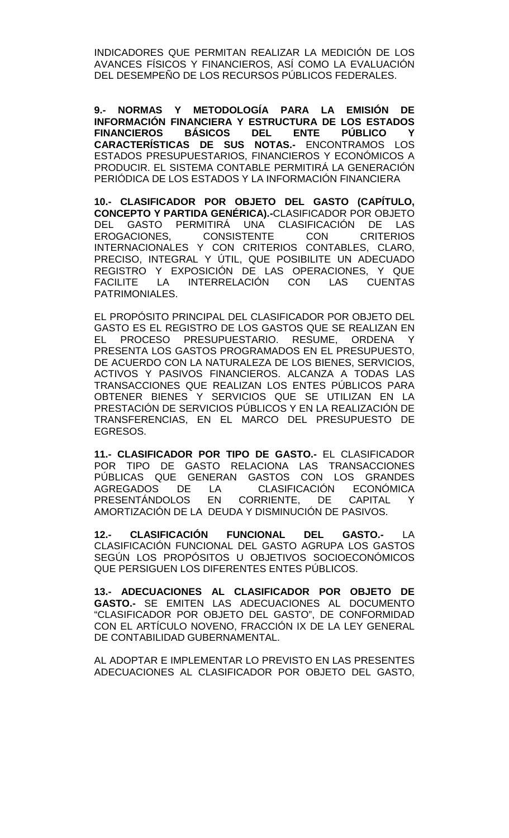INDICADORES QUE PERMITAN REALIZAR LA MEDICIÓN DE LOS AVANCES FÍSICOS Y FINANCIEROS, ASÍ COMO LA EVALUACIÓN DEL DESEMPEÑO DE LOS RECURSOS PÚBLICOS FEDERALES.

**9.- NORMAS Y METODOLOGÍA PARA LA EMISIÓN DE INFORMACIÓN FINANCIERA Y ESTRUCTURA DE LOS ESTADOS FINANCIEROS BÁSICOS CARACTERÍSTICAS DE SUS NOTAS.-** ENCONTRAMOS LOS ESTADOS PRESUPUESTARIOS, FINANCIEROS Y ECONÓMICOS A PRODUCIR. EL SISTEMA CONTABLE PERMITIRÁ LA GENERACIÓN PERIÓDICA DE LOS ESTADOS Y LA INFORMACIÓN FINANCIERA

**10.- CLASIFICADOR POR OBJETO DEL GASTO (CAPÍTULO, CONCEPTO Y PARTIDA GENÉRICA).-**CLASIFICADOR POR OBJETO -GASTO PERMITIRÁ UNA CLASIFICACIÓN DE LAS<br>GACIONES, CONSISTENTE CON CRITERIOS EROGACIONES, CONSISTENTE CON CRITERIOS INTERNACIONALES Y CON CRITERIOS CONTABLES, CLARO, PRECISO, INTEGRAL Y ÚTIL, QUE POSIBILITE UN ADECUADO REGISTRO Y EXPOSICIÓN DE LAS OPERACIONES, Y QUE FACILITE LA INTERRELACIÓN CON LAS CUENTAS PATRIMONIALES.

EL PROPÓSITO PRINCIPAL DEL CLASIFICADOR POR OBJETO DEL GASTO ES EL REGISTRO DE LOS GASTOS QUE SE REALIZAN EN EL PROCESO PRESUPUESTARIO. RESUME, ORDENA Y PRESENTA LOS GASTOS PROGRAMADOS EN EL PRESUPUESTO, DE ACUERDO CON LA NATURALEZA DE LOS BIENES, SERVICIOS, ACTIVOS Y PASIVOS FINANCIEROS. ALCANZA A TODAS LAS TRANSACCIONES QUE REALIZAN LOS ENTES PÚBLICOS PARA OBTENER BIENES Y SERVICIOS QUE SE UTILIZAN EN LA PRESTACIÓN DE SERVICIOS PÚBLICOS Y EN LA REALIZACIÓN DE TRANSFERENCIAS, EN EL MARCO DEL PRESUPUESTO DE EGRESOS.

**11.- CLASIFICADOR POR TIPO DE GASTO.-** EL CLASIFICADOR POR TIPO DE GASTO RELACIONA LAS TRANSACCIONES PÚBLICAS QUE GENERAN GASTOS CON LOS GRANDES<br>AGREGADOS DE LA CLASIFICACIÓN ECONÓMICA LA CLASIFICACIÓN<br>EN CORRIENTE, DE PRESENTÁNDOLOS EN CORRIENTE, DE CAPITAL Y AMORTIZACIÓN DE LA DEUDA Y DISMINUCIÓN DE PASIVOS.

**12.- CLASIFICACIÓN FUNCIONAL DEL GASTO.-** LA CLASIFICACIÓN FUNCIONAL DEL GASTO AGRUPA LOS GASTOS SEGÚN LOS PROPÓSITOS U OBJETIVOS SOCIOECONÓMICOS QUE PERSIGUEN LOS DIFERENTES ENTES PÚBLICOS.

**13.- ADECUACIONES AL CLASIFICADOR POR OBJETO DE GASTO.-** SE EMITEN LAS ADECUACIONES AL DOCUMENTO "CLASIFICADOR POR OBJETO DEL GASTO", DE CONFORMIDAD CON EL ARTÍCULO NOVENO, FRACCIÓN IX DE LA LEY GENERAL DE CONTABILIDAD GUBERNAMENTAL.

AL ADOPTAR E IMPLEMENTAR LO PREVISTO EN LAS PRESENTES ADECUACIONES AL CLASIFICADOR POR OBJETO DEL GASTO,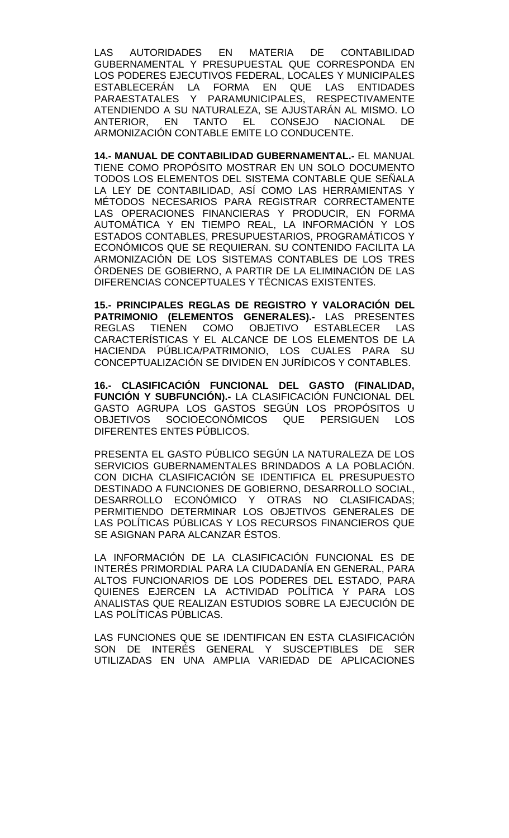LAS AUTORIDADES EN MATERIA DE CONTABILIDAD GUBERNAMENTAL Y PRESUPUESTAL QUE CORRESPONDA EN LOS PODERES EJECUTIVOS FEDERAL, LOCALES Y MUNICIPALES ESTABLECERÁN LA FORMA EN QUE LAS ENTIDADES PARAESTATALES Y PARAMUNICIPALES, RESPECTIVAMENTE ATENDIENDO A SU NATURALEZA, SE AJUSTARÁN AL MISMO. LO ANTERIOR, EN TANTO EL CONSEJO NACIONAL DE ARMONIZACIÓN CONTABLE EMITE LO CONDUCENTE.

**14.- MANUAL DE CONTABILIDAD GUBERNAMENTAL.-** EL MANUAL TIENE COMO PROPÓSITO MOSTRAR EN UN SOLO DOCUMENTO TODOS LOS ELEMENTOS DEL SISTEMA CONTABLE QUE SEÑALA LA LEY DE CONTABILIDAD, ASÍ COMO LAS HERRAMIENTAS Y MÉTODOS NECESARIOS PARA REGISTRAR CORRECTAMENTE LAS OPERACIONES FINANCIERAS Y PRODUCIR, EN FORMA AUTOMÁTICA Y EN TIEMPO REAL, LA INFORMACIÓN Y LOS ESTADOS CONTABLES, PRESUPUESTARIOS, PROGRAMÁTICOS Y ECONÓMICOS QUE SE REQUIERAN. SU CONTENIDO FACILITA LA ARMONIZACIÓN DE LOS SISTEMAS CONTABLES DE LOS TRES ÓRDENES DE GOBIERNO, A PARTIR DE LA ELIMINACIÓN DE LAS DIFERENCIAS CONCEPTUALES Y TÉCNICAS EXISTENTES.

**15.- PRINCIPALES REGLAS DE REGISTRO Y VALORACIÓN DEL PATRIMONIO (ELEMENTOS GENERALES).-** LAS PRESENTES TIENEN COMO OBJETIVO ESTABLECER LAS CARACTERÍSTICAS Y EL ALCANCE DE LOS ELEMENTOS DE LA HACIENDA PÚBLICA/PATRIMONIO, LOS CUALES PARA SU CONCEPTUALIZACIÓN SE DIVIDEN EN JURÍDICOS Y CONTABLES.

**16.- CLASIFICACIÓN FUNCIONAL DEL GASTO (FINALIDAD, FUNCIÓN Y SUBFUNCIÓN).-** LA CLASIFICACIÓN FUNCIONAL DEL GASTO AGRUPA LOS GASTOS SEGÚN LOS PROPÓSITOS U<br>OBJETIVOS SOCIOECONÓMICOS QUE PERSIGUEN LOS SOCIOECONÓMICOS QUE PERSIGUEN LOS DIFERENTES ENTES PÚBLICOS.

PRESENTA EL GASTO PÚBLICO SEGÚN LA NATURALEZA DE LOS SERVICIOS GUBERNAMENTALES BRINDADOS A LA POBLACIÓN. CON DICHA CLASIFICACIÓN SE IDENTIFICA EL PRESUPUESTO DESTINADO A FUNCIONES DE GOBIERNO, DESARROLLO SOCIAL, DESARROLLO ECONÓMICO Y OTRAS NO CLASIFICADAS; PERMITIENDO DETERMINAR LOS OBJETIVOS GENERALES DE LAS POLÍTICAS PÚBLICAS Y LOS RECURSOS FINANCIEROS QUE SE ASIGNAN PARA ALCANZAR ÉSTOS.

LA INFORMACIÓN DE LA CLASIFICACIÓN FUNCIONAL ES DE INTERÉS PRIMORDIAL PARA LA CIUDADANÍA EN GENERAL, PARA ALTOS FUNCIONARIOS DE LOS PODERES DEL ESTADO, PARA QUIENES EJERCEN LA ACTIVIDAD POLÍTICA Y PARA LOS ANALISTAS QUE REALIZAN ESTUDIOS SOBRE LA EJECUCIÓN DE LAS POLÍTICAS PÚBLICAS.

LAS FUNCIONES QUE SE IDENTIFICAN EN ESTA CLASIFICACIÓN SON DE INTERÉS GENERAL Y SUSCEPTIBLES DE SER UTILIZADAS EN UNA AMPLIA VARIEDAD DE APLICACIONES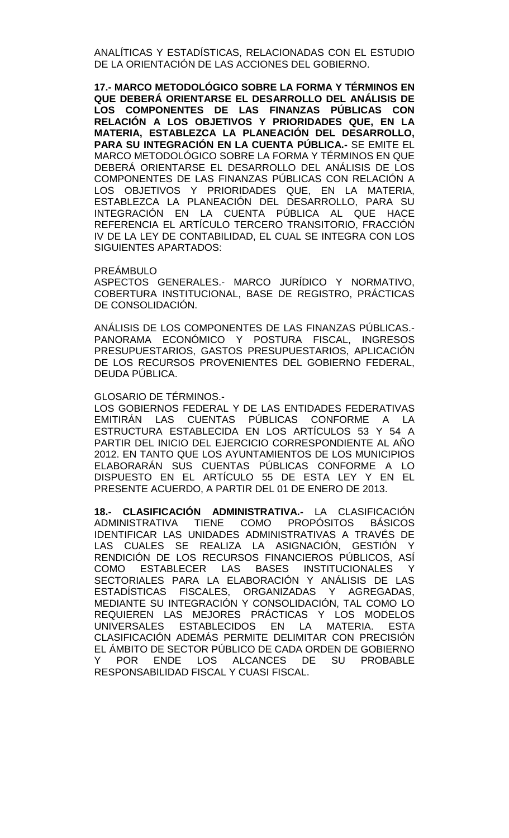ANALÍTICAS Y ESTADÍSTICAS, RELACIONADAS CON EL ESTUDIO DE LA ORIENTACIÓN DE LAS ACCIONES DEL GOBIERNO.

**17.- MARCO METODOLÓGICO SOBRE LA FORMA Y TÉRMINOS EN QUE DEBERÁ ORIENTARSE EL DESARROLLO DEL ANÁLISIS DE LOS COMPONENTES DE LAS FINANZAS PÚBLICAS CON RELACIÓN A LOS OBJETIVOS Y PRIORIDADES QUE, EN LA MATERIA, ESTABLEZCA LA PLANEACIÓN DEL DESARROLLO, PARA SU INTEGRACIÓN EN LA CUENTA PÚBLICA.-** SE EMITE EL MARCO METODOLÓGICO SOBRE LA FORMA Y TÉRMINOS EN QUE DEBERÁ ORIENTARSE EL DESARROLLO DEL ANÁLISIS DE LOS COMPONENTES DE LAS FINANZAS PÚBLICAS CON RELACIÓN A LOS OBJETIVOS Y PRIORIDADES QUE, EN LA MATERIA, ESTABLEZCA LA PLANEACIÓN DEL DESARROLLO, PARA SU INTEGRACIÓN EN LA CUENTA PÚBLICA AL QUE HACE REFERENCIA EL ARTÍCULO TERCERO TRANSITORIO, FRACCIÓN IV DE LA LEY DE CONTABILIDAD, EL CUAL SE INTEGRA CON LOS SIGUIENTES APARTADOS:

PREÁMBULO

ASPECTOS GENERALES.- MARCO JURÍDICO Y NORMATIVO, COBERTURA INSTITUCIONAL, BASE DE REGISTRO, PRÁCTICAS DE CONSOLIDACIÓN.

ANÁLISIS DE LOS COMPONENTES DE LAS FINANZAS PÚBLICAS.- PANORAMA ECONÓMICO Y POSTURA FISCAL, INGRESOS PRESUPUESTARIOS, GASTOS PRESUPUESTARIOS, APLICACIÓN DE LOS RECURSOS PROVENIENTES DEL GOBIERNO FEDERAL, DEUDA PÚBLICA.

GLOSARIO DE TÉRMINOS.-

LOS GOBIERNOS FEDERAL Y DE LAS ENTIDADES FEDERATIVAS EMITIRÁN LAS CUENTAS PÚBLICAS CONFORME A LA ESTRUCTURA ESTABLECIDA EN LOS ARTÍCULOS 53 Y 54 A PARTIR DEL INICIO DEL EJERCICIO CORRESPONDIENTE AL AÑO 2012. EN TANTO QUE LOS AYUNTAMIENTOS DE LOS MUNICIPIOS ELABORARÁN SUS CUENTAS PÚBLICAS CONFORME A LO DISPUESTO EN EL ARTÍCULO 55 DE ESTA LEY Y EN EL PRESENTE ACUERDO, A PARTIR DEL 01 DE ENERO DE 2013.

**18.- CLASIFICACIÓN ADMINISTRATIVA.-** LA CLASIFICACIÓN ADMINISTRATIVA TIENE COMO PROPÓSITOS BÁSICOS IDENTIFICAR LAS UNIDADES ADMINISTRATIVAS A TRAVÉS DE LAS CUALES SE REALIZA LA ASIGNACIÓN, GESTIÓN Y RENDICIÓN DE LOS RECURSOS FINANCIEROS PÚBLICOS, ASÍ COMO ESTABLECER LAS BASES INSTITUCIONALES Y SECTORIALES PARA LA ELABORACIÓN Y ANÁLISIS DE LAS ESTADÍSTICAS FISCALES, ORGANIZADAS Y AGREGADAS, MEDIANTE SU INTEGRACIÓN Y CONSOLIDACIÓN, TAL COMO LO REQUIEREN LAS MEJORES PRÁCTICAS Y LOS MODELOS UNIVERSALES ESTABLECIDOS EN LA MATERIA. ESTA CLASIFICACIÓN ADEMÁS PERMITE DELIMITAR CON PRECISIÓN EL ÁMBITO DE SECTOR PÚBLICO DE CADA ORDEN DE GOBIERNO Y POR ENDE LOS ALCANCES DE SU PROBABLE RESPONSABILIDAD FISCAL Y CUASI FISCAL.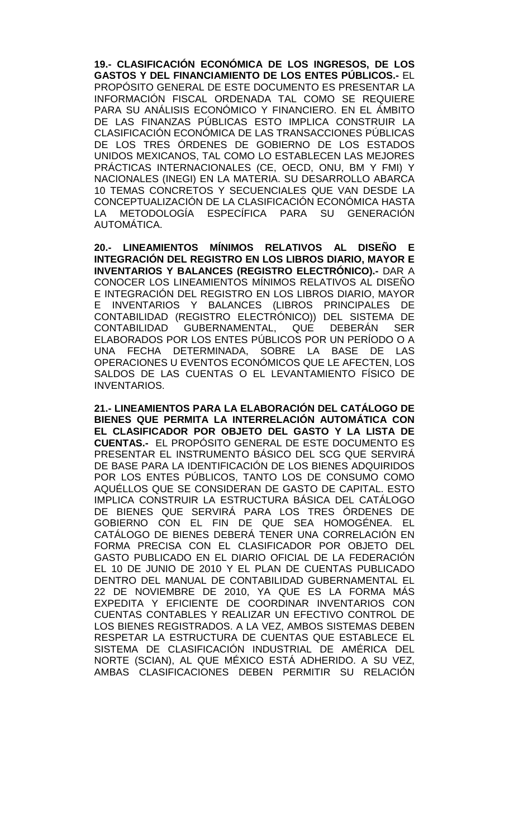**19.- CLASIFICACIÓN ECONÓMICA DE LOS INGRESOS, DE LOS GASTOS Y DEL FINANCIAMIENTO DE LOS ENTES PÚBLICOS.-** EL PROPÓSITO GENERAL DE ESTE DOCUMENTO ES PRESENTAR LA INFORMACIÓN FISCAL ORDENADA TAL COMO SE REQUIERE PARA SU ANÁLISIS ECONÓMICO Y FINANCIERO. EN EL ÁMBITO DE LAS FINANZAS PÚBLICAS ESTO IMPLICA CONSTRUIR LA CLASIFICACIÓN ECONÓMICA DE LAS TRANSACCIONES PÚBLICAS DE LOS TRES ÓRDENES DE GOBIERNO DE LOS ESTADOS UNIDOS MEXICANOS, TAL COMO LO ESTABLECEN LAS MEJORES PRÁCTICAS INTERNACIONALES (CE, OECD, ONU, BM Y FMI) Y NACIONALES (INEGI) EN LA MATERIA. SU DESARROLLO ABARCA 10 TEMAS CONCRETOS Y SECUENCIALES QUE VAN DESDE LA CONCEPTUALIZACIÓN DE LA CLASIFICACIÓN ECONÓMICA HASTA LA METODOLOGÍA ESPECÍFICA PARA SU GENERACIÓN AUTOMÁTICA.

**20.- LINEAMIENTOS MÍNIMOS RELATIVOS AL DISEÑO E INTEGRACIÓN DEL REGISTRO EN LOS LIBROS DIARIO, MAYOR E INVENTARIOS Y BALANCES (REGISTRO ELECTRÓNICO).-** DAR A CONOCER LOS LINEAMIENTOS MÍNIMOS RELATIVOS AL DISEÑO E INTEGRACIÓN DEL REGISTRO EN LOS LIBROS DIARIO, MAYOR E INVENTARIOS Y BALANCES (LIBROS PRINCIPALES DE CONTABILIDAD (REGISTRO ELECTRÓNICO)) DEL SISTEMA DE CONTABILIDAD GUBERNAMENTAL, QUE DEBERÁN SER ELABORADOS POR LOS ENTES PÚBLICOS POR UN PERÍODO O A UNA FECHA DETERMINADA, SOBRE LA BASE DE LAS OPERACIONES U EVENTOS ECONÓMICOS QUE LE AFECTEN, LOS SALDOS DE LAS CUENTAS O EL LEVANTAMIENTO FÍSICO DE INVENTARIOS.

**21.- LINEAMIENTOS PARA LA ELABORACIÓN DEL CATÁLOGO DE BIENES QUE PERMITA LA INTERRELACIÓN AUTOMÁTICA CON EL CLASIFICADOR POR OBJETO DEL GASTO Y LA LISTA DE CUENTAS.-** EL PROPÓSITO GENERAL DE ESTE DOCUMENTO ES PRESENTAR EL INSTRUMENTO BÁSICO DEL SCG QUE SERVIRÁ DE BASE PARA LA IDENTIFICACIÓN DE LOS BIENES ADQUIRIDOS POR LOS ENTES PÚBLICOS, TANTO LOS DE CONSUMO COMO AQUÉLLOS QUE SE CONSIDERAN DE GASTO DE CAPITAL. ESTO IMPLICA CONSTRUIR LA ESTRUCTURA BÁSICA DEL CATÁLOGO DE BIENES QUE SERVIRÁ PARA LOS TRES ÓRDENES DE GOBIERNO CON EL FIN DE QUE SEA HOMOGÉNEA. EL CATÁLOGO DE BIENES DEBERÁ TENER UNA CORRELACIÓN EN FORMA PRECISA CON EL CLASIFICADOR POR OBJETO DEL GASTO PUBLICADO EN EL DIARIO OFICIAL DE LA FEDERACIÓN EL 10 DE JUNIO DE 2010 Y EL PLAN DE CUENTAS PUBLICADO DENTRO DEL MANUAL DE CONTABILIDAD GUBERNAMENTAL EL 22 DE NOVIEMBRE DE 2010, YA QUE ES LA FORMA MÁS EXPEDITA Y EFICIENTE DE COORDINAR INVENTARIOS CON CUENTAS CONTABLES Y REALIZAR UN EFECTIVO CONTROL DE LOS BIENES REGISTRADOS. A LA VEZ, AMBOS SISTEMAS DEBEN RESPETAR LA ESTRUCTURA DE CUENTAS QUE ESTABLECE EL SISTEMA DE CLASIFICACIÓN INDUSTRIAL DE AMÉRICA DEL NORTE (SCIAN), AL QUE MÉXICO ESTÁ ADHERIDO. A SU VEZ, AMBAS CLASIFICACIONES DEBEN PERMITIR SU RELACIÓN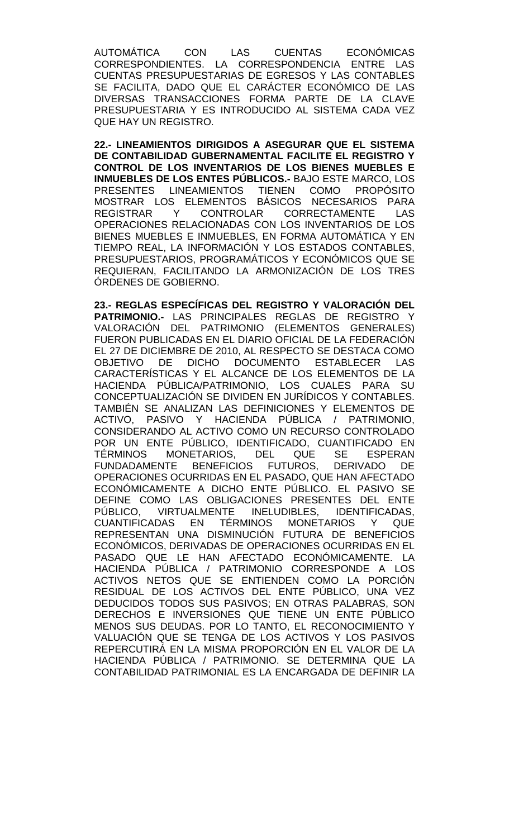AUTOMÁTICA CON LAS CUENTAS ECONÓMICAS CORRESPONDIENTES. LA CORRESPONDENCIA ENTRE LAS CUENTAS PRESUPUESTARIAS DE EGRESOS Y LAS CONTABLES SE FACILITA, DADO QUE EL CARÁCTER ECONÓMICO DE LAS DIVERSAS TRANSACCIONES FORMA PARTE DE LA CLAVE PRESUPUESTARIA Y ES INTRODUCIDO AL SISTEMA CADA VEZ QUE HAY UN REGISTRO.

**22.- LINEAMIENTOS DIRIGIDOS A ASEGURAR QUE EL SISTEMA DE CONTABILIDAD GUBERNAMENTAL FACILITE EL REGISTRO Y CONTROL DE LOS INVENTARIOS DE LOS BIENES MUEBLES E INMUEBLES DE LOS ENTES PÚBLICOS.-** BAJO ESTE MARCO, LOS PRESENTES LINEAMIENTOS TIENEN COMO PROPÓSITO MOSTRAR LOS ELEMENTOS BÁSICOS NECESARIOS PARA REGISTRAR Y CONTROLAR CORRECTAMENTE LAS OPERACIONES RELACIONADAS CON LOS INVENTARIOS DE LOS BIENES MUEBLES E INMUEBLES, EN FORMA AUTOMÁTICA Y EN TIEMPO REAL, LA INFORMACIÓN Y LOS ESTADOS CONTABLES, PRESUPUESTARIOS, PROGRAMÁTICOS Y ECONÓMICOS QUE SE REQUIERAN, FACILITANDO LA ARMONIZACIÓN DE LOS TRES ÓRDENES DE GOBIERNO.

**23.- REGLAS ESPECÍFICAS DEL REGISTRO Y VALORACIÓN DEL PATRIMONIO.-** LAS PRINCIPALES REGLAS DE REGISTRO Y VALORACIÓN DEL PATRIMONIO (ELEMENTOS GENERALES) FUERON PUBLICADAS EN EL DIARIO OFICIAL DE LA FEDERACIÓN EL 27 DE DICIEMBRE DE 2010, AL RESPECTO SE DESTACA COMO OBJETIVO DE DICHO DOCUMENTO ESTABLECER LAS CARACTERÍSTICAS Y EL ALCANCE DE LOS ELEMENTOS DE LA HACIENDA PÚBLICA/PATRIMONIO, LOS CUALES PARA SU CONCEPTUALIZACIÓN SE DIVIDEN EN JURÍDICOS Y CONTABLES. TAMBIÉN SE ANALIZAN LAS DEFINICIONES Y ELEMENTOS DE ACTIVO, PASIVO Y HACIENDA PÚBLICA / PATRIMONIO, CONSIDERANDO AL ACTIVO COMO UN RECURSO CONTROLADO POR UN ENTE PÚBLICO, IDENTIFICADO, CUANTIFICADO EN TÉRMINOS MONETARIOS, DEL QUE SE ESPERAN<br>FUNDADAMENTE BENEFICIOS FUTUROS. DERIVADO DE FUNDADAMENTE BENEFICIOS FUTUROS, DERIVADO DE OPERACIONES OCURRIDAS EN EL PASADO, QUE HAN AFECTADO ECONÓMICAMENTE A DICHO ENTE PÚBLICO. EL PASIVO SE DEFINE COMO LAS OBLIGACIONES PRESENTES DEL ENTE PÚBLICO, VIRTUALMENTE INELUDIBLES, IDENTIFICADAS, CUANTIFICADAS EN TÉRMINOS MONETARIOS Y QUE REPRESENTAN UNA DISMINUCIÓN FUTURA DE BENEFICIOS ECONÓMICOS, DERIVADAS DE OPERACIONES OCURRIDAS EN EL PASADO QUE LE HAN AFECTADO ECONÓMICAMENTE. LA HACIENDA PÚBLICA / PATRIMONIO CORRESPONDE A LOS ACTIVOS NETOS QUE SE ENTIENDEN COMO LA PORCIÓN RESIDUAL DE LOS ACTIVOS DEL ENTE PÚBLICO, UNA VEZ DEDUCIDOS TODOS SUS PASIVOS; EN OTRAS PALABRAS, SON DERECHOS E INVERSIONES QUE TIENE UN ENTE PÚBLICO MENOS SUS DEUDAS. POR LO TANTO, EL RECONOCIMIENTO Y VALUACIÓN QUE SE TENGA DE LOS ACTIVOS Y LOS PASIVOS REPERCUTIRÁ EN LA MISMA PROPORCIÓN EN EL VALOR DE LA HACIENDA PÚBLICA / PATRIMONIO. SE DETERMINA QUE LA CONTABILIDAD PATRIMONIAL ES LA ENCARGADA DE DEFINIR LA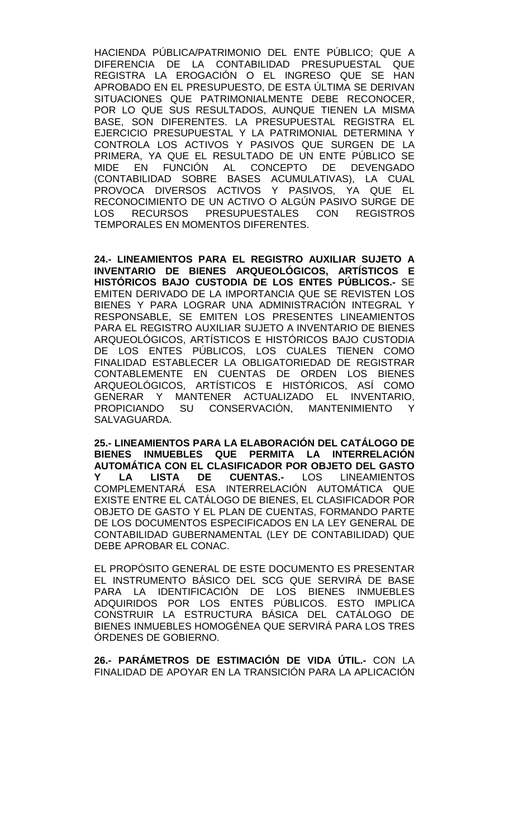HACIENDA PÚBLICA/PATRIMONIO DEL ENTE PÚBLICO; QUE A DIFERENCIA DE LA CONTABILIDAD PRESUPUESTAL QUE REGISTRA LA EROGACIÓN O EL INGRESO QUE SE HAN APROBADO EN EL PRESUPUESTO, DE ESTA ÚLTIMA SE DERIVAN SITUACIONES QUE PATRIMONIALMENTE DEBE RECONOCER, POR LO QUE SUS RESULTADOS, AUNQUE TIENEN LA MISMA BASE, SON DIFERENTES. LA PRESUPUESTAL REGISTRA EL EJERCICIO PRESUPUESTAL Y LA PATRIMONIAL DETERMINA Y CONTROLA LOS ACTIVOS Y PASIVOS QUE SURGEN DE LA PRIMERA, YA QUE EL RESULTADO DE UN ENTE PÚBLICO SE MIDE EN FUNCIÓN AL CONCEPTO DE DEVENGADO (CONTABILIDAD SOBRE BASES ACUMULATIVAS), LA CUAL PROVOCA DIVERSOS ACTIVOS Y PASIVOS, YA QUE EL RECONOCIMIENTO DE UN ACTIVO O ALGÚN PASIVO SURGE DE LOS RECURSOS PRESUPUESTALES CON REGISTROS TEMPORALES EN MOMENTOS DIFERENTES.

**24.- LINEAMIENTOS PARA EL REGISTRO AUXILIAR SUJETO A INVENTARIO DE BIENES ARQUEOLÓGICOS, ARTÍSTICOS E HISTÓRICOS BAJO CUSTODIA DE LOS ENTES PÚBLICOS.-** SE EMITEN DERIVADO DE LA IMPORTANCIA QUE SE REVISTEN LOS BIENES Y PARA LOGRAR UNA ADMINISTRACIÓN INTEGRAL Y RESPONSABLE, SE EMITEN LOS PRESENTES LINEAMIENTOS PARA EL REGISTRO AUXILIAR SUJETO A INVENTARIO DE BIENES ARQUEOLÓGICOS, ARTÍSTICOS E HISTÓRICOS BAJO CUSTODIA DE LOS ENTES PÚBLICOS, LOS CUALES TIENEN COMO FINALIDAD ESTABLECER LA OBLIGATORIEDAD DE REGISTRAR CONTABLEMENTE EN CUENTAS DE ORDEN LOS BIENES ARQUEOLÓGICOS, ARTÍSTICOS E HISTÓRICOS, ASÍ COMO GENERAR Y MANTENER ACTUALIZADO EL INVENTARIO,<br>PROPICIANDO SU CONSERVACIÓN. MANTENIMIENTO Y SU CONSERVACIÓN, MANTENIMIENTO Y SALVAGUARDA.

**25.- LINEAMIENTOS PARA LA ELABORACIÓN DEL CATÁLOGO DE BIENES INMUEBLES QUE PERMITA LA INTERRELACIÓN AUTOMÁTICA CON EL CLASIFICADOR POR OBJETO DEL GASTO**  LISTA DE CUENTAS.- LOS COMPLEMENTARÁ ESA INTERRELACIÓN AUTOMÁTICA QUE EXISTE ENTRE EL CATÁLOGO DE BIENES, EL CLASIFICADOR POR OBJETO DE GASTO Y EL PLAN DE CUENTAS, FORMANDO PARTE DE LOS DOCUMENTOS ESPECIFICADOS EN LA LEY GENERAL DE CONTABILIDAD GUBERNAMENTAL (LEY DE CONTABILIDAD) QUE DEBE APROBAR EL CONAC.

EL PROPÓSITO GENERAL DE ESTE DOCUMENTO ES PRESENTAR EL INSTRUMENTO BÁSICO DEL SCG QUE SERVIRÁ DE BASE PARA LA IDENTIFICACIÓN DE LOS BIENES INMUEBLES ADQUIRIDOS POR LOS ENTES PÚBLICOS. ESTO IMPLICA CONSTRUIR LA ESTRUCTURA BÁSICA DEL CATÁLOGO DE BIENES INMUEBLES HOMOGÉNEA QUE SERVIRÁ PARA LOS TRES ÓRDENES DE GOBIERNO.

**26.- PARÁMETROS DE ESTIMACIÓN DE VIDA ÚTIL.-** CON LA FINALIDAD DE APOYAR EN LA TRANSICIÓN PARA LA APLICACIÓN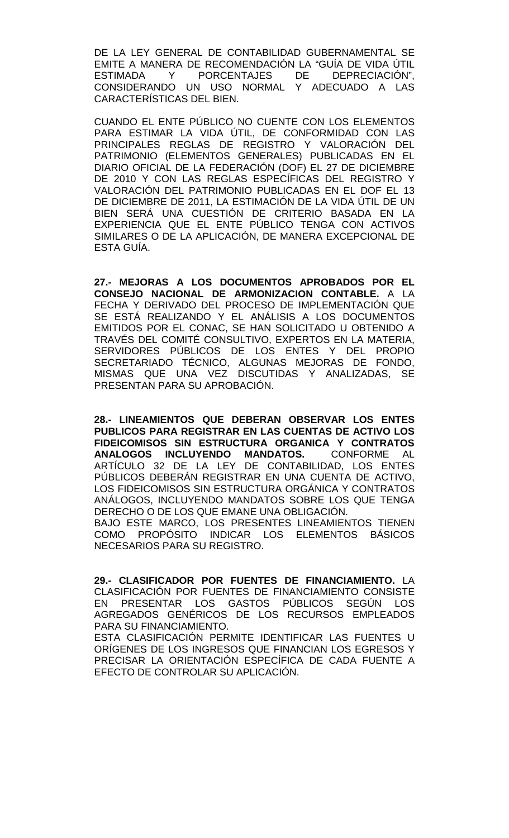DE LA LEY GENERAL DE CONTABILIDAD GUBERNAMENTAL SE EMITE A MANERA DE RECOMENDACIÓN LA "GUÍA DE VIDA ÚTIL ESTIMADA Y PORCENTAJES DE DEPRECIACIÓN", CONSIDERANDO UN USO NORMAL Y ADECUADO A LAS CARACTERÍSTICAS DEL BIEN.

CUANDO EL ENTE PÚBLICO NO CUENTE CON LOS ELEMENTOS PARA ESTIMAR LA VIDA ÚTIL, DE CONFORMIDAD CON LAS PRINCIPALES REGLAS DE REGISTRO Y VALORACIÓN DEL PATRIMONIO (ELEMENTOS GENERALES) PUBLICADAS EN EL DIARIO OFICIAL DE LA FEDERACIÓN (DOF) EL 27 DE DICIEMBRE DE 2010 Y CON LAS REGLAS ESPECÍFICAS DEL REGISTRO Y VALORACIÓN DEL PATRIMONIO PUBLICADAS EN EL DOF EL 13 DE DICIEMBRE DE 2011, LA ESTIMACIÓN DE LA VIDA ÚTIL DE UN BIEN SERÁ UNA CUESTIÓN DE CRITERIO BASADA EN LA EXPERIENCIA QUE EL ENTE PÚBLICO TENGA CON ACTIVOS SIMILARES O DE LA APLICACIÓN, DE MANERA EXCEPCIONAL DE ESTA GUÍA.

**27.- MEJORAS A LOS DOCUMENTOS APROBADOS POR EL CONSEJO NACIONAL DE ARMONIZACION CONTABLE.** A LA FECHA Y DERIVADO DEL PROCESO DE IMPLEMENTACIÓN QUE SE ESTÁ REALIZANDO Y EL ANÁLISIS A LOS DOCUMENTOS EMITIDOS POR EL CONAC, SE HAN SOLICITADO U OBTENIDO A TRAVÉS DEL COMITÉ CONSULTIVO, EXPERTOS EN LA MATERIA, SERVIDORES PÚBLICOS DE LOS ENTES Y DEL PROPIO SECRETARIADO TÉCNICO, ALGUNAS MEJORAS DE FONDO, MISMAS QUE UNA VEZ DISCUTIDAS Y ANALIZADAS, SE PRESENTAN PARA SU APROBACIÓN.

**28.- LINEAMIENTOS QUE DEBERAN OBSERVAR LOS ENTES PUBLICOS PARA REGISTRAR EN LAS CUENTAS DE ACTIVO LOS FIDEICOMISOS SIN ESTRUCTURA ORGANICA Y CONTRATOS**  ANALOGOS INCLUYENDO MANDATOS. ARTÍCULO 32 DE LA LEY DE CONTABILIDAD, LOS ENTES PÚBLICOS DEBERÁN REGISTRAR EN UNA CUENTA DE ACTIVO, LOS FIDEICOMISOS SIN ESTRUCTURA ORGÁNICA Y CONTRATOS ANÁLOGOS, INCLUYENDO MANDATOS SOBRE LOS QUE TENGA DERECHO O DE LOS QUE EMANE UNA OBLIGACIÓN. BAJO ESTE MARCO, LOS PRESENTES LINEAMIENTOS TIENEN COMO PROPÓSITO INDICAR LOS ELEMENTOS BÁSICOS NECESARIOS PARA SU REGISTRO.

**29.- CLASIFICADOR POR FUENTES DE FINANCIAMIENTO.** LA CLASIFICACIÓN POR FUENTES DE FINANCIAMIENTO CONSISTE EN PRESENTAR LOS GASTOS PÚBLICOS SEGÚN LOS AGREGADOS GENÉRICOS DE LOS RECURSOS EMPLEADOS PARA SU FINANCIAMIENTO.

ESTA CLASIFICACIÓN PERMITE IDENTIFICAR LAS FUENTES U ORÍGENES DE LOS INGRESOS QUE FINANCIAN LOS EGRESOS Y PRECISAR LA ORIENTACIÓN ESPECÍFICA DE CADA FUENTE A EFECTO DE CONTROLAR SU APLICACIÓN.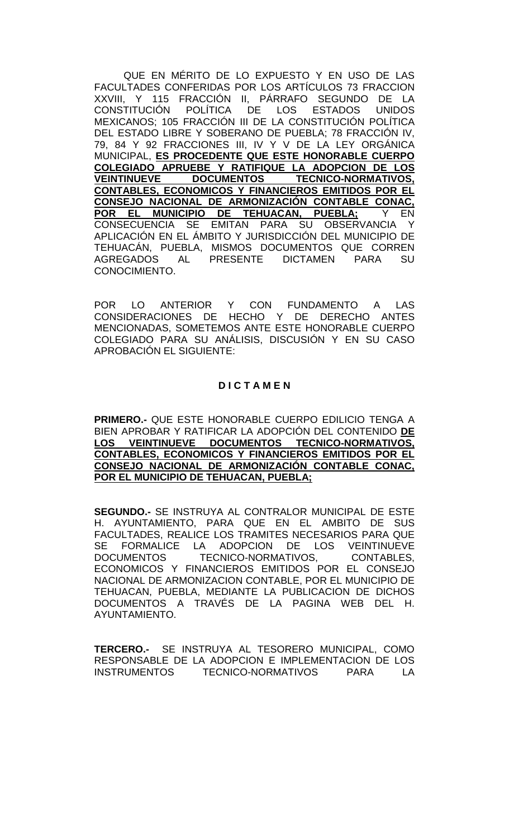QUE EN MÉRITO DE LO EXPUESTO Y EN USO DE LAS FACULTADES CONFERIDAS POR LOS ARTÍCULOS 73 FRACCION XXVIII, Y 115 FRACCIÓN II, PÁRRAFO SEGUNDO DE LA<br>CONSTITUCIÓN POLÍTICA DE LOS ESTADOS UNIDOS DE LOS ESTADOS MEXICANOS; 105 FRACCIÓN III DE LA CONSTITUCIÓN POLÍTICA DEL ESTADO LIBRE Y SOBERANO DE PUEBLA; 78 FRACCIÓN IV, 79, 84 Y 92 FRACCIONES III, IV Y V DE LA LEY ORGÁNICA MUNICIPAL, **ES PROCEDENTE QUE ESTE HONORABLE CUERPO COLEGIADO APRUEBE Y RATIFIQUE LA ADOPCION DE LOS VEINTINUEVE DOCUMENTOS TECNICO-NORMATIVOS, CONTABLES, ECONOMICOS Y FINANCIEROS EMITIDOS POR EL CONSEJO NACIONAL DE ARMONIZACIÓN CONTABLE CONAC,<br>POR EL MUNICIPIO DE TEHUACAN, PUEBLA; Y EN** POR EL MUNICIPIO DE TEHUACAN, CONSECUENCIA SE EMITAN PARA SU OBSERVANCIA Y APLICACIÓN EN EL ÁMBITO Y JURISDICCIÓN DEL MUNICIPIO DE TEHUACÁN, PUEBLA, MISMOS DOCUMENTOS QUE CORREN AGREGADOS AL PRESENTE DICTAMEN PARA SU CONOCIMIENTO.

POR LO ANTERIOR Y CON FUNDAMENTO A LAS CONSIDERACIONES DE HECHO Y DE DERECHO ANTES MENCIONADAS, SOMETEMOS ANTE ESTE HONORABLE CUERPO COLEGIADO PARA SU ANÁLISIS, DISCUSIÓN Y EN SU CASO APROBACIÓN EL SIGUIENTE:

### **D I C T A M E N**

**PRIMERO.-** QUE ESTE HONORABLE CUERPO EDILICIO TENGA A BIEN APROBAR Y RATIFICAR LA ADOPCIÓN DEL CONTENIDO **DE LOS VEINTINUEVE DOCUMENTOS TECNICO-NORMATIVOS, CONTABLES, ECONOMICOS Y FINANCIEROS EMITIDOS POR EL CONSEJO NACIONAL DE ARMONIZACIÓN CONTABLE CONAC, POR EL MUNICIPIO DE TEHUACAN, PUEBLA;**

**SEGUNDO.-** SE INSTRUYA AL CONTRALOR MUNICIPAL DE ESTE H. AYUNTAMIENTO, PARA QUE EN EL AMBITO DE SUS FACULTADES, REALICE LOS TRAMITES NECESARIOS PARA QUE SE FORMALICE LA ADOPCION DE LOS VEINTINUEVE<br>DOCUMENTOS TECNICO-NORMATIVOS, CONTABLES, TECNICO-NORMATIVOS, CONTABLES, ECONOMICOS Y FINANCIEROS EMITIDOS POR EL CONSEJO NACIONAL DE ARMONIZACION CONTABLE, POR EL MUNICIPIO DE TEHUACAN, PUEBLA, MEDIANTE LA PUBLICACION DE DICHOS DOCUMENTOS A TRAVÉS DE LA PAGINA WEB DEL H. AYUNTAMIENTO.

**TERCERO.-** SE INSTRUYA AL TESORERO MUNICIPAL, COMO RESPONSABLE DE LA ADOPCION E IMPLEMENTACION DE LOS INSTRUMENTOS TECNICO-NORMATIVOS PARA LA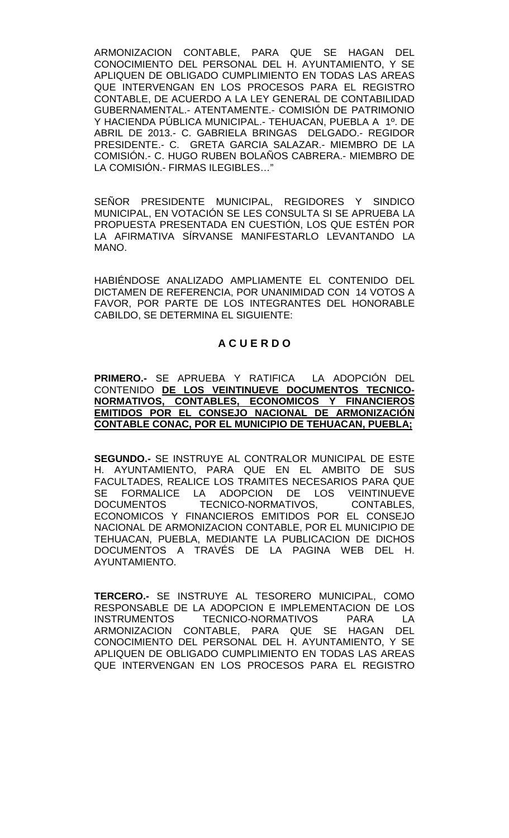ARMONIZACION CONTABLE, PARA QUE SE HAGAN DEL CONOCIMIENTO DEL PERSONAL DEL H. AYUNTAMIENTO, Y SE APLIQUEN DE OBLIGADO CUMPLIMIENTO EN TODAS LAS AREAS QUE INTERVENGAN EN LOS PROCESOS PARA EL REGISTRO CONTABLE, DE ACUERDO A LA LEY GENERAL DE CONTABILIDAD GUBERNAMENTAL.- ATENTAMENTE.- COMISIÓN DE PATRIMONIO Y HACIENDA PÚBLICA MUNICIPAL.- TEHUACAN, PUEBLA A 1º. DE ABRIL DE 2013.- C. GABRIELA BRINGAS DELGADO.- REGIDOR PRESIDENTE.- C. GRETA GARCIA SALAZAR.- MIEMBRO DE LA COMISIÓN.- C. HUGO RUBEN BOLAÑOS CABRERA.- MIEMBRO DE LA COMISIÓN.- FIRMAS ILEGIBLES…"

SEÑOR PRESIDENTE MUNICIPAL, REGIDORES Y SINDICO MUNICIPAL, EN VOTACIÓN SE LES CONSULTA SI SE APRUEBA LA PROPUESTA PRESENTADA EN CUESTIÓN, LOS QUE ESTÉN POR LA AFIRMATIVA SÍRVANSE MANIFESTARLO LEVANTANDO LA MANO.

HABIÉNDOSE ANALIZADO AMPLIAMENTE EL CONTENIDO DEL DICTAMEN DE REFERENCIA, POR UNANIMIDAD CON 14 VOTOS A FAVOR, POR PARTE DE LOS INTEGRANTES DEL HONORABLE CABILDO, SE DETERMINA EL SIGUIENTE:

# **A C U E R D O**

**PRIMERO.-** SE APRUEBA Y RATIFICA LA ADOPCIÓN DEL CONTENIDO **DE LOS VEINTINUEVE DOCUMENTOS TECNICO-NORMATIVOS, CONTABLES, ECONOMICOS Y FINANCIEROS EMITIDOS POR EL CONSEJO NACIONAL DE ARMONIZACIÓN CONTABLE CONAC, POR EL MUNICIPIO DE TEHUACAN, PUEBLA;**

**SEGUNDO.-** SE INSTRUYE AL CONTRALOR MUNICIPAL DE ESTE H. AYUNTAMIENTO, PARA QUE EN EL AMBITO DE SUS FACULTADES, REALICE LOS TRAMITES NECESARIOS PARA QUE<br>SE FORMALICE LA ADOPCION DE LOS VEINTINUEVE FORMALICE LA ADOPCION DE LOS VEINTINUEVE DOCUMENTOS TECNICO-NORMATIVOS, CONTABLES, ECONOMICOS Y FINANCIEROS EMITIDOS POR EL CONSEJO NACIONAL DE ARMONIZACION CONTABLE, POR EL MUNICIPIO DE TEHUACAN, PUEBLA, MEDIANTE LA PUBLICACION DE DICHOS DOCUMENTOS A TRAVÉS DE LA PAGINA WEB DEL H. AYUNTAMIENTO.

**TERCERO.-** SE INSTRUYE AL TESORERO MUNICIPAL, COMO RESPONSABLE DE LA ADOPCION E IMPLEMENTACION DE LOS INSTRUMENTOS TECNICO-NORMATIVOS PARA LA ARMONIZACION CONTABLE, PARA QUE SE HAGAN DEL CONOCIMIENTO DEL PERSONAL DEL H. AYUNTAMIENTO, Y SE APLIQUEN DE OBLIGADO CUMPLIMIENTO EN TODAS LAS AREAS QUE INTERVENGAN EN LOS PROCESOS PARA EL REGISTRO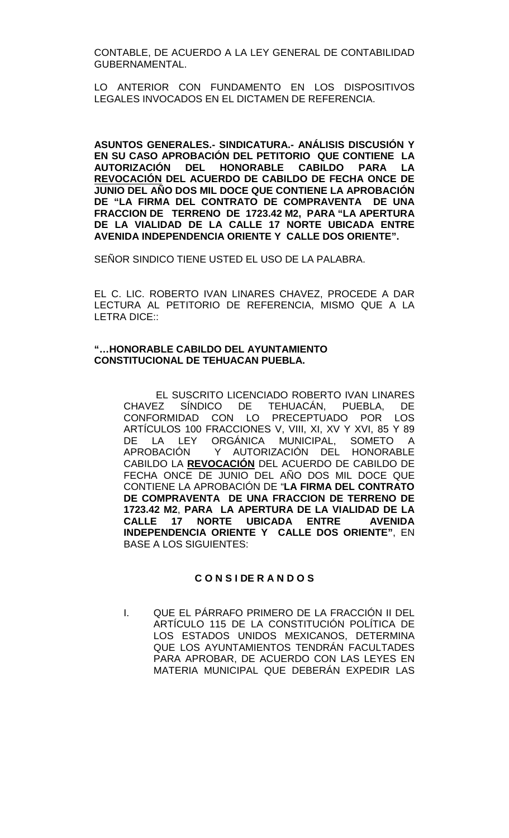CONTABLE, DE ACUERDO A LA LEY GENERAL DE CONTABILIDAD GUBERNAMENTAL.

LO ANTERIOR CON FUNDAMENTO EN LOS DISPOSITIVOS LEGALES INVOCADOS EN EL DICTAMEN DE REFERENCIA.

**ASUNTOS GENERALES.- SINDICATURA.- ANÁLISIS DISCUSIÓN Y EN SU CASO APROBACIÓN DEL PETITORIO QUE CONTIENE LA AUTORIZACIÓN DEL HONORABLE CABILDO PARA LA REVOCACIÓN DEL ACUERDO DE CABILDO DE FECHA ONCE DE JUNIO DEL AÑO DOS MIL DOCE QUE CONTIENE LA APROBACIÓN DE "LA FIRMA DEL CONTRATO DE COMPRAVENTA DE UNA FRACCION DE TERRENO DE 1723.42 M2, PARA "LA APERTURA DE LA VIALIDAD DE LA CALLE 17 NORTE UBICADA ENTRE AVENIDA INDEPENDENCIA ORIENTE Y CALLE DOS ORIENTE".**

SEÑOR SINDICO TIENE USTED EL USO DE LA PALABRA.

EL C. LIC. ROBERTO IVAN LINARES CHAVEZ, PROCEDE A DAR LECTURA AL PETITORIO DE REFERENCIA, MISMO QUE A LA LETRA DICE::

### **"…HONORABLE CABILDO DEL AYUNTAMIENTO CONSTITUCIONAL DE TEHUACAN PUEBLA.**

EL SUSCRITO LICENCIADO ROBERTO IVAN LINARES CHAVEZ SÍNDICO DE TEHUACÁN, PUEBLA, DE CONFORMIDAD CON LO PRECEPTUADO POR LOS ARTÍCULOS 100 FRACCIONES V, VIII, XI, XV Y XVI, 85 Y 89<br>DE LA LEY ORGÁNICA MUNICIPAL, SOMETO A<br>APROBACIÓN Y AUTORIZACIÓN DEL HONORABLE DE LA LEY ORGÁNICA MUNICIPAL,<br>APROBACIÓN Y AUTORIZACIÓN DEL Y AUTORIZACIÓN DEL CABILDO LA **REVOCACIÓN** DEL ACUERDO DE CABILDO DE FECHA ONCE DE JUNIO DEL AÑO DOS MIL DOCE QUE CONTIENE LA APROBACIÓN DE "**LA FIRMA DEL CONTRATO DE COMPRAVENTA DE UNA FRACCION DE TERRENO DE 1723.42 M2**, **PARA LA APERTURA DE LA VIALIDAD DE LA CALLE 17 NORTE UBICADA ENTRE AVENIDA INDEPENDENCIA ORIENTE Y CALLE DOS ORIENTE"**, EN BASE A LOS SIGUIENTES:

### **C O N S I DE R A N D O S**

I. QUE EL PÁRRAFO PRIMERO DE LA FRACCIÓN II DEL ARTÍCULO 115 DE LA CONSTITUCIÓN POLÍTICA DE LOS ESTADOS UNIDOS MEXICANOS, DETERMINA QUE LOS AYUNTAMIENTOS TENDRÁN FACULTADES PARA APROBAR, DE ACUERDO CON LAS LEYES EN MATERIA MUNICIPAL QUE DEBERÁN EXPEDIR LAS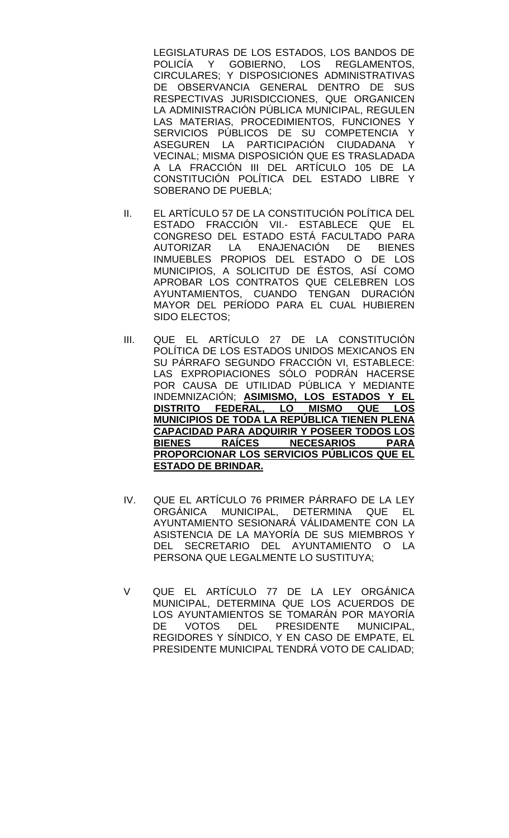LEGISLATURAS DE LOS ESTADOS, LOS BANDOS DE POLICÍA Y GOBIERNO, LOS REGLAMENTOS, CIRCULARES; Y DISPOSICIONES ADMINISTRATIVAS DE OBSERVANCIA GENERAL DENTRO DE SUS RESPECTIVAS JURISDICCIONES, QUE ORGANICEN LA ADMINISTRACIÓN PÚBLICA MUNICIPAL, REGULEN LAS MATERIAS, PROCEDIMIENTOS, FUNCIONES Y SERVICIOS PÚBLICOS DE SU COMPETENCIA Y ASEGUREN LA PARTICIPACIÓN CIUDADANA Y VECINAL; MISMA DISPOSICIÓN QUE ES TRASLADADA A LA FRACCIÓN III DEL ARTÍCULO 105 DE LA CONSTITUCIÓN POLÍTICA DEL ESTADO LIBRE Y SOBERANO DE PUEBLA;

- II. EL ARTÍCULO 57 DE LA CONSTITUCIÓN POLÍTICA DEL ESTADO FRACCIÓN VII.- ESTABLECE QUE EL CONGRESO DEL ESTADO ESTÁ FACULTADO PARA<br>AUTORIZAR LA ENAJENACIÓN DE BIENES AUTORIZAR LA ENAJENACIÓN DE BIENES INMUEBLES PROPIOS DEL ESTADO O DE LOS MUNICIPIOS, A SOLICITUD DE ÉSTOS, ASÍ COMO APROBAR LOS CONTRATOS QUE CELEBREN LOS AYUNTAMIENTOS, CUANDO TENGAN DURACIÓN MAYOR DEL PERÍODO PARA EL CUAL HUBIEREN SIDO ELECTOS;
- III. QUE EL ARTÍCULO 27 DE LA CONSTITUCIÓN POLÍTICA DE LOS ESTADOS UNIDOS MEXICANOS EN SU PÁRRAFO SEGUNDO FRACCIÓN VI, ESTABLECE: LAS EXPROPIACIONES SÓLO PODRÁN HACERSE POR CAUSA DE UTILIDAD PÚBLICA Y MEDIANTE INDEMNIZACIÓN; **ASIMISMO, LOS ESTADOS Y EL DISTRITO FEDERAL, LO MISMO QUE LOS MUNICIPIOS DE TODA LA REPÚBLICA TIENEN PLENA CAPACIDAD PARA ADQUIRIR Y POSEER TODOS LOS BIENES RAÍCES NECESARIOS PROPORCIONAR LOS SERVICIOS PÚBLICOS QUE EL ESTADO DE BRINDAR.**
- IV. QUE EL ARTÍCULO 76 PRIMER PÁRRAFO DE LA LEY ORGÁNICA MUNICIPAL, DETERMINA QUE EL AYUNTAMIENTO SESIONARÁ VÁLIDAMENTE CON LA ASISTENCIA DE LA MAYORÍA DE SUS MIEMBROS Y DEL SECRETARIO DEL AYUNTAMIENTO O LA PERSONA QUE LEGALMENTE LO SUSTITUYA;
- V QUE EL ARTÍCULO 77 DE LA LEY ORGÁNICA MUNICIPAL, DETERMINA QUE LOS ACUERDOS DE LOS AYUNTAMIENTOS SE TOMARÁN POR MAYORÍA DE VOTOS DEL PRESIDENTE MUNICIPAL, REGIDORES Y SÍNDICO, Y EN CASO DE EMPATE, EL PRESIDENTE MUNICIPAL TENDRÁ VOTO DE CALIDAD;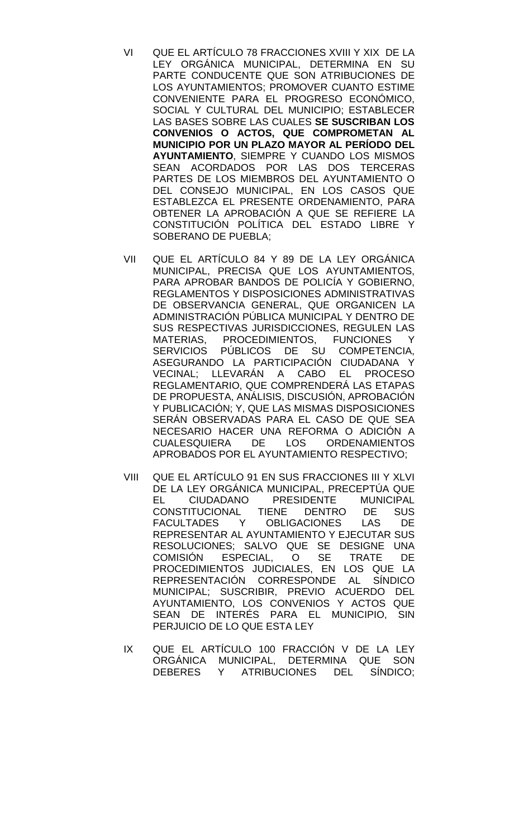- VI QUE EL ARTÍCULO 78 FRACCIONES XVIII Y XIX DE LA LEY ORGÁNICA MUNICIPAL, DETERMINA EN SU PARTE CONDUCENTE QUE SON ATRIBUCIONES DE LOS AYUNTAMIENTOS; PROMOVER CUANTO ESTIME CONVENIENTE PARA EL PROGRESO ECONÓMICO, SOCIAL Y CULTURAL DEL MUNICIPIO; ESTABLECER LAS BASES SOBRE LAS CUALES **SE SUSCRIBAN LOS CONVENIOS O ACTOS, QUE COMPROMETAN AL MUNICIPIO POR UN PLAZO MAYOR AL PERÍODO DEL AYUNTAMIENTO**, SIEMPRE Y CUANDO LOS MISMOS SEAN ACORDADOS POR LAS DOS TERCERAS PARTES DE LOS MIEMBROS DEL AYUNTAMIENTO O DEL CONSEJO MUNICIPAL, EN LOS CASOS QUE ESTABLEZCA EL PRESENTE ORDENAMIENTO, PARA OBTENER LA APROBACIÓN A QUE SE REFIERE LA CONSTITUCIÓN POLÍTICA DEL ESTADO LIBRE Y SOBERANO DE PUEBLA;
- VII QUE EL ARTÍCULO 84 Y 89 DE LA LEY ORGÁNICA MUNICIPAL, PRECISA QUE LOS AYUNTAMIENTOS, PARA APROBAR BANDOS DE POLICÍA Y GOBIERNO, REGLAMENTOS Y DISPOSICIONES ADMINISTRATIVAS DE OBSERVANCIA GENERAL, QUE ORGANICEN LA ADMINISTRACIÓN PÚBLICA MUNICIPAL Y DENTRO DE SUS RESPECTIVAS JURISDICCIONES, REGULEN LAS MATERIAS, PROCEDIMIENTOS, FUNCIONES Y SERVICIOS PÚBLICOS DE SU COMPETENCIA, ASEGURANDO LA PARTICIPACIÓN CIUDADANA Y VECINAL; LLEVARÁN A CABO EL PROCESO REGLAMENTARIO, QUE COMPRENDERÁ LAS ETAPAS DE PROPUESTA, ANÁLISIS, DISCUSIÓN, APROBACIÓN Y PUBLICACIÓN; Y, QUE LAS MISMAS DISPOSICIONES SERÁN OBSERVADAS PARA EL CASO DE QUE SEA NECESARIO HACER UNA REFORMA O ADICIÓN A<br>CUALESQUIERA DE LOS ORDENAMIENTOS **ORDENAMIENTOS** APROBADOS POR EL AYUNTAMIENTO RESPECTIVO;
- VIII QUE EL ARTÍCULO 91 EN SUS FRACCIONES III Y XLVI DE LA LEY ORGÁNICA MUNICIPAL, PRECEPTÚA QUE EL CIUDADANO PRESIDENTE MUNICIPAL CONSTITUCIONAL TIENE DENTRO DE SUS<br>FACULTADES Y OBLIGACIONES LAS DE **OBLIGACIONES** REPRESENTAR AL AYUNTAMIENTO Y EJECUTAR SUS RESOLUCIONES; SALVO QUE SE DESIGNE UNA<br>COMISIÓN ESPECIAL, O SE TRATE DE COMISIÓN ESPECIAL, O SE TRATE DE PROCEDIMIENTOS JUDICIALES, EN LOS QUE LA REPRESENTACIÓN CORRESPONDE AL SÍNDICO MUNICIPAL; SUSCRIBIR, PREVIO ACUERDO DEL AYUNTAMIENTO, LOS CONVENIOS Y ACTOS QUE SEAN DE INTERÉS PARA EL MUNICIPIO, SIN PERJUICIO DE LO QUE ESTA LEY
- IX QUE EL ARTÍCULO 100 FRACCIÓN V DE LA LEY ORGÁNICA MUNICIPAL, DETERMINA QUE SON DEBERES Y ATRIBUCIONES DEL SÍNDICO;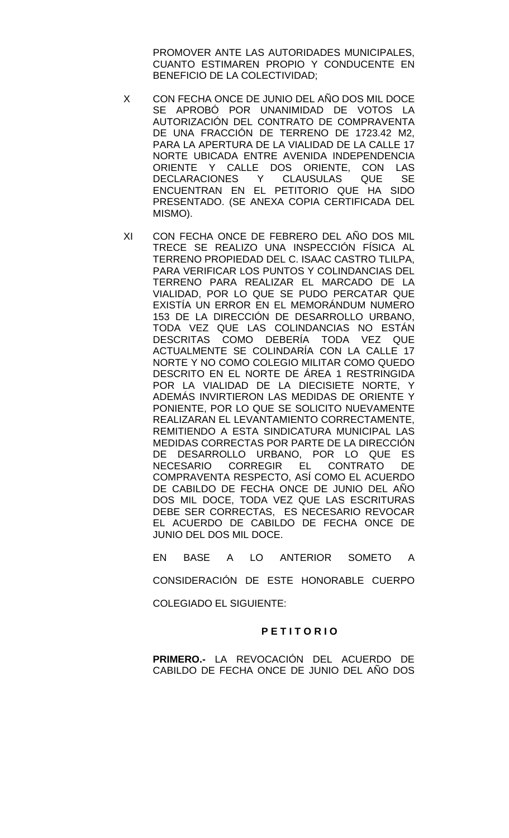PROMOVER ANTE LAS AUTORIDADES MUNICIPALES, CUANTO ESTIMAREN PROPIO Y CONDUCENTE EN BENEFICIO DE LA COLECTIVIDAD;

- X CON FECHA ONCE DE JUNIO DEL AÑO DOS MIL DOCE SE APROBÓ POR UNANIMIDAD DE VOTOS LA AUTORIZACIÓN DEL CONTRATO DE COMPRAVENTA DE UNA FRACCIÓN DE TERRENO DE 1723.42 M2, PARA LA APERTURA DE LA VIALIDAD DE LA CALLE 17 NORTE UBICADA ENTRE AVENIDA INDEPENDENCIA ORIENTE Y CALLE DOS ORIENTE, CON LAS<br>DECLARACIONES Y CLAUSULAS QUE SE DECLARACIONES Y CLAUSULAS QUE SE ENCUENTRAN EN EL PETITORIO QUE HA SIDO PRESENTADO. (SE ANEXA COPIA CERTIFICADA DEL MISMO).
- XI CON FECHA ONCE DE FEBRERO DEL AÑO DOS MIL TRECE SE REALIZO UNA INSPECCIÓN FÍSICA AL TERRENO PROPIEDAD DEL C. ISAAC CASTRO TLILPA, PARA VERIFICAR LOS PUNTOS Y COLINDANCIAS DEL TERRENO PARA REALIZAR EL MARCADO DE LA VIALIDAD, POR LO QUE SE PUDO PERCATAR QUE EXISTÍA UN ERROR EN EL MEMORÁNDUM NUMERO 153 DE LA DIRECCIÓN DE DESARROLLO URBANO, TODA VEZ QUE LAS COLINDANCIAS NO ESTÁN DESCRITAS COMO DEBERÍA TODA VEZ QUE ACTUALMENTE SE COLINDARÍA CON LA CALLE 17 NORTE Y NO COMO COLEGIO MILITAR COMO QUEDO DESCRITO EN EL NORTE DE ÁREA 1 RESTRINGIDA POR LA VIALIDAD DE LA DIECISIETE NORTE, Y ADEMÁS INVIRTIERON LAS MEDIDAS DE ORIENTE Y PONIENTE, POR LO QUE SE SOLICITO NUEVAMENTE REALIZARAN EL LEVANTAMIENTO CORRECTAMENTE, REMITIENDO A ESTA SINDICATURA MUNICIPAL LAS MEDIDAS CORRECTAS POR PARTE DE LA DIRECCIÓN DE DESARROLLO URBANO, POR LO QUE ES<br>NECESARIO CORREGIR EL CONTRATO DE NECESARIO CORREGIR EL CONTRATO DE COMPRAVENTA RESPECTO, ASÍ COMO EL ACUERDO DE CABILDO DE FECHA ONCE DE JUNIO DEL AÑO DOS MIL DOCE, TODA VEZ QUE LAS ESCRITURAS DEBE SER CORRECTAS, ES NECESARIO REVOCAR EL ACUERDO DE CABILDO DE FECHA ONCE DE JUNIO DEL DOS MIL DOCE.

EN BASE A LO ANTERIOR SOMETO A CONSIDERACIÓN DE ESTE HONORABLE CUERPO COLEGIADO EL SIGUIENTE:

### **P E T I T O R I O**

**PRIMERO.-** LA REVOCACIÓN DEL ACUERDO DE CABILDO DE FECHA ONCE DE JUNIO DEL AÑO DOS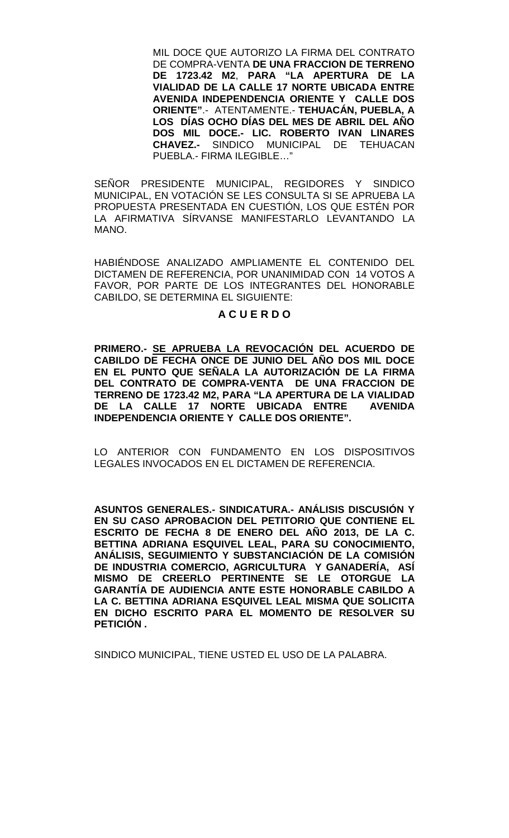MIL DOCE QUE AUTORIZO LA FIRMA DEL CONTRATO DE COMPRA-VENTA **DE UNA FRACCION DE TERRENO DE 1723.42 M2**, **PARA "LA APERTURA DE LA VIALIDAD DE LA CALLE 17 NORTE UBICADA ENTRE AVENIDA INDEPENDENCIA ORIENTE Y CALLE DOS ORIENTE"**.- ATENTAMENTE.- **TEHUACÁN, PUEBLA, A LOS DÍAS OCHO DÍAS DEL MES DE ABRIL DEL AÑO DOS MIL DOCE.- LIC. ROBERTO IVAN LINARES CHAVEZ.-** SINDICO MUNICIPAL DE TEHUACAN PUEBLA.- FIRMA ILEGIBLE…"

SEÑOR PRESIDENTE MUNICIPAL, REGIDORES Y SINDICO MUNICIPAL, EN VOTACIÓN SE LES CONSULTA SI SE APRUEBA LA PROPUESTA PRESENTADA EN CUESTIÓN, LOS QUE ESTÉN POR LA AFIRMATIVA SÍRVANSE MANIFESTARLO LEVANTANDO LA MANO.

HABIÉNDOSE ANALIZADO AMPLIAMENTE EL CONTENIDO DEL DICTAMEN DE REFERENCIA, POR UNANIMIDAD CON 14 VOTOS A FAVOR, POR PARTE DE LOS INTEGRANTES DEL HONORABLE CABILDO, SE DETERMINA EL SIGUIENTE:

### **A C U E R D O**

**PRIMERO.- SE APRUEBA LA REVOCACIÓN DEL ACUERDO DE CABILDO DE FECHA ONCE DE JUNIO DEL AÑO DOS MIL DOCE EN EL PUNTO QUE SEÑALA LA AUTORIZACIÓN DE LA FIRMA DEL CONTRATO DE COMPRA-VENTA DE UNA FRACCION DE TERRENO DE 1723.42 M2, PARA "LA APERTURA DE LA VIALIDAD DE LA CALLE 17 NORTE UBICADA ENTRE INDEPENDENCIA ORIENTE Y CALLE DOS ORIENTE".**

LO ANTERIOR CON FUNDAMENTO EN LOS DISPOSITIVOS LEGALES INVOCADOS EN EL DICTAMEN DE REFERENCIA.

**ASUNTOS GENERALES.- SINDICATURA.- ANÁLISIS DISCUSIÓN Y EN SU CASO APROBACION DEL PETITORIO QUE CONTIENE EL ESCRITO DE FECHA 8 DE ENERO DEL AÑO 2013, DE LA C. BETTINA ADRIANA ESQUIVEL LEAL, PARA SU CONOCIMIENTO, ANÁLISIS, SEGUIMIENTO Y SUBSTANCIACIÓN DE LA COMISIÓN DE INDUSTRIA COMERCIO, AGRICULTURA Y GANADERÍA, ASÍ MISMO DE CREERLO PERTINENTE SE LE OTORGUE LA GARANTÍA DE AUDIENCIA ANTE ESTE HONORABLE CABILDO A LA C. BETTINA ADRIANA ESQUIVEL LEAL MISMA QUE SOLICITA EN DICHO ESCRITO PARA EL MOMENTO DE RESOLVER SU PETICIÓN .**

SINDICO MUNICIPAL, TIENE USTED EL USO DE LA PALABRA.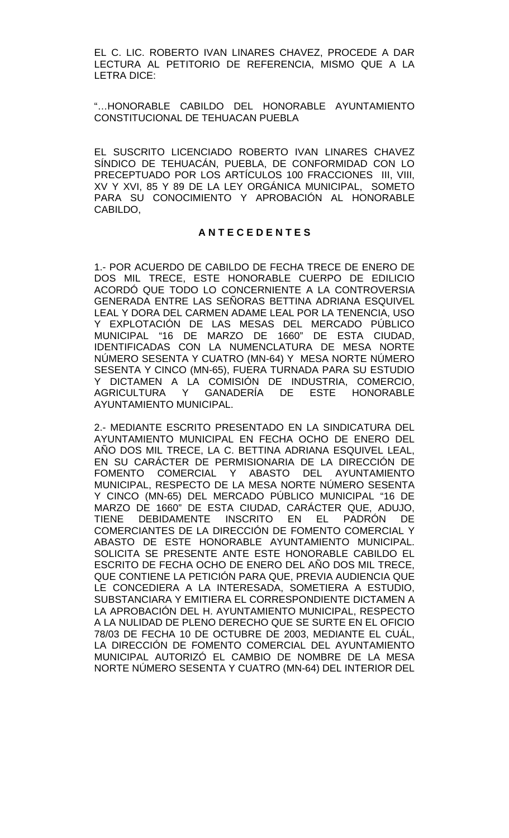EL C. LIC. ROBERTO IVAN LINARES CHAVEZ, PROCEDE A DAR LECTURA AL PETITORIO DE REFERENCIA, MISMO QUE A LA LETRA DICE:

"…HONORABLE CABILDO DEL HONORABLE AYUNTAMIENTO CONSTITUCIONAL DE TEHUACAN PUEBLA

EL SUSCRITO LICENCIADO ROBERTO IVAN LINARES CHAVEZ SÍNDICO DE TEHUACÁN, PUEBLA, DE CONFORMIDAD CON LO PRECEPTUADO POR LOS ARTÍCULOS 100 FRACCIONES III, VIII, XV Y XVI, 85 Y 89 DE LA LEY ORGÁNICA MUNICIPAL, SOMETO PARA SU CONOCIMIENTO Y APROBACIÓN AL HONORABLE CABILDO,

# **A N T E C E D E N T E S**

1.- POR ACUERDO DE CABILDO DE FECHA TRECE DE ENERO DE DOS MIL TRECE, ESTE HONORABLE CUERPO DE EDILICIO ACORDÓ QUE TODO LO CONCERNIENTE A LA CONTROVERSIA GENERADA ENTRE LAS SEÑORAS BETTINA ADRIANA ESQUIVEL LEAL Y DORA DEL CARMEN ADAME LEAL POR LA TENENCIA, USO Y EXPLOTACIÓN DE LAS MESAS DEL MERCADO PÚBLICO MUNICIPAL "16 DE MARZO DE 1660" DE ESTA CIUDAD, IDENTIFICADAS CON LA NUMENCLATURA DE MESA NORTE NÚMERO SESENTA Y CUATRO (MN-64) Y MESA NORTE NÚMERO SESENTA Y CINCO (MN-65), FUERA TURNADA PARA SU ESTUDIO Y DICTAMEN A LA COMISIÓN DE INDUSTRIA, COMERCIO, AGRICULTURA Y GANADERÍA DE ESTE HONORABLE AYUNTAMIENTO MUNICIPAL.

2.- MEDIANTE ESCRITO PRESENTADO EN LA SINDICATURA DEL AYUNTAMIENTO MUNICIPAL EN FECHA OCHO DE ENERO DEL AÑO DOS MIL TRECE, LA C. BETTINA ADRIANA ESQUIVEL LEAL, EN SU CARÁCTER DE PERMISIONARIA DE LA DIRECCIÓN DE FOMENTO COMERCIAL Y ABASTO DEL AYUNTAMIENTO MUNICIPAL, RESPECTO DE LA MESA NORTE NÚMERO SESENTA Y CINCO (MN-65) DEL MERCADO PÚBLICO MUNICIPAL "16 DE MARZO DE 1660" DE ESTA CIUDAD, CARÁCTER QUE, ADUJO, TIENE DEBIDAMENTE INSCRITO EN EL PADRÓN DE COMERCIANTES DE LA DIRECCIÓN DE FOMENTO COMERCIAL Y ABASTO DE ESTE HONORABLE AYUNTAMIENTO MUNICIPAL. SOLICITA SE PRESENTE ANTE ESTE HONORABLE CABILDO EL ESCRITO DE FECHA OCHO DE ENERO DEL AÑO DOS MIL TRECE, QUE CONTIENE LA PETICIÓN PARA QUE, PREVIA AUDIENCIA QUE LE CONCEDIERA A LA INTERESADA, SOMETIERA A ESTUDIO, SUBSTANCIARA Y EMITIERA EL CORRESPONDIENTE DICTAMEN A LA APROBACIÓN DEL H. AYUNTAMIENTO MUNICIPAL, RESPECTO A LA NULIDAD DE PLENO DERECHO QUE SE SURTE EN EL OFICIO 78/03 DE FECHA 10 DE OCTUBRE DE 2003, MEDIANTE EL CUÁL, LA DIRECCIÓN DE FOMENTO COMERCIAL DEL AYUNTAMIENTO MUNICIPAL AUTORIZÓ EL CAMBIO DE NOMBRE DE LA MESA NORTE NÚMERO SESENTA Y CUATRO (MN-64) DEL INTERIOR DEL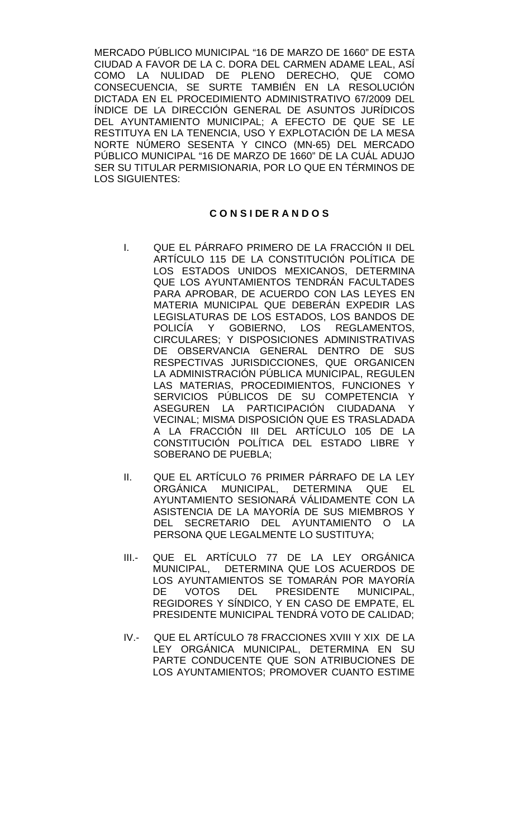MERCADO PÚBLICO MUNICIPAL "16 DE MARZO DE 1660" DE ESTA CIUDAD A FAVOR DE LA C. DORA DEL CARMEN ADAME LEAL, ASÍ COMO LA NULIDAD DE PLENO DERECHO, QUE COMO CONSECUENCIA, SE SURTE TAMBIÉN EN LA RESOLUCIÓN DICTADA EN EL PROCEDIMIENTO ADMINISTRATIVO 67/2009 DEL ÍNDICE DE LA DIRECCIÓN GENERAL DE ASUNTOS JURÍDICOS DEL AYUNTAMIENTO MUNICIPAL; A EFECTO DE QUE SE LE RESTITUYA EN LA TENENCIA, USO Y EXPLOTACIÓN DE LA MESA NORTE NÚMERO SESENTA Y CINCO (MN-65) DEL MERCADO PÚBLICO MUNICIPAL "16 DE MARZO DE 1660" DE LA CUÁL ADUJO SER SU TITULAR PERMISIONARIA, POR LO QUE EN TÉRMINOS DE LOS SIGUIENTES:

# **C O N S I DE R A N D O S**

- I. QUE EL PÁRRAFO PRIMERO DE LA FRACCIÓN II DEL ARTÍCULO 115 DE LA CONSTITUCIÓN POLÍTICA DE LOS ESTADOS UNIDOS MEXICANOS, DETERMINA QUE LOS AYUNTAMIENTOS TENDRÁN FACULTADES PARA APROBAR, DE ACUERDO CON LAS LEYES EN MATERIA MUNICIPAL QUE DEBERÁN EXPEDIR LAS LEGISLATURAS DE LOS ESTADOS, LOS BANDOS DE POLICÍA Y GOBIERNO, LOS REGLAMENTOS, CIRCULARES; Y DISPOSICIONES ADMINISTRATIVAS DE OBSERVANCIA GENERAL DENTRO DE SUS RESPECTIVAS JURISDICCIONES, QUE ORGANICEN LA ADMINISTRACIÓN PÚBLICA MUNICIPAL, REGULEN LAS MATERIAS, PROCEDIMIENTOS, FUNCIONES Y SERVICIOS PÚBLICOS DE SU COMPETENCIA Y ASEGUREN LA PARTICIPACIÓN CIUDADANA Y VECINAL; MISMA DISPOSICIÓN QUE ES TRASLADADA A LA FRACCIÓN III DEL ARTÍCULO 105 DE LA CONSTITUCIÓN POLÍTICA DEL ESTADO LIBRE Y SOBERANO DE PUEBLA;
- II. QUE EL ARTÍCULO 76 PRIMER PÁRRAFO DE LA LEY ORGÁNICA MUNICIPAL, DETERMINA QUE EL AYUNTAMIENTO SESIONARÁ VÁLIDAMENTE CON LA ASISTENCIA DE LA MAYORÍA DE SUS MIEMBROS Y DEL SECRETARIO DEL AYUNTAMIENTO O LA PERSONA QUE LEGALMENTE LO SUSTITUYA;
- III.- QUE EL ARTÍCULO 77 DE LA LEY ORGÁNICA MUNICIPAL, DETERMINA QUE LOS ACUERDOS DE LOS AYUNTAMIENTOS SE TOMARÁN POR MAYORÍA DE VOTOS DEL PRESIDENTE MUNICIPAL, REGIDORES Y SÍNDICO, Y EN CASO DE EMPATE, EL PRESIDENTE MUNICIPAL TENDRÁ VOTO DE CALIDAD;
- IV.- QUE EL ARTÍCULO 78 FRACCIONES XVIII Y XIX DE LA LEY ORGÁNICA MUNICIPAL, DETERMINA EN SU PARTE CONDUCENTE QUE SON ATRIBUCIONES DE LOS AYUNTAMIENTOS; PROMOVER CUANTO ESTIME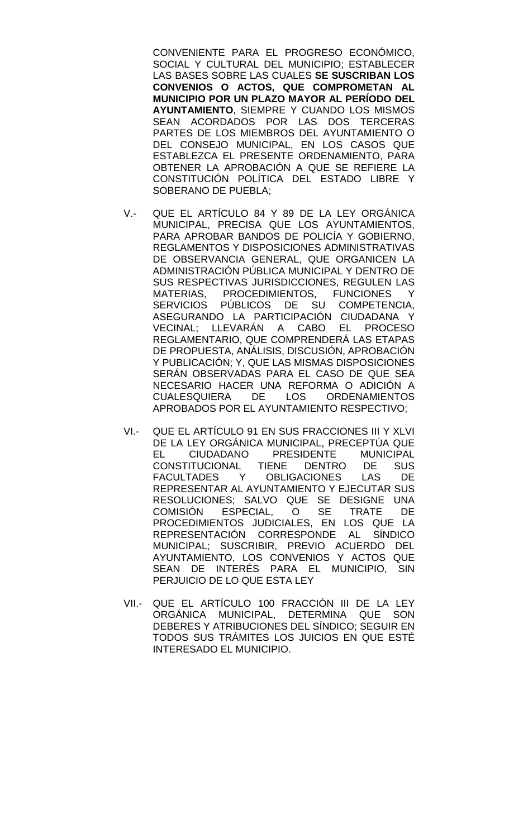CONVENIENTE PARA EL PROGRESO ECONÓMICO, SOCIAL Y CULTURAL DEL MUNICIPIO; ESTABLECER LAS BASES SOBRE LAS CUALES **SE SUSCRIBAN LOS CONVENIOS O ACTOS, QUE COMPROMETAN AL MUNICIPIO POR UN PLAZO MAYOR AL PERÍODO DEL AYUNTAMIENTO**, SIEMPRE Y CUANDO LOS MISMOS SEAN ACORDADOS POR LAS DOS TERCERAS PARTES DE LOS MIEMBROS DEL AYUNTAMIENTO O DEL CONSEJO MUNICIPAL, EN LOS CASOS QUE ESTABLEZCA EL PRESENTE ORDENAMIENTO, PARA OBTENER LA APROBACIÓN A QUE SE REFIERE LA CONSTITUCIÓN POLÍTICA DEL ESTADO LIBRE Y SOBERANO DE PUEBLA;

- V.- QUE EL ARTÍCULO 84 Y 89 DE LA LEY ORGÁNICA MUNICIPAL, PRECISA QUE LOS AYUNTAMIENTOS, PARA APROBAR BANDOS DE POLICÍA Y GOBIERNO, REGLAMENTOS Y DISPOSICIONES ADMINISTRATIVAS DE OBSERVANCIA GENERAL, QUE ORGANICEN LA ADMINISTRACIÓN PÚBLICA MUNICIPAL Y DENTRO DE SUS RESPECTIVAS JURISDICCIONES, REGULEN LAS MATERIAS, PROCEDIMIENTOS, FUNCIONES Y SERVICIOS PÚBLICOS DE SU COMPETENCIA, ASEGURANDO LA PARTICIPACIÓN CIUDADANA Y VECINAL; LLEVARÁN A CABO EL PROCESO REGLAMENTARIO, QUE COMPRENDERÁ LAS ETAPAS DE PROPUESTA, ANÁLISIS, DISCUSIÓN, APROBACIÓN Y PUBLICACIÓN; Y, QUE LAS MISMAS DISPOSICIONES SERÁN OBSERVADAS PARA EL CASO DE QUE SEA NECESARIO HACER UNA REFORMA O ADICIÓN A CUALESQUIERA DE LOS ORDENAMIENTOS APROBADOS POR EL AYUNTAMIENTO RESPECTIVO;
- VI.- QUE EL ARTÍCULO 91 EN SUS FRACCIONES III Y XLVI DE LA LEY ORGÁNICA MUNICIPAL, PRECEPTÚA QUE<br>EL CIUDADANO PRESIDENTE MUNICIPAL EL CIUDADANO PRESIDENTE MUNICIPAL<br>CONSTITUCIONAL TIENE DENTRO DE SUS CONSTITUCIONAL TIENE DENTRO DE SUS FACULTADES Y OBLIGACIONES LAS DE REPRESENTAR AL AYUNTAMIENTO Y EJECUTAR SUS RESOLUCIONES; SALVO QUE SE DESIGNE UNA COMISIÓN ESPECIAL, O SE TRATE DE PROCEDIMIENTOS JUDICIALES, EN LOS QUE LA REPRESENTACIÓN CORRESPONDE AL SÍNDICO MUNICIPAL; SUSCRIBIR, PREVIO ACUERDO DEL AYUNTAMIENTO, LOS CONVENIOS Y ACTOS QUE SEAN DE INTERÉS PARA EL MUNICIPIO, SIN PERJUICIO DE LO QUE ESTA LEY
- VII.- QUE EL ARTÍCULO 100 FRACCIÓN III DE LA LEY ORGÁNICA MUNICIPAL, DETERMINA QUE SON DEBERES Y ATRIBUCIONES DEL SÍNDICO; SEGUIR EN TODOS SUS TRÁMITES LOS JUICIOS EN QUE ESTÉ INTERESADO EL MUNICIPIO.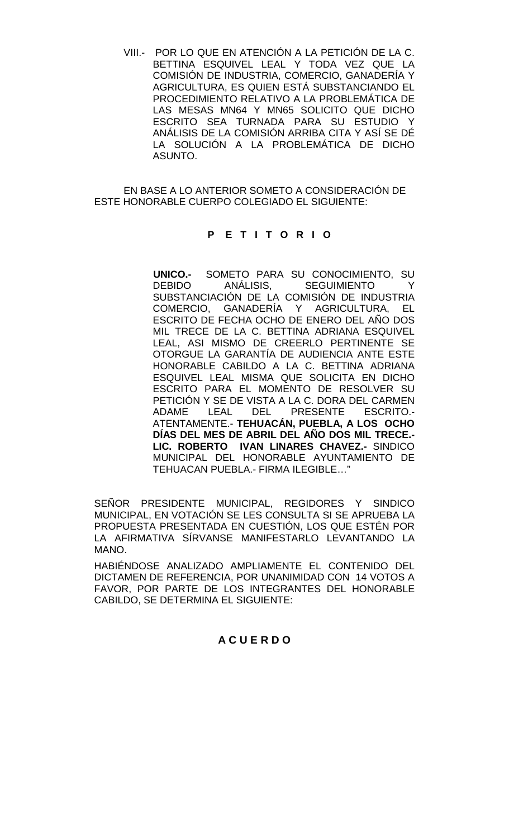VIII.- POR LO QUE EN ATENCIÓN A LA PETICIÓN DE LA C. BETTINA ESQUIVEL LEAL Y TODA VEZ QUE LA COMISIÓN DE INDUSTRIA, COMERCIO, GANADERÍA Y AGRICULTURA, ES QUIEN ESTÁ SUBSTANCIANDO EL PROCEDIMIENTO RELATIVO A LA PROBLEMÁTICA DE LAS MESAS MN64 Y MN65 SOLICITO QUE DICHO ESCRITO SEA TURNADA PARA SU ESTUDIO Y ANÁLISIS DE LA COMISIÓN ARRIBA CITA Y ASÍ SE DÉ LA SOLUCIÓN A LA PROBLEMÁTICA DE DICHO ASUNTO.

EN BASE A LO ANTERIOR SOMETO A CONSIDERACIÓN DE ESTE HONORABLE CUERPO COLEGIADO EL SIGUIENTE:

# **P E T I T O R I O**

**UNICO.-** SOMETO PARA SU CONOCIMIENTO, SU SEGUIMIENTO Y SUBSTANCIACIÓN DE LA COMISIÓN DE INDUSTRIA COMERCIO, GANADERÍA Y AGRICULTURA, EL ESCRITO DE FECHA OCHO DE ENERO DEL AÑO DOS MIL TRECE DE LA C. BETTINA ADRIANA ESQUIVEL LEAL, ASI MISMO DE CREERLO PERTINENTE SE OTORGUE LA GARANTÍA DE AUDIENCIA ANTE ESTE HONORABLE CABILDO A LA C. BETTINA ADRIANA ESQUIVEL LEAL MISMA QUE SOLICITA EN DICHO ESCRITO PARA EL MOMENTO DE RESOLVER SU PETICIÓN Y SE DE VISTA A LA C. DORA DEL CARMEN<br>ADAME LEAL DEL PRESENTE ESCRITO.-ADAME LEAL DEL PRESENTE ESCRITO.- ATENTAMENTE.- **TEHUACÁN, PUEBLA, A LOS OCHO DÍAS DEL MES DE ABRIL DEL AÑO DOS MIL TRECE.- LIC. ROBERTO IVAN LINARES CHAVEZ.-** SINDICO MUNICIPAL DEL HONORABLE AYUNTAMIENTO DE TEHUACAN PUEBLA.- FIRMA ILEGIBLE…"

SEÑOR PRESIDENTE MUNICIPAL, REGIDORES Y SINDICO MUNICIPAL, EN VOTACIÓN SE LES CONSULTA SI SE APRUEBA LA PROPUESTA PRESENTADA EN CUESTIÓN, LOS QUE ESTÉN POR LA AFIRMATIVA SÍRVANSE MANIFESTARLO LEVANTANDO LA MANO.

HABIÉNDOSE ANALIZADO AMPLIAMENTE EL CONTENIDO DEL DICTAMEN DE REFERENCIA, POR UNANIMIDAD CON 14 VOTOS A FAVOR, POR PARTE DE LOS INTEGRANTES DEL HONORABLE CABILDO, SE DETERMINA EL SIGUIENTE:

# **A C U E R D O**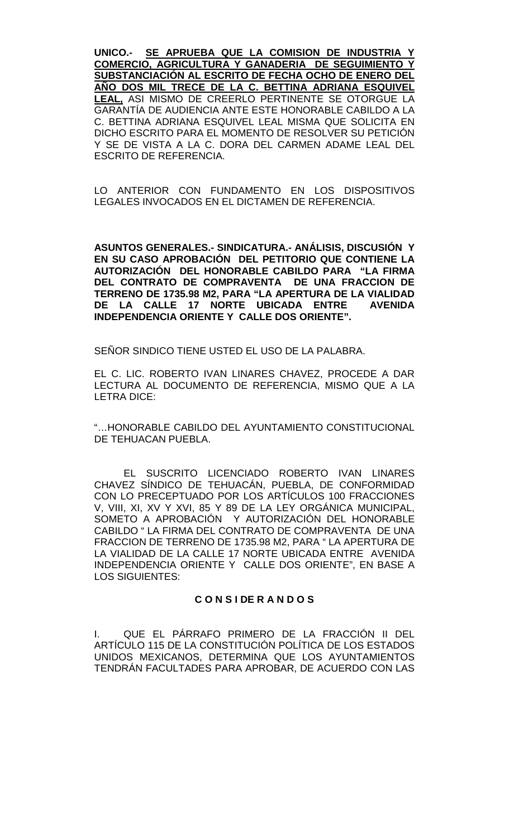**UNICO.- SE APRUEBA QUE LA COMISION DE INDUSTRIA Y COMERCIO, AGRICULTURA Y GANADERIA DE SEGUIMIENTO Y SUBSTANCIACIÓN AL ESCRITO DE FECHA OCHO DE ENERO DEL AÑO DOS MIL TRECE DE LA C. BETTINA ADRIANA ESQUIVEL LEAL,** ASI MISMO DE CREERLO PERTINENTE SE OTORGUE LA GARANTÍA DE AUDIENCIA ANTE ESTE HONORABLE CABILDO A LA C. BETTINA ADRIANA ESQUIVEL LEAL MISMA QUE SOLICITA EN DICHO ESCRITO PARA EL MOMENTO DE RESOLVER SU PETICIÓN Y SE DE VISTA A LA C. DORA DEL CARMEN ADAME LEAL DEL ESCRITO DE REFERENCIA.

LO ANTERIOR CON FUNDAMENTO EN LOS DISPOSITIVOS LEGALES INVOCADOS EN EL DICTAMEN DE REFERENCIA.

**ASUNTOS GENERALES.- SINDICATURA.- ANÁLISIS, DISCUSIÓN Y EN SU CASO APROBACIÓN DEL PETITORIO QUE CONTIENE LA AUTORIZACIÓN DEL HONORABLE CABILDO PARA "LA FIRMA DEL CONTRATO DE COMPRAVENTA DE UNA FRACCION DE TERRENO DE 1735.98 M2, PARA "LA APERTURA DE LA VIALIDAD DE LA CALLE 17 NORTE UBICADA ENTRE INDEPENDENCIA ORIENTE Y CALLE DOS ORIENTE".**

SEÑOR SINDICO TIENE USTED EL USO DE LA PALABRA.

EL C. LIC. ROBERTO IVAN LINARES CHAVEZ, PROCEDE A DAR LECTURA AL DOCUMENTO DE REFERENCIA, MISMO QUE A LA LETRA DICE:

"…HONORABLE CABILDO DEL AYUNTAMIENTO CONSTITUCIONAL DE TEHUACAN PUEBLA.

EL SUSCRITO LICENCIADO ROBERTO IVAN LINARES CHAVEZ SÍNDICO DE TEHUACÁN, PUEBLA, DE CONFORMIDAD CON LO PRECEPTUADO POR LOS ARTÍCULOS 100 FRACCIONES V, VIII, XI, XV Y XVI, 85 Y 89 DE LA LEY ORGÁNICA MUNICIPAL, SOMETO A APROBACIÓN Y AUTORIZACIÓN DEL HONORABLE CABILDO " LA FIRMA DEL CONTRATO DE COMPRAVENTA DE UNA FRACCION DE TERRENO DE 1735.98 M2, PARA " LA APERTURA DE LA VIALIDAD DE LA CALLE 17 NORTE UBICADA ENTRE AVENIDA INDEPENDENCIA ORIENTE Y CALLE DOS ORIENTE", EN BASE A LOS SIGUIENTES:

# **C O N S I DE R A N D O S**

I. QUE EL PÁRRAFO PRIMERO DE LA FRACCIÓN II DEL ARTÍCULO 115 DE LA CONSTITUCIÓN POLÍTICA DE LOS ESTADOS UNIDOS MEXICANOS, DETERMINA QUE LOS AYUNTAMIENTOS TENDRÁN FACULTADES PARA APROBAR, DE ACUERDO CON LAS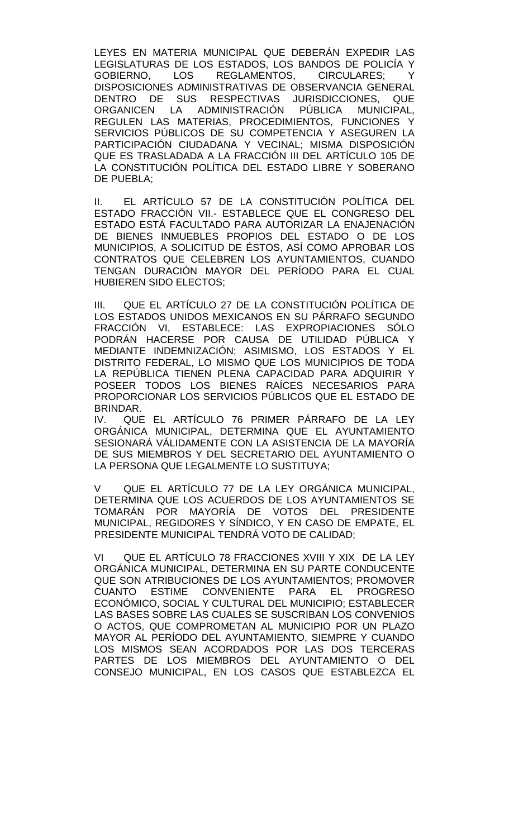LEYES EN MATERIA MUNICIPAL QUE DEBERÁN EXPEDIR LAS LEGISLATURAS DE LOS ESTADOS, LOS BANDOS DE POLICÍA Y<br>GOBIERNO. LOS REGLAMENTOS. CIRCULARES: Y GOBIERNO, LOS REGLAMENTOS, CIRCULARES; Y DISPOSICIONES ADMINISTRATIVAS DE OBSERVANCIA GENERAL DENTRO DE SUS RESPECTIVAS JURISDICCIONES, QUE ORGANICEN LA ADMINISTRACIÓN PÚBLICA MUNICIPAL, REGULEN LAS MATERIAS, PROCEDIMIENTOS, FUNCIONES Y SERVICIOS PÚBLICOS DE SU COMPETENCIA Y ASEGUREN LA PARTICIPACIÓN CIUDADANA Y VECINAL; MISMA DISPOSICIÓN QUE ES TRASLADADA A LA FRACCIÓN III DEL ARTÍCULO 105 DE LA CONSTITUCIÓN POLÍTICA DEL ESTADO LIBRE Y SOBERANO DE PUEBLA;

II. EL ARTÍCULO 57 DE LA CONSTITUCIÓN POLÍTICA DEL ESTADO FRACCIÓN VII.- ESTABLECE QUE EL CONGRESO DEL ESTADO ESTÁ FACULTADO PARA AUTORIZAR LA ENAJENACIÓN DE BIENES INMUEBLES PROPIOS DEL ESTADO O DE LOS MUNICIPIOS, A SOLICITUD DE ÉSTOS, ASÍ COMO APROBAR LOS CONTRATOS QUE CELEBREN LOS AYUNTAMIENTOS, CUANDO TENGAN DURACIÓN MAYOR DEL PERÍODO PARA EL CUAL HUBIEREN SIDO ELECTOS;

III. QUE EL ARTÍCULO 27 DE LA CONSTITUCIÓN POLÍTICA DE LOS ESTADOS UNIDOS MEXICANOS EN SU PÁRRAFO SEGUNDO FRACCIÓN VI, ESTABLECE: LAS EXPROPIACIONES SÓLO PODRÁN HACERSE POR CAUSA DE UTILIDAD PÚBLICA Y MEDIANTE INDEMNIZACIÓN; ASIMISMO, LOS ESTADOS Y EL DISTRITO FEDERAL, LO MISMO QUE LOS MUNICIPIOS DE TODA LA REPÚBLICA TIENEN PLENA CAPACIDAD PARA ADQUIRIR Y POSEER TODOS LOS BIENES RAÍCES NECESARIOS PARA PROPORCIONAR LOS SERVICIOS PÚBLICOS QUE EL ESTADO DE BRINDAR.

IV. QUE EL ARTÍCULO 76 PRIMER PÁRRAFO DE LA LEY ORGÁNICA MUNICIPAL, DETERMINA QUE EL AYUNTAMIENTO SESIONARÁ VÁLIDAMENTE CON LA ASISTENCIA DE LA MAYORÍA DE SUS MIEMBROS Y DEL SECRETARIO DEL AYUNTAMIENTO O LA PERSONA QUE LEGALMENTE LO SUSTITUYA;

V QUE EL ARTÍCULO 77 DE LA LEY ORGÁNICA MUNICIPAL, DETERMINA QUE LOS ACUERDOS DE LOS AYUNTAMIENTOS SE TOMARÁN POR MAYORÍA DE VOTOS DEL PRESIDENTE MUNICIPAL, REGIDORES Y SÍNDICO, Y EN CASO DE EMPATE, EL PRESIDENTE MUNICIPAL TENDRÁ VOTO DE CALIDAD;

VI QUE EL ARTÍCULO 78 FRACCIONES XVIII Y XIX DE LA LEY ORGÁNICA MUNICIPAL, DETERMINA EN SU PARTE CONDUCENTE QUE SON ATRIBUCIONES DE LOS AYUNTAMIENTOS; PROMOVER CUANTO ESTIME CONVENIENTE PARA EL PROGRESO ECONÓMICO, SOCIAL Y CULTURAL DEL MUNICIPIO; ESTABLECER LAS BASES SOBRE LAS CUALES SE SUSCRIBAN LOS CONVENIOS O ACTOS, QUE COMPROMETAN AL MUNICIPIO POR UN PLAZO MAYOR AL PERÍODO DEL AYUNTAMIENTO, SIEMPRE Y CUANDO LOS MISMOS SEAN ACORDADOS POR LAS DOS TERCERAS PARTES DE LOS MIEMBROS DEL AYUNTAMIENTO O DEL CONSEJO MUNICIPAL, EN LOS CASOS QUE ESTABLEZCA EL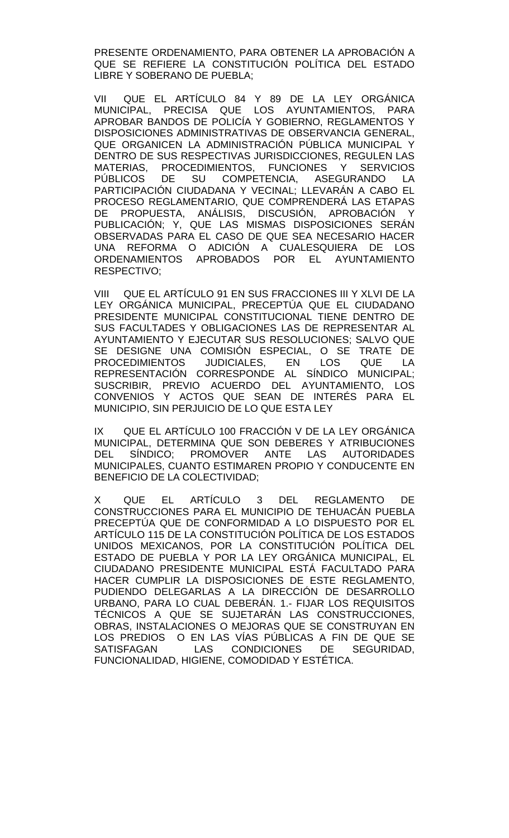PRESENTE ORDENAMIENTO, PARA OBTENER LA APROBACIÓN A QUE SE REFIERE LA CONSTITUCIÓN POLÍTICA DEL ESTADO LIBRE Y SOBERANO DE PUEBLA;

VII QUE EL ARTÍCULO 84 Y 89 DE LA LEY ORGÁNICA MUNICIPAL, PRECISA QUE LOS AYUNTAMIENTOS, PARA APROBAR BANDOS DE POLICÍA Y GOBIERNO, REGLAMENTOS Y DISPOSICIONES ADMINISTRATIVAS DE OBSERVANCIA GENERAL, QUE ORGANICEN LA ADMINISTRACIÓN PÚBLICA MUNICIPAL Y DENTRO DE SUS RESPECTIVAS JURISDICCIONES, REGULEN LAS MATERIAS, PROCEDIMIENTOS, FUNCIONES Y SERVICIOS SU COMPETENCIA, ASEGURANDO LA PARTICIPACIÓN CIUDADANA Y VECINAL; LLEVARÁN A CABO EL PROCESO REGLAMENTARIO, QUE COMPRENDERÁ LAS ETAPAS DE PROPUESTA, ANÁLISIS, DISCUSIÓN, APROBACIÓN Y PUBLICACIÓN; Y, QUE LAS MISMAS DISPOSICIONES SERÁN OBSERVADAS PARA EL CASO DE QUE SEA NECESARIO HACER UNA REFORMA O ADICIÓN A CUALESQUIERA DE LOS ORDENAMIENTOS APROBADOS POR EL AYUNTAMIENTO RESPECTIVO;

VIII QUE EL ARTÍCULO 91 EN SUS FRACCIONES III Y XLVI DE LA LEY ORGÁNICA MUNICIPAL, PRECEPTÚA QUE EL CIUDADANO PRESIDENTE MUNICIPAL CONSTITUCIONAL TIENE DENTRO DE SUS FACULTADES Y OBLIGACIONES LAS DE REPRESENTAR AL AYUNTAMIENTO Y EJECUTAR SUS RESOLUCIONES; SALVO QUE SE DESIGNE UNA COMISIÓN ESPECIAL, O SE TRATE DE<br>PROCEDIMIENTOS JUDICIALES, EN LOS QUE LA PROCEDIMIENTOS JUDICIALES, EN LOS QUE LA REPRESENTACIÓN CORRESPONDE AL SÍNDICO MUNICIPAL; SUSCRIBIR, PREVIO ACUERDO DEL AYUNTAMIENTO, LOS CONVENIOS Y ACTOS QUE SEAN DE INTERÉS PARA EL MUNICIPIO, SIN PERJUICIO DE LO QUE ESTA LEY

IX QUE EL ARTÍCULO 100 FRACCIÓN V DE LA LEY ORGÁNICA MUNICIPAL, DETERMINA QUE SON DEBERES Y ATRIBUCIONES DEL SÍNDICO; PROMOVER ANTE LAS AUTORIDADES MUNICIPALES, CUANTO ESTIMAREN PROPIO Y CONDUCENTE EN BENEFICIO DE LA COLECTIVIDAD;

X QUE EL ARTÍCULO 3 DEL REGLAMENTO DE CONSTRUCCIONES PARA EL MUNICIPIO DE TEHUACÁN PUEBLA PRECEPTÚA QUE DE CONFORMIDAD A LO DISPUESTO POR EL ARTÍCULO 115 DE LA CONSTITUCIÓN POLÍTICA DE LOS ESTADOS UNIDOS MEXICANOS, POR LA CONSTITUCIÓN POLÍTICA DEL ESTADO DE PUEBLA Y POR LA LEY ORGÁNICA MUNICIPAL, EL CIUDADANO PRESIDENTE MUNICIPAL ESTÁ FACULTADO PARA HACER CUMPLIR LA DISPOSICIONES DE ESTE REGLAMENTO, PUDIENDO DELEGARLAS A LA DIRECCIÓN DE DESARROLLO URBANO, PARA LO CUAL DEBERÁN. 1.- FIJAR LOS REQUISITOS TÉCNICOS A QUE SE SUJETARÁN LAS CONSTRUCCIONES, OBRAS, INSTALACIONES O MEJORAS QUE SE CONSTRUYAN EN LOS PREDIOS O EN LAS VÍAS PÚBLICAS A FIN DE QUE SE SATISFAGAN LAS CONDICIONES DE SEGURIDAD, FUNCIONALIDAD, HIGIENE, COMODIDAD Y ESTÉTICA.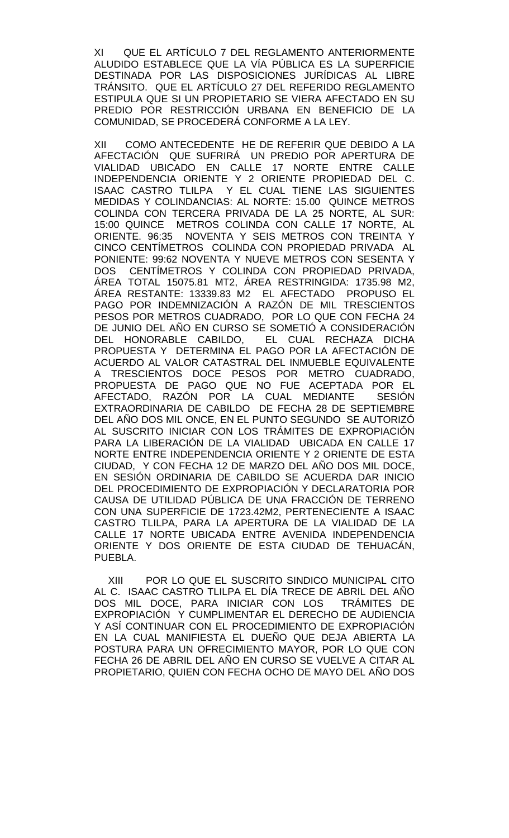XI QUE EL ARTÍCULO 7 DEL REGLAMENTO ANTERIORMENTE ALUDIDO ESTABLECE QUE LA VÍA PÚBLICA ES LA SUPERFICIE DESTINADA POR LAS DISPOSICIONES JURÍDICAS AL LIBRE TRÁNSITO. QUE EL ARTÍCULO 27 DEL REFERIDO REGLAMENTO ESTIPULA QUE SI UN PROPIETARIO SE VIERA AFECTADO EN SU PREDIO POR RESTRICCIÓN URBANA EN BENEFICIO DE LA COMUNIDAD, SE PROCEDERÁ CONFORME A LA LEY.

XII COMO ANTECEDENTE HE DE REFERIR QUE DEBIDO A LA AFECTACIÓN QUE SUFRIRÁ UN PREDIO POR APERTURA DE VIALIDAD UBICADO EN CALLE 17 NORTE ENTRE CALLE INDEPENDENCIA ORIENTE Y 2 ORIENTE PROPIEDAD DEL C. ISAAC CASTRO TLILPA Y EL CUAL TIENE LAS SIGUIENTES MEDIDAS Y COLINDANCIAS: AL NORTE: 15.00 QUINCE METROS COLINDA CON TERCERA PRIVADA DE LA 25 NORTE, AL SUR: 15:00 QUINCE METROS COLINDA CON CALLE 17 NORTE, AL ORIENTE. 96:35 NOVENTA Y SEIS METROS CON TREINTA Y CINCO CENTÍMETROS COLINDA CON PROPIEDAD PRIVADA AL PONIENTE: 99:62 NOVENTA Y NUEVE METROS CON SESENTA Y DOS CENTÍMETROS Y COLINDA CON PROPIEDAD PRIVADA, ÁREA TOTAL 15075.81 MT2, ÁREA RESTRINGIDA: 1735.98 M2, ÁREA RESTANTE: 13339.83 M2 EL AFECTADO PROPUSO EL PAGO POR INDEMNIZACIÓN A RAZÓN DE MIL TRESCIENTOS PESOS POR METROS CUADRADO, POR LO QUE CON FECHA 24 DE JUNIO DEL AÑO EN CURSO SE SOMETIÓ A CONSIDERACIÓN DEL HONORABLE CABILDO, EL CUAL RECHAZA DICHA PROPUESTA Y DETERMINA EL PAGO POR LA AFECTACIÓN DE ACUERDO AL VALOR CATASTRAL DEL INMUEBLE EQUIVALENTE A TRESCIENTOS DOCE PESOS POR METRO CUADRADO, PROPUESTA DE PAGO QUE NO FUE ACEPTADA POR EL AFECTADO, RAZÓN POR LA CUAL MEDIANTE SESIÓN EXTRAORDINARIA DE CABILDO DE FECHA 28 DE SEPTIEMBRE DEL AÑO DOS MIL ONCE, EN EL PUNTO SEGUNDO SE AUTORIZÓ AL SUSCRITO INICIAR CON LOS TRÁMITES DE EXPROPIACIÓN PARA LA LIBERACIÓN DE LA VIALIDAD UBICADA EN CALLE 17 NORTE ENTRE INDEPENDENCIA ORIENTE Y 2 ORIENTE DE ESTA CIUDAD, Y CON FECHA 12 DE MARZO DEL AÑO DOS MIL DOCE, EN SESIÓN ORDINARIA DE CABILDO SE ACUERDA DAR INICIO DEL PROCEDIMIENTO DE EXPROPIACIÓN Y DECLARATORIA POR CAUSA DE UTILIDAD PÚBLICA DE UNA FRACCIÓN DE TERRENO CON UNA SUPERFICIE DE 1723.42M2, PERTENECIENTE A ISAAC CASTRO TLILPA, PARA LA APERTURA DE LA VIALIDAD DE LA CALLE 17 NORTE UBICADA ENTRE AVENIDA INDEPENDENCIA ORIENTE Y DOS ORIENTE DE ESTA CIUDAD DE TEHUACÁN, PUEBLA.

 XIII POR LO QUE EL SUSCRITO SINDICO MUNICIPAL CITO AL C. ISAAC CASTRO TLILPA EL DÍA TRECE DE ABRIL DEL AÑO DOS MIL DOCE, PARA INICIAR CON LOS TRÁMITES DE EXPROPIACIÓN Y CUMPLIMENTAR EL DERECHO DE AUDIENCIA Y ASÍ CONTINUAR CON EL PROCEDIMIENTO DE EXPROPIACIÓN EN LA CUAL MANIFIESTA EL DUEÑO QUE DEJA ABIERTA LA POSTURA PARA UN OFRECIMIENTO MAYOR, POR LO QUE CON FECHA 26 DE ABRIL DEL AÑO EN CURSO SE VUELVE A CITAR AL PROPIETARIO, QUIEN CON FECHA OCHO DE MAYO DEL AÑO DOS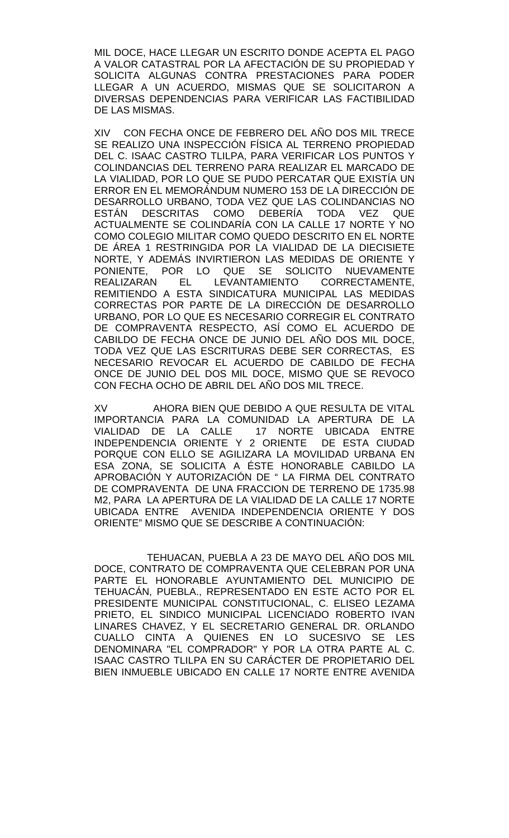MIL DOCE, HACE LLEGAR UN ESCRITO DONDE ACEPTA EL PAGO A VALOR CATASTRAL POR LA AFECTACIÓN DE SU PROPIEDAD Y SOLICITA ALGUNAS CONTRA PRESTACIONES PARA PODER LLEGAR A UN ACUERDO, MISMAS QUE SE SOLICITARON A DIVERSAS DEPENDENCIAS PARA VERIFICAR LAS FACTIBILIDAD DE LAS MISMAS.

XIV CON FECHA ONCE DE FEBRERO DEL AÑO DOS MIL TRECE SE REALIZO UNA INSPECCIÓN FÍSICA AL TERRENO PROPIEDAD DEL C. ISAAC CASTRO TLILPA, PARA VERIFICAR LOS PUNTOS Y COLINDANCIAS DEL TERRENO PARA REALIZAR EL MARCADO DE LA VIALIDAD, POR LO QUE SE PUDO PERCATAR QUE EXISTÍA UN ERROR EN EL MEMORÁNDUM NUMERO 153 DE LA DIRECCIÓN DE DESARROLLO URBANO, TODA VEZ QUE LAS COLINDANCIAS NO<br>ESTÁN DESCRITAS COMO DEBERÍA TODA VEZ QUE ESTÁN DESCRITAS COMO DEBERÍA TODA VEZ QUE ACTUALMENTE SE COLINDARÍA CON LA CALLE 17 NORTE Y NO COMO COLEGIO MILITAR COMO QUEDO DESCRITO EN EL NORTE DE ÁREA 1 RESTRINGIDA POR LA VIALIDAD DE LA DIECISIETE NORTE, Y ADEMÁS INVIRTIERON LAS MEDIDAS DE ORIENTE Y PONIENTE, POR LO QUE SE SOLICITO NUEVAMENTE EL LEVANTAMIENTO CORRECTAMENTE, REMITIENDO A ESTA SINDICATURA MUNICIPAL LAS MEDIDAS CORRECTAS POR PARTE DE LA DIRECCIÓN DE DESARROLLO URBANO, POR LO QUE ES NECESARIO CORREGIR EL CONTRATO DE COMPRAVENTA RESPECTO, ASÍ COMO EL ACUERDO DE CABILDO DE FECHA ONCE DE JUNIO DEL AÑO DOS MIL DOCE, TODA VEZ QUE LAS ESCRITURAS DEBE SER CORRECTAS, ES NECESARIO REVOCAR EL ACUERDO DE CABILDO DE FECHA ONCE DE JUNIO DEL DOS MIL DOCE, MISMO QUE SE REVOCO CON FECHA OCHO DE ABRIL DEL AÑO DOS MIL TRECE.

XV AHORA BIEN QUE DEBIDO A QUE RESULTA DE VITAL IMPORTANCIA PARA LA COMUNIDAD LA APERTURA DE LA 17 NORTE UBICADA ENTRE<br>2 ORIENTE DE ESTA CIUDAD INDEPENDENCIA ORIENTE Y 2 ORIENTE PORQUE CON ELLO SE AGILIZARA LA MOVILIDAD URBANA EN ESA ZONA, SE SOLICITA A ÉSTE HONORABLE CABILDO LA APROBACIÓN Y AUTORIZACIÓN DE " LA FIRMA DEL CONTRATO DE COMPRAVENTA DE UNA FRACCION DE TERRENO DE 1735.98 M2, PARA LA APERTURA DE LA VIALIDAD DE LA CALLE 17 NORTE UBICADA ENTRE AVENIDA INDEPENDENCIA ORIENTE Y DOS ORIENTE" MISMO QUE SE DESCRIBE A CONTINUACIÓN:

 TEHUACAN, PUEBLA A 23 DE MAYO DEL AÑO DOS MIL DOCE, CONTRATO DE COMPRAVENTA QUE CELEBRAN POR UNA PARTE EL HONORABLE AYUNTAMIENTO DEL MUNICIPIO DE TEHUACÁN, PUEBLA., REPRESENTADO EN ESTE ACTO POR EL PRESIDENTE MUNICIPAL CONSTITUCIONAL, C. ELISEO LEZAMA PRIETO, EL SINDICO MUNICIPAL LICENCIADO ROBERTO IVAN LINARES CHAVEZ, Y EL SECRETARIO GENERAL DR. ORLANDO CUALLO CINTA A QUIENES EN LO SUCESIVO SE LES DENOMINARA "EL COMPRADOR" Y POR LA OTRA PARTE AL C. ISAAC CASTRO TLILPA EN SU CARÁCTER DE PROPIETARIO DEL BIEN INMUEBLE UBICADO EN CALLE 17 NORTE ENTRE AVENIDA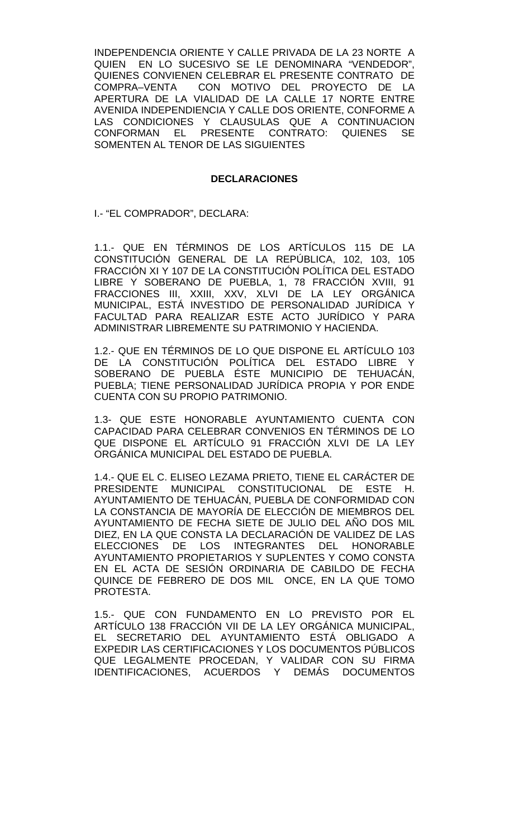INDEPENDENCIA ORIENTE Y CALLE PRIVADA DE LA 23 NORTE A QUIEN EN LO SUCESIVO SE LE DENOMINARA "VENDEDOR", QUIENES CONVIENEN CELEBRAR EL PRESENTE CONTRATO DE<br>COMPRA-VENTA CON MOTIVO DEL PROYECTO DE LA CON MOTIVO DEL PROYECTO DE LA APERTURA DE LA VIALIDAD DE LA CALLE 17 NORTE ENTRE AVENIDA INDEPENDIENCIA Y CALLE DOS ORIENTE, CONFORME A LAS CONDICIONES Y CLAUSULAS QUE A CONTINUACION CONFORMAN EL PRESENTE CONTRATO: QUIENES SE SOMENTEN AL TENOR DE LAS SIGUIENTES

### **DECLARACIONES**

I.- "EL COMPRADOR", DECLARA:

1.1.- QUE EN TÉRMINOS DE LOS ARTÍCULOS 115 DE LA CONSTITUCIÓN GENERAL DE LA REPÚBLICA, 102, 103, 105 FRACCIÓN XI Y 107 DE LA CONSTITUCIÓN POLÍTICA DEL ESTADO LIBRE Y SOBERANO DE PUEBLA, 1, 78 FRACCIÓN XVIII, 91 FRACCIONES III, XXIII, XXV, XLVI DE LA LEY ORGÁNICA MUNICIPAL, ESTÁ INVESTIDO DE PERSONALIDAD JURÍDICA Y FACULTAD PARA REALIZAR ESTE ACTO JURÍDICO Y PARA ADMINISTRAR LIBREMENTE SU PATRIMONIO Y HACIENDA.

1.2.- QUE EN TÉRMINOS DE LO QUE DISPONE EL ARTÍCULO 103 DE LA CONSTITUCIÓN POLÍTICA DEL ESTADO LIBRE Y SOBERANO DE PUEBLA ÉSTE MUNICIPIO DE TEHUACÁN, PUEBLA; TIENE PERSONALIDAD JURÍDICA PROPIA Y POR ENDE CUENTA CON SU PROPIO PATRIMONIO.

1.3- QUE ESTE HONORABLE AYUNTAMIENTO CUENTA CON CAPACIDAD PARA CELEBRAR CONVENIOS EN TÉRMINOS DE LO QUE DISPONE EL ARTÍCULO 91 FRACCIÓN XLVI DE LA LEY ORGÁNICA MUNICIPAL DEL ESTADO DE PUEBLA.

1.4.- QUE EL C. ELISEO LEZAMA PRIETO, TIENE EL CARÁCTER DE PRESIDENTE MUNICIPAL CONSTITUCIONAL DE ESTE H. AYUNTAMIENTO DE TEHUACÁN, PUEBLA DE CONFORMIDAD CON LA CONSTANCIA DE MAYORÍA DE ELECCIÓN DE MIEMBROS DEL AYUNTAMIENTO DE FECHA SIETE DE JULIO DEL AÑO DOS MIL DIEZ, EN LA QUE CONSTA LA DECLARACIÓN DE VALIDEZ DE LAS ELECCIONES DE LOS INTEGRANTES DEL HONORABLE AYUNTAMIENTO PROPIETARIOS Y SUPLENTES Y COMO CONSTA EN EL ACTA DE SESIÓN ORDINARIA DE CABILDO DE FECHA QUINCE DE FEBRERO DE DOS MIL ONCE, EN LA QUE TOMO PROTESTA.

1.5.- QUE CON FUNDAMENTO EN LO PREVISTO POR EL ARTÍCULO 138 FRACCIÓN VII DE LA LEY ORGÁNICA MUNICIPAL, EL SECRETARIO DEL AYUNTAMIENTO ESTÁ OBLIGADO A EXPEDIR LAS CERTIFICACIONES Y LOS DOCUMENTOS PÚBLICOS QUE LEGALMENTE PROCEDAN, Y VALIDAR CON SU FIRMA IDENTIFICACIONES, ACUERDOS Y DEMÁS DOCUMENTOS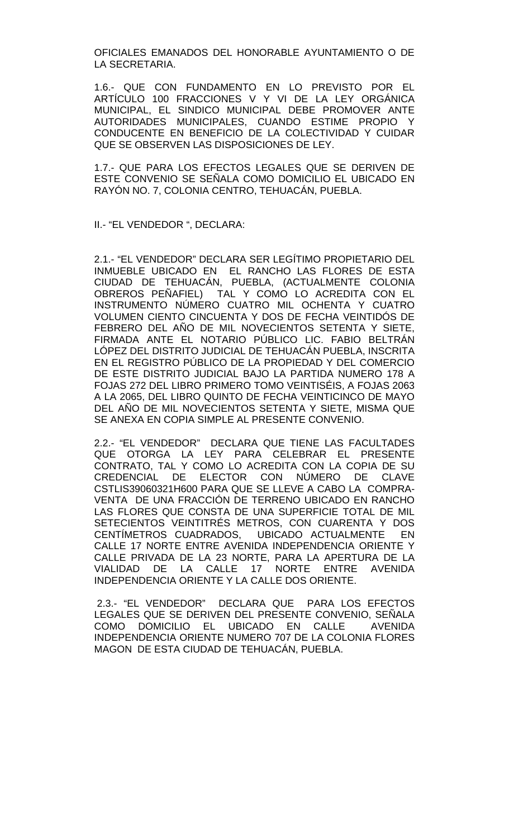OFICIALES EMANADOS DEL HONORABLE AYUNTAMIENTO O DE LA SECRETARIA.

1.6.- QUE CON FUNDAMENTO EN LO PREVISTO POR EL ARTÍCULO 100 FRACCIONES V Y VI DE LA LEY ORGÁNICA MUNICIPAL, EL SINDICO MUNICIPAL DEBE PROMOVER ANTE AUTORIDADES MUNICIPALES, CUANDO ESTIME PROPIO Y CONDUCENTE EN BENEFICIO DE LA COLECTIVIDAD Y CUIDAR QUE SE OBSERVEN LAS DISPOSICIONES DE LEY.

1.7.- QUE PARA LOS EFECTOS LEGALES QUE SE DERIVEN DE ESTE CONVENIO SE SEÑALA COMO DOMICILIO EL UBICADO EN RAYÓN NO. 7, COLONIA CENTRO, TEHUACÁN, PUEBLA.

II.- "EL VENDEDOR ", DECLARA:

2.1.- "EL VENDEDOR" DECLARA SER LEGÍTIMO PROPIETARIO DEL INMUEBLE UBICADO EN EL RANCHO LAS FLORES DE ESTA CIUDAD DE TEHUACÁN, PUEBLA, (ACTUALMENTE COLONIA OBREROS PEÑAFIEL) TAL Y COMO LO ACREDITA CON EL INSTRUMENTO NÚMERO CUATRO MIL OCHENTA Y CUATRO VOLUMEN CIENTO CINCUENTA Y DOS DE FECHA VEINTIDÓS DE FEBRERO DEL AÑO DE MIL NOVECIENTOS SETENTA Y SIETE, FIRMADA ANTE EL NOTARIO PÚBLICO LIC. FABIO BELTRÁN LÓPEZ DEL DISTRITO JUDICIAL DE TEHUACÁN PUEBLA, INSCRITA EN EL REGISTRO PÚBLICO DE LA PROPIEDAD Y DEL COMERCIO DE ESTE DISTRITO JUDICIAL BAJO LA PARTIDA NUMERO 178 A FOJAS 272 DEL LIBRO PRIMERO TOMO VEINTISÉIS, A FOJAS 2063 A LA 2065, DEL LIBRO QUINTO DE FECHA VEINTICINCO DE MAYO DEL AÑO DE MIL NOVECIENTOS SETENTA Y SIETE, MISMA QUE SE ANEXA EN COPIA SIMPLE AL PRESENTE CONVENIO.

2.2.- "EL VENDEDOR" DECLARA QUE TIENE LAS FACULTADES QUE OTORGA LA LEY PARA CELEBRAR EL PRESENTE CONTRATO, TAL Y COMO LO ACREDITA CON LA COPIA DE SU CREDENCIAL DE ELECTOR CON NÚMERO DE CLAVE CSTLIS39060321H600 PARA QUE SE LLEVE A CABO LA COMPRA-VENTA DE UNA FRACCIÓN DE TERRENO UBICADO EN RANCHO LAS FLORES QUE CONSTA DE UNA SUPERFICIE TOTAL DE MIL SETECIENTOS VEINTITRÉS METROS, CON CUARENTA Y DOS CENTÍMETROS CUADRADOS, UBICADO ACTUALMENTE EN CALLE 17 NORTE ENTRE AVENIDA INDEPENDENCIA ORIENTE Y CALLE PRIVADA DE LA 23 NORTE, PARA LA APERTURA DE LA VIALIDAD DE LA CALLE 17 NORTE ENTRE AVENIDA INDEPENDENCIA ORIENTE Y LA CALLE DOS ORIENTE.

2.3.- "EL VENDEDOR" DECLARA QUE PARA LOS EFECTOS LEGALES QUE SE DERIVEN DEL PRESENTE CONVENIO, SEÑALA COMO DOMICILIO EL UBICADO EN CALLE AVENIDA INDEPENDENCIA ORIENTE NUMERO 707 DE LA COLONIA FLORES MAGON DE ESTA CIUDAD DE TEHUACÁN, PUEBLA.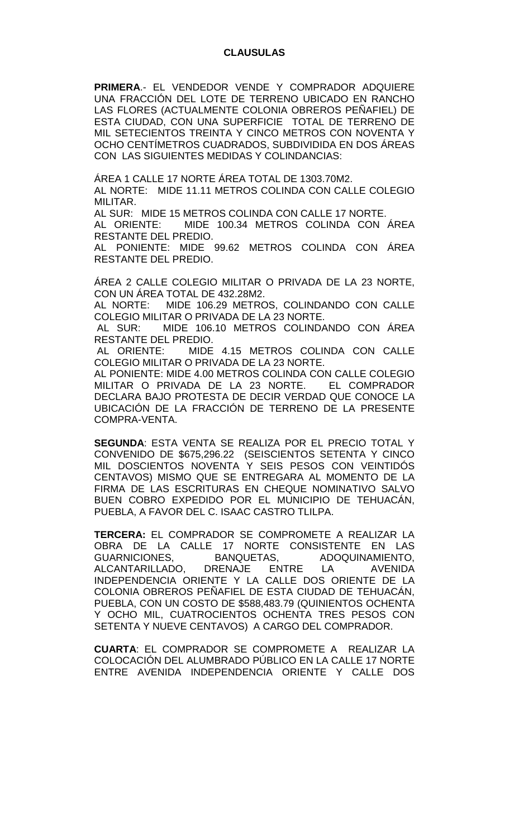**PRIMERA**.- EL VENDEDOR VENDE Y COMPRADOR ADQUIERE UNA FRACCIÓN DEL LOTE DE TERRENO UBICADO EN RANCHO LAS FLORES (ACTUALMENTE COLONIA OBREROS PEÑAFIEL) DE ESTA CIUDAD, CON UNA SUPERFICIE TOTAL DE TERRENO DE MIL SETECIENTOS TREINTA Y CINCO METROS CON NOVENTA Y OCHO CENTÍMETROS CUADRADOS, SUBDIVIDIDA EN DOS ÁREAS CON LAS SIGUIENTES MEDIDAS Y COLINDANCIAS:

ÁREA 1 CALLE 17 NORTE ÁREA TOTAL DE 1303.70M2.

AL NORTE: MIDE 11.11 METROS COLINDA CON CALLE COLEGIO MILITAR.

AL SUR: MIDE 15 METROS COLINDA CON CALLE 17 NORTE.

AL ORIENTE: MIDE 100.34 METROS COLINDA CON ÁREA RESTANTE DEL PREDIO.

AL PONIENTE: MIDE 99.62 METROS COLINDA CON ÁREA RESTANTE DEL PREDIO.

ÁREA 2 CALLE COLEGIO MILITAR O PRIVADA DE LA 23 NORTE, CON UN ÁREA TOTAL DE 432.28M2.

AL NORTE: MIDE 106.29 METROS, COLINDANDO CON CALLE COLEGIO MILITAR O PRIVADA DE LA 23 NORTE.

AL SUR: MIDE 106.10 METROS COLINDANDO CON ÁREA RESTANTE DEL PREDIO.

AL ORIENTE: MIDE 4.15 METROS COLINDA CON CALLE COLEGIO MILITAR O PRIVADA DE LA 23 NORTE.

AL PONIENTE: MIDE 4.00 METROS COLINDA CON CALLE COLEGIO<br>MILITAR O PRIVADA DE LA 23 NORTE. EL COMPRADOR MILITAR O PRIVADA DE LA 23 NORTE. DECLARA BAJO PROTESTA DE DECIR VERDAD QUE CONOCE LA UBICACIÓN DE LA FRACCIÓN DE TERRENO DE LA PRESENTE COMPRA-VENTA.

**SEGUNDA**: ESTA VENTA SE REALIZA POR EL PRECIO TOTAL Y CONVENIDO DE \$675,296.22 (SEISCIENTOS SETENTA Y CINCO MIL DOSCIENTOS NOVENTA Y SEIS PESOS CON VEINTIDÓS CENTAVOS) MISMO QUE SE ENTREGARA AL MOMENTO DE LA FIRMA DE LAS ESCRITURAS EN CHEQUE NOMINATIVO SALVO BUEN COBRO EXPEDIDO POR EL MUNICIPIO DE TEHUACÁN, PUEBLA, A FAVOR DEL C. ISAAC CASTRO TLILPA.

**TERCERA:** EL COMPRADOR SE COMPROMETE A REALIZAR LA OBRA DE LA CALLE 17 NORTE CONSISTENTE EN LAS<br>GUARNICIONES, BANQUETAS, ADOQUINAMIENTO, GUARNICIONES, BANQUETAS, ADOQUINAMIENTO, ALCANTARILLADO, DRENAJE ENTRE LA AVENIDA INDEPENDENCIA ORIENTE Y LA CALLE DOS ORIENTE DE LA COLONIA OBREROS PEÑAFIEL DE ESTA CIUDAD DE TEHUACÁN, PUEBLA, CON UN COSTO DE \$588,483.79 (QUINIENTOS OCHENTA Y OCHO MIL, CUATROCIENTOS OCHENTA TRES PESOS CON SETENTA Y NUEVE CENTAVOS) A CARGO DEL COMPRADOR.

**CUARTA**: EL COMPRADOR SE COMPROMETE A REALIZAR LA COLOCACIÓN DEL ALUMBRADO PÚBLICO EN LA CALLE 17 NORTE ENTRE AVENIDA INDEPENDENCIA ORIENTE Y CALLE DOS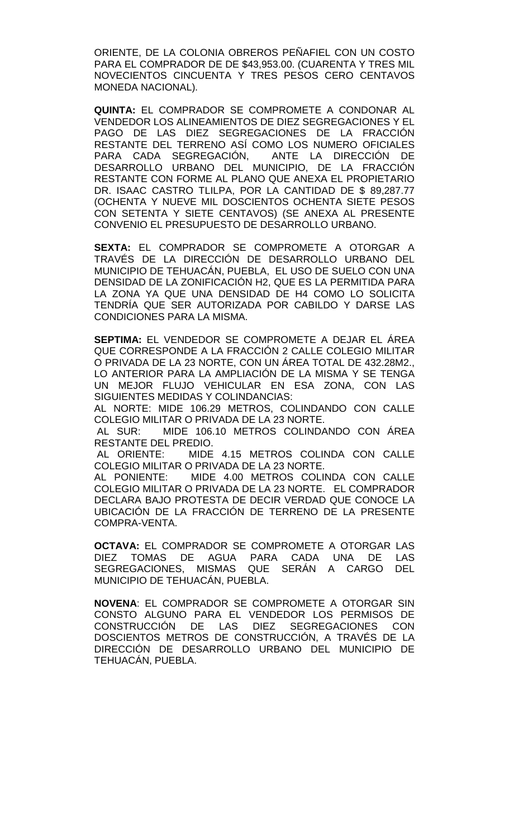ORIENTE, DE LA COLONIA OBREROS PEÑAFIEL CON UN COSTO PARA EL COMPRADOR DE DE \$43,953.00. (CUARENTA Y TRES MIL NOVECIENTOS CINCUENTA Y TRES PESOS CERO CENTAVOS MONEDA NACIONAL).

**QUINTA:** EL COMPRADOR SE COMPROMETE A CONDONAR AL VENDEDOR LOS ALINEAMIENTOS DE DIEZ SEGREGACIONES Y EL PAGO DE LAS DIEZ SEGREGACIONES DE LA FRACCIÓN RESTANTE DEL TERRENO ASÍ COMO LOS NUMERO OFICIALES PARA CADA SEGREGACIÓN, ANTE LA DIRECCIÓN DE DESARROLLO URBANO DEL MUNICIPIO, DE LA FRACCIÓN RESTANTE CON FORME AL PLANO QUE ANEXA EL PROPIETARIO DR. ISAAC CASTRO TLILPA, POR LA CANTIDAD DE \$ 89,287.77 (OCHENTA Y NUEVE MIL DOSCIENTOS OCHENTA SIETE PESOS CON SETENTA Y SIETE CENTAVOS) (SE ANEXA AL PRESENTE CONVENIO EL PRESUPUESTO DE DESARROLLO URBANO.

**SEXTA:** EL COMPRADOR SE COMPROMETE A OTORGAR A TRAVÉS DE LA DIRECCIÓN DE DESARROLLO URBANO DEL MUNICIPIO DE TEHUACÁN, PUEBLA, EL USO DE SUELO CON UNA DENSIDAD DE LA ZONIFICACIÓN H2, QUE ES LA PERMITIDA PARA LA ZONA YA QUE UNA DENSIDAD DE H4 COMO LO SOLICITA TENDRÍA QUE SER AUTORIZADA POR CABILDO Y DARSE LAS CONDICIONES PARA LA MISMA.

**SEPTIMA:** EL VENDEDOR SE COMPROMETE A DEJAR EL ÁREA QUE CORRESPONDE A LA FRACCIÓN 2 CALLE COLEGIO MILITAR O PRIVADA DE LA 23 NORTE, CON UN ÁREA TOTAL DE 432.28M2., LO ANTERIOR PARA LA AMPLIACIÓN DE LA MISMA Y SE TENGA UN MEJOR FLUJO VEHICULAR EN ESA ZONA, CON LAS SIGUIENTES MEDIDAS Y COLINDANCIAS:

AL NORTE: MIDE 106.29 METROS, COLINDANDO CON CALLE COLEGIO MILITAR O PRIVADA DE LA 23 NORTE.

AL SUR: MIDE 106.10 METROS COLINDANDO CON ÁREA RESTANTE DEL PREDIO.

AL ORIENTE: MIDE 4.15 METROS COLINDA CON CALLE COLEGIO MILITAR O PRIVADA DE LA 23 NORTE.

AL PONIENTE: MIDE 4.00 METROS COLINDA CON CALLE COLEGIO MILITAR O PRIVADA DE LA 23 NORTE. EL COMPRADOR DECLARA BAJO PROTESTA DE DECIR VERDAD QUE CONOCE LA UBICACIÓN DE LA FRACCIÓN DE TERRENO DE LA PRESENTE COMPRA-VENTA.

**OCTAVA:** EL COMPRADOR SE COMPROMETE A OTORGAR LAS DIEZ TOMAS DE AGUA PARA CADA UNA DE LAS SEGREGACIONES, MISMAS QUE SERÁN A CARGO DEL MUNICIPIO DE TEHUACÁN, PUEBLA.

**NOVENA**: EL COMPRADOR SE COMPROMETE A OTORGAR SIN CONSTO ALGUNO PARA EL VENDEDOR LOS PERMISOS DE CONSTRUCCIÓN DE LAS DIEZ SEGREGACIONES CON DOSCIENTOS METROS DE CONSTRUCCIÓN, A TRAVÉS DE LA DIRECCIÓN DE DESARROLLO URBANO DEL MUNICIPIO DE TEHUACÁN, PUEBLA.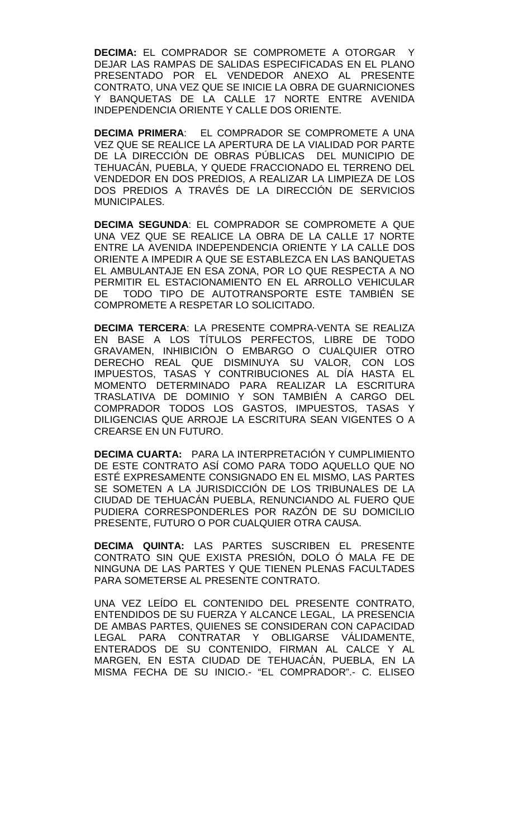**DECIMA:** EL COMPRADOR SE COMPROMETE A OTORGAR Y DEJAR LAS RAMPAS DE SALIDAS ESPECIFICADAS EN EL PLANO PRESENTADO POR EL VENDEDOR ANEXO AL PRESENTE CONTRATO, UNA VEZ QUE SE INICIE LA OBRA DE GUARNICIONES Y BANQUETAS DE LA CALLE 17 NORTE ENTRE AVENIDA INDEPENDENCIA ORIENTE Y CALLE DOS ORIENTE.

**DECIMA PRIMERA**: EL COMPRADOR SE COMPROMETE A UNA VEZ QUE SE REALICE LA APERTURA DE LA VIALIDAD POR PARTE DE LA DIRECCIÓN DE OBRAS PÚBLICAS DEL MUNICIPIO DE TEHUACÁN, PUEBLA, Y QUEDE FRACCIONADO EL TERRENO DEL VENDEDOR EN DOS PREDIOS, A REALIZAR LA LIMPIEZA DE LOS DOS PREDIOS A TRAVÉS DE LA DIRECCIÓN DE SERVICIOS MUNICIPALES.

**DECIMA SEGUNDA**: EL COMPRADOR SE COMPROMETE A QUE UNA VEZ QUE SE REALICE LA OBRA DE LA CALLE 17 NORTE ENTRE LA AVENIDA INDEPENDENCIA ORIENTE Y LA CALLE DOS ORIENTE A IMPEDIR A QUE SE ESTABLEZCA EN LAS BANQUETAS EL AMBULANTAJE EN ESA ZONA, POR LO QUE RESPECTA A NO PERMITIR EL ESTACIONAMIENTO EN EL ARROLLO VEHICULAR DE TODO TIPO DE AUTOTRANSPORTE ESTE TAMBIÉN SE COMPROMETE A RESPETAR LO SOLICITADO.

**DECIMA TERCERA**: LA PRESENTE COMPRA-VENTA SE REALIZA EN BASE A LOS TÍTULOS PERFECTOS, LIBRE DE TODO GRAVAMEN, INHIBICIÓN O EMBARGO O CUALQUIER OTRO DERECHO REAL QUE DISMINUYA SU VALOR, CON LOS IMPUESTOS, TASAS Y CONTRIBUCIONES AL DÍA HASTA EL MOMENTO DETERMINADO PARA REALIZAR LA ESCRITURA TRASLATIVA DE DOMINIO Y SON TAMBIÉN A CARGO DEL COMPRADOR TODOS LOS GASTOS, IMPUESTOS, TASAS Y DILIGENCIAS QUE ARROJE LA ESCRITURA SEAN VIGENTES O A CREARSE EN UN FUTURO.

**DECIMA CUARTA:** PARA LA INTERPRETACIÓN Y CUMPLIMIENTO DE ESTE CONTRATO ASÍ COMO PARA TODO AQUELLO QUE NO ESTÉ EXPRESAMENTE CONSIGNADO EN EL MISMO, LAS PARTES SE SOMETEN A LA JURISDICCIÓN DE LOS TRIBUNALES DE LA CIUDAD DE TEHUACÁN PUEBLA, RENUNCIANDO AL FUERO QUE PUDIERA CORRESPONDERLES POR RAZÓN DE SU DOMICILIO PRESENTE, FUTURO O POR CUALQUIER OTRA CAUSA.

**DECIMA QUINTA:** LAS PARTES SUSCRIBEN EL PRESENTE CONTRATO SIN QUE EXISTA PRESIÓN, DOLO Ó MALA FE DE NINGUNA DE LAS PARTES Y QUE TIENEN PLENAS FACULTADES PARA SOMETERSE AL PRESENTE CONTRATO.

UNA VEZ LEÍDO EL CONTENIDO DEL PRESENTE CONTRATO, ENTENDIDOS DE SU FUERZA Y ALCANCE LEGAL, LA PRESENCIA DE AMBAS PARTES, QUIENES SE CONSIDERAN CON CAPACIDAD LEGAL PARA CONTRATAR Y OBLIGARSE VÁLIDAMENTE, ENTERADOS DE SU CONTENIDO, FIRMAN AL CALCE Y AL MARGEN, EN ESTA CIUDAD DE TEHUACÁN, PUEBLA, EN LA MISMA FECHA DE SU INICIO.- "EL COMPRADOR".- C. ELISEO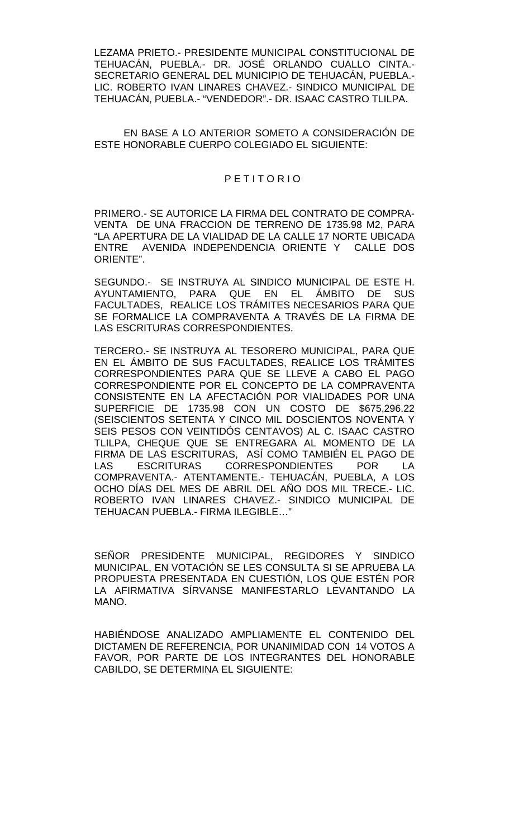LEZAMA PRIETO.- PRESIDENTE MUNICIPAL CONSTITUCIONAL DE TEHUACÁN, PUEBLA.- DR. JOSÉ ORLANDO CUALLO CINTA.- SECRETARIO GENERAL DEL MUNICIPIO DE TEHUACÁN, PUEBLA.- LIC. ROBERTO IVAN LINARES CHAVEZ.- SINDICO MUNICIPAL DE TEHUACÁN, PUEBLA.- "VENDEDOR".- DR. ISAAC CASTRO TLILPA.

EN BASE A LO ANTERIOR SOMETO A CONSIDERACIÓN DE ESTE HONORABLE CUERPO COLEGIADO EL SIGUIENTE:

#### P E T I T O R I O

PRIMERO.- SE AUTORICE LA FIRMA DEL CONTRATO DE COMPRA-VENTA DE UNA FRACCION DE TERRENO DE 1735.98 M2, PARA "LA APERTURA DE LA VIALIDAD DE LA CALLE 17 NORTE UBICADA ENTRE AVENIDA INDEPENDENCIA ORIENTE Y CALLE DOS ORIENTE".

SEGUNDO.- SE INSTRUYA AL SINDICO MUNICIPAL DE ESTE H. AYUNTAMIENTO, PARA QUE EN EL ÁMBITO DE SUS FACULTADES, REALICE LOS TRÁMITES NECESARIOS PARA QUE SE FORMALICE LA COMPRAVENTA A TRAVÉS DE LA FIRMA DE LAS ESCRITURAS CORRESPONDIENTES.

TERCERO.- SE INSTRUYA AL TESORERO MUNICIPAL, PARA QUE EN EL ÁMBITO DE SUS FACULTADES, REALICE LOS TRÁMITES CORRESPONDIENTES PARA QUE SE LLEVE A CABO EL PAGO CORRESPONDIENTE POR EL CONCEPTO DE LA COMPRAVENTA CONSISTENTE EN LA AFECTACIÓN POR VIALIDADES POR UNA SUPERFICIE DE 1735.98 CON UN COSTO DE \$675,296.22 (SEISCIENTOS SETENTA Y CINCO MIL DOSCIENTOS NOVENTA Y SEIS PESOS CON VEINTIDÓS CENTAVOS) AL C. ISAAC CASTRO TLILPA, CHEQUE QUE SE ENTREGARA AL MOMENTO DE LA FIRMA DE LAS ESCRITURAS, ASÍ COMO TAMBIÉN EL PAGO DE LAS ESCRITURAS CORRESPONDIENTES POR LA COMPRAVENTA.- ATENTAMENTE.- TEHUACÁN, PUEBLA, A LOS OCHO DÍAS DEL MES DE ABRIL DEL AÑO DOS MIL TRECE.- LIC. ROBERTO IVAN LINARES CHAVEZ.- SINDICO MUNICIPAL DE TEHUACAN PUEBLA.- FIRMA ILEGIBLE…"

SEÑOR PRESIDENTE MUNICIPAL, REGIDORES Y SINDICO MUNICIPAL, EN VOTACIÓN SE LES CONSULTA SI SE APRUEBA LA PROPUESTA PRESENTADA EN CUESTIÓN, LOS QUE ESTÉN POR LA AFIRMATIVA SÍRVANSE MANIFESTARLO LEVANTANDO LA MANO.

HABIÉNDOSE ANALIZADO AMPLIAMENTE EL CONTENIDO DEL DICTAMEN DE REFERENCIA, POR UNANIMIDAD CON 14 VOTOS A FAVOR, POR PARTE DE LOS INTEGRANTES DEL HONORABLE CABILDO, SE DETERMINA EL SIGUIENTE: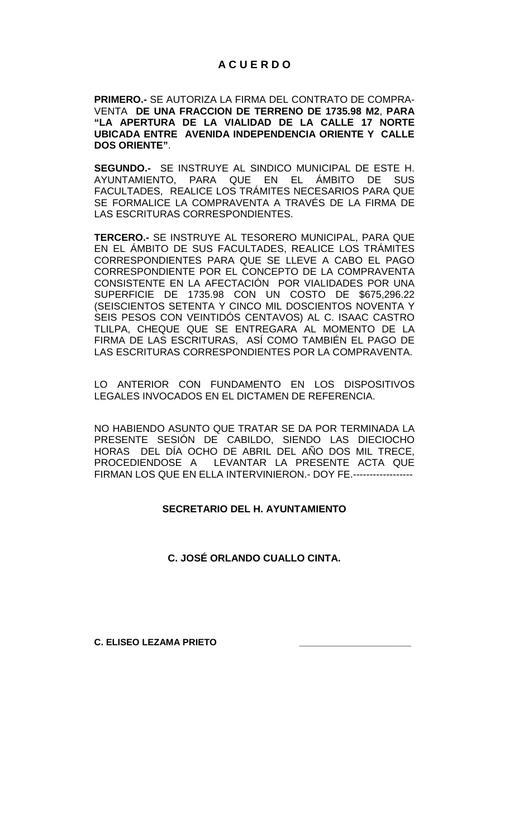# **A C U E R D O**

**PRIMERO.-** SE AUTORIZA LA FIRMA DEL CONTRATO DE COMPRA-VENTA **DE UNA FRACCION DE TERRENO DE 1735.98 M2**, **PARA "LA APERTURA DE LA VIALIDAD DE LA CALLE 17 NORTE UBICADA ENTRE AVENIDA INDEPENDENCIA ORIENTE Y CALLE DOS ORIENTE"**.

**SEGUNDO.-** SE INSTRUYE AL SINDICO MUNICIPAL DE ESTE H. AYUNTAMIENTO, PARA QUE EN EL ÁMBITO DE SUS FACULTADES, REALICE LOS TRÁMITES NECESARIOS PARA QUE SE FORMALICE LA COMPRAVENTA A TRAVÉS DE LA FIRMA DE LAS ESCRITURAS CORRESPONDIENTES.

**TERCERO.-** SE INSTRUYE AL TESORERO MUNICIPAL, PARA QUE EN EL ÁMBITO DE SUS FACULTADES, REALICE LOS TRÁMITES CORRESPONDIENTES PARA QUE SE LLEVE A CABO EL PAGO CORRESPONDIENTE POR EL CONCEPTO DE LA COMPRAVENTA CONSISTENTE EN LA AFECTACIÓN POR VIALIDADES POR UNA SUPERFICIE DE 1735.98 CON UN COSTO DE \$675,296.22 (SEISCIENTOS SETENTA Y CINCO MIL DOSCIENTOS NOVENTA Y SEIS PESOS CON VEINTIDÓS CENTAVOS) AL C. ISAAC CASTRO TLILPA, CHEQUE QUE SE ENTREGARA AL MOMENTO DE LA FIRMA DE LAS ESCRITURAS, ASÍ COMO TAMBIÉN EL PAGO DE LAS ESCRITURAS CORRESPONDIENTES POR LA COMPRAVENTA.

LO ANTERIOR CON FUNDAMENTO EN LOS DISPOSITIVOS LEGALES INVOCADOS EN EL DICTAMEN DE REFERENCIA.

NO HABIENDO ASUNTO QUE TRATAR SE DA POR TERMINADA LA PRESENTE SESIÓN DE CABILDO, SIENDO LAS DIECIOCHO HORAS DEL DÍA OCHO DE ABRIL DEL AÑO DOS MIL TRECE, PROCEDIENDOSE A LEVANTAR LA PRESENTE ACTA QUE FIRMAN LOS QUE EN ELLA INTERVINIERON.- DOY FE.------------------

# **SECRETARIO DEL H. AYUNTAMIENTO**

# **C. JOSÉ ORLANDO CUALLO CINTA.**

**C. ELISEO LEZAMA PRIETO \_\_\_\_\_\_\_\_\_\_\_\_\_\_\_\_\_\_\_\_\_\_**